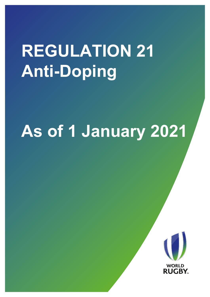## **REGULATION 21 Anti-Doping**

# **As of 1 January 2021**

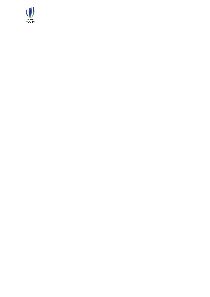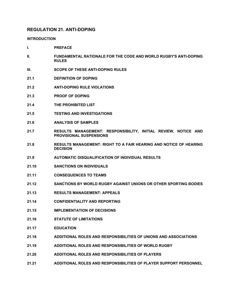#### **REGULATION 21. ANTI-DOPING**

#### **[INTRODUCTION](#page-4-0)**

- **I. [PREFACE](#page-4-1)**
- **II. [FUNDAMENTAL RATIONALE FOR THE CODE AND WORLD RUGBY'S ANTI-DOPING](#page-4-2)  [RULES](#page-4-2)**
- **III. [SCOPE OF THESE ANTI-DOPING RULES](#page-5-0)**
- **21.1 [DEFINITION OF DOPING](#page-6-0)**
- **21.2 [ANTI-DOPING RULE VIOLATIONS](#page-7-0)**
- **[21.3 PROOF OF DOPING](#page-11-0)**
- **21.4 [THE PROHIBITED LIST](#page-14-0)**
- **21.5 [TESTING AND INVESTIGATIONS](#page-20-0)**
- **21.6 [ANALYSIS OF SAMPLES](#page-31-0)**
- **[21.7 RESULTS MANAGEMENT: RESPONSIBILITY, INITIAL REVIEW, NOTICE AND](#page-33-0)  [PROVISIONAL SUSPENSIONS](#page-33-0)**
- **21.8 [RESULTS MANAGEMENT: RIGHT TO A FAIR HEARING AND NOTICE OF HEARING](#page-42-0)  [DECISION](#page-42-0)**
- **21.9 [AUTOMATIC DISQUALIFICATION OF INDIVIDUAL RESULTS](#page-48-0)**
- **21.10 [SANCTIONS ON INDIVIDUALS](#page-48-1)**
- **21.11 [CONSEQUENCES TO TEAMS](#page-62-0)**
- **21.12 [SANCTIONS BY WORLD RUGBY AGAINST UNIONS OR OTHER SPORTING BODIES](#page-63-0)**
- **21.13 [RESULTS MANAGEMENT: APPEALS](#page-65-0)**
- **21.14 [CONFIDENTIALITY AND REPORTING](#page-73-0)**
- **21.15 [IMPLEMENTATION OF DECISIONS](#page-78-0)**
- **21.16 [STATUTE OF LIMITATIONS](#page-80-0)**
- **21.17 [EDUCATION](#page-80-1)**
- **21.18 [ADDITIONAL ROLES AND RESPONSIBILITIES OF UNIONS AND ASSOCIATIONS](#page-81-0)**
- **21.19 [ADDITIONAL ROLES AND RESPONSIBILITIES OF WORLD](#page-83-0) RUGBY**
- **21.20 [ADDITIONAL ROLES AND RESPONSIBILITIES OF PLAYERS](#page-83-1)**
- **21.21 [ADDITIONAL ROLES AND RESPONSIBILITIES OF PLAYER SUPPORT PERSONNEL](#page-84-0)**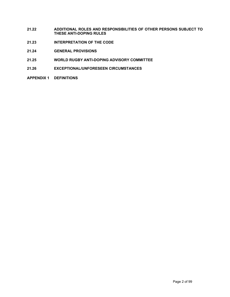- **21.22 [ADDITIONAL ROLES AND RESPONSIBILITIES OF OTHER PERSONS SUBJECT TO](#page-85-0)  [THESE ANTI-DOPING RULES](#page-85-0)**
- **21.23 [INTERPRETATION OF THE CODE](#page-86-0)**
- **21.24 [GENERAL PROVISIONS](#page-86-1)**
- **21.25 WORLD RUGBY ANTI-DOPING ADVISORY COMMITTEE**
- **21.26 EXCEPTIONAL/UNFORESEEN CIRCUMSTANCES**
- **APPENDIX 1 [DEFINITIONS](#page-90-0)**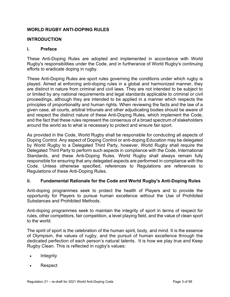## **WORLD RUGBY ANTI-DOPING RULES**

## <span id="page-4-0"></span>**INTRODUCTION**

## <span id="page-4-1"></span>**i. Preface**

These Anti-Doping Rules are adopted and implemented in accordance with World Rugby's responsibilities under the Code, and in furtherance of World Rugby's continuing efforts to eradicate doping in rugby.

These Anti-Doping Rules are sport rules governing the conditions under which rugby is played. Aimed at enforcing anti-doping rules in a global and harmonized manner, they are distinct in nature from criminal and civil laws. They are not intended to be subject to or limited by any national requirements and legal standards applicable to criminal or civil proceedings, although they are intended to be applied in a manner which respects the principles of proportionality and human rights. When reviewing the facts and the law of a given case, all courts, arbitral tribunals and other adjudicating bodies should be aware of and respect the distinct nature of these Anti-Doping Rules, which implement the Code, and the fact that these rules represent the consensus of a broad spectrum of stakeholders around the world as to what is necessary to protect and ensure fair sport.

As provided in the Code, World Rugby shall be responsible for conducting all aspects of Doping Control. Any aspect of Doping Control or anti-doping Education may be delegated by World Rugby to a Delegated Third Party, however, World Rugby shall require the Delegated Third Party to perform such aspects in compliance with the Code, International Standards, and these Anti-Doping Rules. World Rugby shall always remain fully responsible for ensuring that any delegated aspects are performed in compliance with the Code. Unless otherwise specified, references to Regulations are references to Regulations of these Anti-Doping Rules.

#### <span id="page-4-2"></span>**ii. Fundamental Rationale for the Code and World Rugby's Anti-Doping Rules**

Anti-doping programmes seek to protect the health of Players and to provide the opportunity for Players to pursue human excellence without the Use of Prohibited Substances and Prohibited Methods.

Anti-doping programmes seek to maintain the integrity of sport in terms of respect for rules, other competitors, fair competition, a level playing field, and the value of clean sport to the world.

The spirit of sport is the celebration of the human spirit, body, and mind. It is the essence of Olympism, the values of rugby, and the pursuit of human excellence through the dedicated perfection of each person's natural talents. It is how we play true and Keep Rugby Clean. This is reflected in rugby's values:

- Integrity
- Respect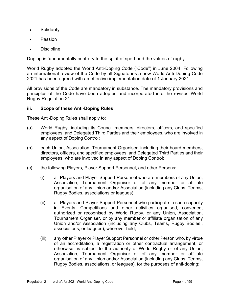- **Solidarity**
- Passion
- **Discipline**

Doping is fundamentally contrary to the spirit of sport and the values of rugby.

World Rugby adopted the World Anti-Doping Code ("Code") in June 2004. Following an international review of the Code by all Signatories a new World Anti-Doping Code 2021 has been agreed with an effective implementation date of 1 January 2021.

All provisions of the Code are mandatory in substance. The mandatory provisions and principles of the Code have been adopted and incorporated into the revised World Rugby Regulation 21.

#### <span id="page-5-0"></span>**iii. Scope of these Anti-Doping Rules**

These Anti-Doping Rules shall apply to:

- (a) World Rugby, including its Council members, directors, officers, and specified employees, and Delegated Third Parties and their employees, who are involved in any aspect of Doping Control;
- (b) each Union, Association, Tournament Organiser, including their board members, directors, officers, and specified employees, and Delegated Third Parties and their employees, who are involved in any aspect of Doping Control;
- (c) the following Players, Player Support Personnel, and other Persons:
	- (i) all Players and Player Support Personnel who are members of any Union, Association, Tournament Organiser or of any member or affiliate organisation of any Union and/or Association (including any Clubs, Teams, Rugby Bodies, associations or leagues);
	- (ii) all Players and Player Support Personnel who participate in such capacity in Events, Competitions and other activities organised, convened, authorized or recognised by World Rugby, or any Union, Association, Tournament Organiser, or by any member or affiliate organisation of any Union and/or Association (including any Clubs, Teams, Rugby Bodies,, associations, or leagues), wherever held;
	- (iii) any other Player or Player Support Personnel or other Person who, by virtue of an accreditation, a registration or other contractual arrangement, or otherwise, is subject to the authority of World Rugby or of any Union, Association, Tournament Organiser or of any member or affiliate organisation of any Union and/or Association (including any Clubs, Teams, Rugby Bodies, associations, or leagues), for the purposes of anti-doping;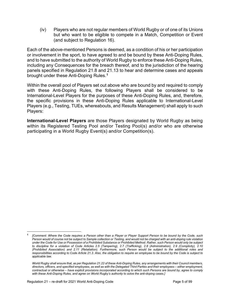(iv) Players who are not regular members of World Rugby or of one of its Unions but who want to be eligible to compete in a Match, Competition or Event (and subject to Regulation 16).

Each of the above-mentioned Persons is deemed, as a condition of his or her participation or involvement in the sport, to have agreed to and be bound by these Anti-Doping Rules, and to have submitted to the authority of World Rugby to enforce these Anti-Doping Rules, including any Consequences for the breach thereof, and to the jurisdiction of the hearing panels specified in Regulation 21.8 and 21.13 to hear and determine cases and appeals brought under these Anti-Doping Rules. **[1](#page-6-1)**

Within the overall pool of Players set out above who are bound by and required to comply with these Anti-Doping Rules, the following Players shall be considered to be International-Level Players for the purposes of these Anti-Doping Rules, and, therefore, the specific provisions in these Anti-Doping Rules applicable to International-Level Players (e.g., Testing, TUEs, whereabouts, and Results Management) shall apply to such Players:

<span id="page-6-0"></span>**International-Level Players** are those Players designated by World Rugby as being within its Registered Testing Pool and/or Testing Pool(s) and/or who are otherwise participating in a World Rugby Event(s) and/or Competition(s).

<span id="page-6-1"></span>**<sup>1</sup>***[Comment: Where the Code requires a Person other than a Player or Player Support Person to be bound by the Code, such Person would of course not be subject to Sample collection or Testing, and would not be charged with an anti-doping rule violation under the Code for Use or Possession of a Prohibited Substance or Prohibited Method. Rather, such Person would only be subject to discipline for a violation of Code Articles 2.5 (Tampering), 2.7 (Trafficking), 2.8 (Administration), 2.9 (Complicity), 2.10 (Prohibited Association) and 2.11 (Retaliation). Furthermore, such Person would be subject to the additional roles and responsibilities according to Code Article 21.3. Also, the obligation to require an employee to be bound by the Code is subject to applicable law.*

*World Rugby shall ensure that, as per Regulation 21.22 of these Anti-Doping Rules, any arrangements with their Council members, directors, officers, and specified employees, as well as with the Delegated Third Parties and their employees – either employment, contractual or otherwise – have explicit provisions incorporated according to which such Persons are bound by, agree to comply with these Anti-Doping Rules, and agree on World Rugby's authority to solve the anti-doping cases.]*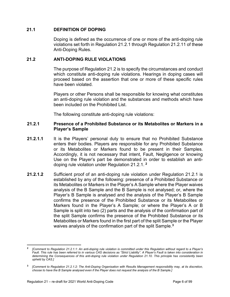## **21.1 DEFINITION OF DOPING**

Doping is defined as the occurrence of one or more of the anti-doping rule violations set forth in Regulation 21.2.1 through Regulation 21.2.11 of these Anti-Doping Rules.

### <span id="page-7-0"></span>**21.2 ANTI-DOPING RULE VIOLATIONS**

The purpose of Regulation 21.2 is to specify the circumstances and conduct which constitute anti-doping rule violations. Hearings in doping cases will proceed based on the assertion that one or more of these specific rules have been violated.

Players or other Persons shall be responsible for knowing what constitutes an anti-doping rule violation and the substances and methods which have been included on the Prohibited List.

The following constitute anti-doping rule violations:

#### **21.2.1 Presence of a Prohibited Substance or its Metabolites or Markers in a Player's Sample**

- **21.2.1.1** It is the Players' personal duty to ensure that no Prohibited Substance enters their bodies. Players are responsible for any Prohibited Substance or its Metabolites or Markers found to be present in their Samples. Accordingly, it is not necessary that intent, Fault, Negligence or knowing Use on the Player's part be demonstrated in order to establish an antidoping rule violation under Regulation 21.2.1. **[2](#page-7-1)**
- **21.2.1.2** Sufficient proof of an anti-doping rule violation under Regulation 21.2.1 is established by any of the following: presence of a Prohibited Substance or its Metabolites or Markers in the Player's A Sample where the Player waives analysis of the B Sample and the B Sample is not analysed; or, where the Player's B Sample is analysed and the analysis of the Player's B Sample confirms the presence of the Prohibited Substance or its Metabolites or Markers found in the Player's A Sample; or where the Player's A or B Sample is split into two (2) parts and the analysis of the confirmation part of the split Sample confirms the presence of the Prohibited Substance or its Metabolites or Markers found in the first part of the split Sample or the Player waives analysis of the confirmation part of the split Sample. **[3](#page-7-2)**

<span id="page-7-1"></span>**<sup>2</sup>** *[Comment to Regulation 21.2.1.1: An anti-doping rule violation is committed under this Regulation without regard to a Player's Fault. This rule has been referred to in various CAS decisions as "Strict Liability". A Player's Fault is taken into consideration in determining the Consequences of this anti-doping rule violation under Regulation 21.10. This principle has consistently been upheld by CAS.]*

<span id="page-7-2"></span>**<sup>3</sup>***[Comment to Regulation 21.2.1.2: The Anti-Doping Organisation with Results Management responsibility may, at its discretion, choose to have the B Sample analysed even if the Player does not request the analysis of the B Sample.]*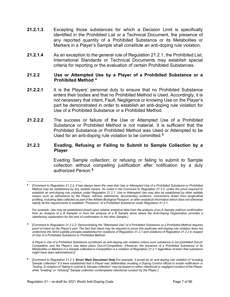- **21.2.1.3** Excepting those substances for which a Decision Limit is specifically identified in the Prohibited List or a Technical Document, the presence of any reported quantity of a Prohibited Substance or its Metabolites or Markers in a Player's Sample shall constitute an anti-doping rule violation.
- **21.2.1.4** As an exception to the general rule of Regulation 21.2.1, the Prohibited List, International Standards or Technical Documents may establish special criteria for reporting or the evaluation of certain Prohibited Substances.

#### **21.2.2 Use or Attempted Use by a Player of a Prohibited Substance or a Prohibited Method [4](#page-8-0)**

- **21.2.2.1** It is the Players' personal duty to ensure that no Prohibited Substance enters their bodies and that no Prohibited Method is Used. Accordingly, it is not necessary that intent, Fault, Negligence or knowing Use on the Player's part be demonstrated in order to establish an anti-doping rule violation for Use of a Prohibited Substance or a Prohibited Method.
- **21.2.2.2** The success or failure of the Use or Attempted Use of a Prohibited Substance or Prohibited Method is not material. It is sufficient that the Prohibited Substance or Prohibited Method was Used or Attempted to be Used for an anti-doping rule violation to be committed.**[5](#page-8-1)**

#### **21.2.3 Evading, Refusing or Failing to Submit to Sample Collection by a Player**

Evading Sample collection; or refusing or failing to submit to Sample collection without compelling justification after notification by a duly authorized Person.**[6](#page-8-2)**

*A Player's Use of a Prohibited Substance constitutes an anti-doping rule violation unless such substance is not prohibited Out-of-Competition and the Player's Use takes place Out-of-Competition. (However, the presence of a Prohibited Substance or its Metabolites or Markers in a Sample collected In-Competition is a violation of Regulation 21.2.1 regardless of when that substance might have been administered.)]*

<span id="page-8-2"></span>**<sup>6</sup>** *[Comment to Regulation 21.2.3: Error! Main Document Only.For example, it would be an anti-doping rule violation of "evading Sample collection" if it were established that a Player was deliberately avoiding a Doping Control official to evade notification or Testing. A violation of "failing to submit to Sample collection" may be based on either intentional or negligent conduct of the Player, while "evading" or "refusing" Sample collection contemplates intentional conduct by the Player.]*

<span id="page-8-0"></span>**<sup>4</sup>** *[Comment to Regulation 21.2.2: It has always been the case that Use or Attempted Use of a Prohibited Substance or Prohibited Method may be established by any reliable means. As noted in the Comment to Regulation 21.3.2, unlike the proof required to establish an anti-doping rule violation under Regulation 21.2.1, Use or Attempted Use may also be established by other reliable means such as admissions by the Player, witness statements, documentary evidence, conclusions drawn from longitudinal profiling, including data collected as part of the Athlete Biological Passport, or other analytical information which does not otherwise satisfy all the requirements to establish "Presence" of a Prohibited Substance under Regulation 21.2.1.* 

*For example, Use may be established based upon reliable analytical data from the analysis of an A Sample (without confirmation from an analysis of a B Sample) or from the analysis of a B Sample alone where the Anti-Doping Organisation provides a satisfactory explanation for the lack of confirmation in the other Sample.]*

<span id="page-8-1"></span>**<sup>5</sup>** *[Comment to Regulation 21.2.2.2: Demonstrating the "Attempted Use" of a Prohibited Substance or a Prohibited Method requires proof of intent on the Player's part. The fact that intent may be required to prove this particular anti-doping rule violation does not undermine the Strict Liability principle established for violations of Regulation 21.2.1 and violations of Regulation 21.2.2 in respect of Use of a Prohibited Substance or Prohibited Method.*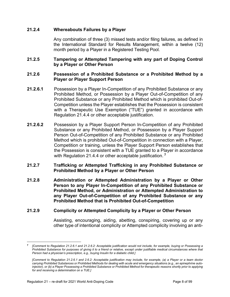## **21.2.4 Whereabouts Failures by a Player**

Any combination of three (3) missed tests and/or filing failures, as defined in the International Standard for Results Management, within a twelve (12) month period by a Player in a Registered Testing Pool.

#### **21.2.5 Tampering or Attempted Tampering with any part of Doping Control by a Player or Other Person**

#### **21.2.6 Possession of a Prohibited Substance or a Prohibited Method by a Player or Player Support Person**

- **21.2.6.1** Possession by a Player In-Competition of any Prohibited Substance or any Prohibited Method, or Possession by a Player Out-of-Competition of any Prohibited Substance or any Prohibited Method which is prohibited Out-of-Competition unless the Player establishes that the Possession is consistent with a Therapeutic Use Exemption ("TUE") granted in accordance with Regulation 21.4.4 or other acceptable justification.
- **21.2.6.2** Possession by a Player Support Person In-Competition of any Prohibited Substance or any Prohibited Method, or Possession by a Player Support Person Out-of-Competition of any Prohibited Substance or any Prohibited Method which is prohibited Out-of-Competition in connection with a Player, Competition or training, unless the Player Support Person establishes that the Possession is consistent with a TUE granted to a Player in accordance with Regulation 21.4.4 or other acceptable justification. **[7](#page-9-0)**
- **21.2.7 Trafficking or Attempted Trafficking in any Prohibited Substance or Prohibited Method by a Player or Other Person**
- **21.2.8 Administration or Attempted Administration by a Player or Other Person to any Player In-Competition of any Prohibited Substance or Prohibited Method, or Administration or Attempted Administration to any Player Out-of-Competition of any Prohibited Substance or any Prohibited Method that is Prohibited Out-of-Competition**

#### **21.2.9 Complicity or Attempted Complicity by a Player or Other Person**

Assisting, encouraging, aiding, abetting, conspiring, covering up or any other type of intentional complicity or Attempted complicity involving an anti-

<span id="page-9-0"></span>**<sup>7</sup>** *[Comment to Regulation 21.2.6.1 and 21.2.6.2: Acceptable justification would not include, for example, buying or Possessing a Prohibited Substance for purposes of giving it to a friend or relative, except under justifiable medical circumstances where that Person had a physician's prescription, e.g., buying Insulin for a diabetic child.]*

*<sup>[</sup>Comment to Regulation 21.2.6.1 and 2.6.2: Acceptable justification may include, for example, (a) a Player or a team doctor carrying Prohibited Substances or Prohibited Methods for dealing with acute and emergency situations (e.g., an epinephrine autoinjector), or (b) a Player Possessing a Prohibited Substance or Prohibited Method for therapeutic reasons shortly prior to applying for and receiving a determination on a TUE.]*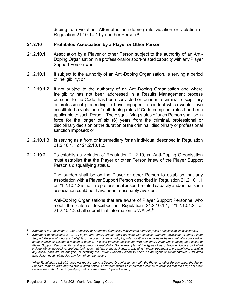doping rule violation, Attempted anti-doping rule violation or violation of Regulation 21.10.14.1 by another Person.**[8](#page-10-0)**

### **21.2.10 Prohibited Association by a Player or Other Person**

- **21.2.10.1** Association by a Player or other Person subject to the authority of an Anti-Doping Organisation in a professional or sport-related capacity with any Player Support Person who:
- 21.2.10.1.1 If subject to the authority of an Anti-Doping Organisation, is serving a period of Ineligibility; or
- 21.2.10.1.2 If not subject to the authority of an Anti-Doping Organisation and where Ineligibility has not been addressed in a Results Management process pursuant to the Code, has been convicted or found in a criminal, disciplinary or professional proceeding to have engaged in conduct which would have constituted a violation of anti-doping rules if Code-compliant rules had been applicable to such Person. The disqualifying status of such Person shall be in force for the longer of six (6) years from the criminal, professional or disciplinary decision or the duration of the criminal, disciplinary or professional sanction imposed; or
- 21.2.10.1.3 Is serving as a front or intermediary for an individual described in Regulation 21.2.10.1.1 or 21.2.10.1.2.
- **21.2.10.2** To establish a violation of Regulation 21.2.10, an Anti-Doping Organisation must establish that the Player or other Person knew of the Player Support Person's disqualifying status.

The burden shall be on the Player or other Person to establish that any association with a Player Support Person described in Regulation 21.2.10.1.1 or 21.2.10.1.2 is not in a professional or sport-related capacity and/or that such association could not have been reasonably avoided.

Anti-Doping Organisations that are aware of Player Support Personnel who meet the criteria described in Regulation 21.2.10.1.1, 21.2.10.1.2, or 21.2.10.1.3 shall submit that information to WADA.**[9](#page-10-1)**

<span id="page-10-1"></span><span id="page-10-0"></span>**<sup>8</sup>** *[Comment to Regulation 21.2.9: Complicity or Attempted Complicity may include either physical or psychological assistance.]*

**<sup>9</sup>***[Comment to Regulation 21.2.10: Players and other Persons must not work with coaches, trainers, physicians or other Player Support Personnel who are Ineligible on account of an anti-doping rule violation or who have been criminally convicted or professionally disciplined in relation to doping. This also prohibits association with any other Player who is acting as a coach or Player Support Person while serving a period of Ineligibility. Some examples of the types of association which are prohibited include: obtaining training, strategy, technique, nutrition or medical advice; obtaining therapy, treatment or prescriptions; providing any bodily products for analysis; or allowing the Player Support Person to serve as an agent or representative. Prohibited association need not involve any form of compensation.*

*While Regulation 21.2.10.2 does not require the Anti-Doping Organisation to notify the Player or other Person about the Player Support Person's disqualifying status, such notice, if provided, would be important evidence to establish that the Player or other Person knew about the disqualifying status of the Player Support Person.]*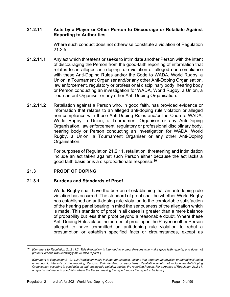#### **21.2.11 Acts by a Player or Other Person to Discourage or Retaliate Against Reporting to Authorities**

Where such conduct does not otherwise constitute a violation of Regulation 21.2.5:

- **21.2.11.1** Any act which threatens or seeks to intimidate another Person with the intent of discouraging the Person from the good-faith reporting of information that relates to an alleged anti-doping rule violation or alleged non-compliance with these Anti-Doping Rules and/or the Code to WADA, World Rugby, a Union, a Tournament Organiser and/or any other Anti-Doping Organisation, law enforcement, regulatory or professional disciplinary body, hearing body or Person conducting an investigation for WADA, World Rugby, a Union, a Tournament Organiser or any other Anti-Doping Organisation.
- **21.2.11.2** Retaliation against a Person who, in good faith, has provided evidence or information that relates to an alleged anti-doping rule violation or alleged non-compliance with these Anti-Doping Rules and/or the Code to WADA, World Rugby, a Union, a Tournament Organiser or any Anti-Doping Organisation, law enforcement, regulatory or professional disciplinary body, hearing body or Person conducting an investigation for WADA, World Rugby, a Union, a Tournament Organiser or any other Anti-Doping Organisation.

For purposes of Regulation 21.2.11, retaliation, threatening and intimidation include an act taken against such Person either because the act lacks a good faith basis or is a disproportionate response.**[10](#page-11-1)** 

#### <span id="page-11-0"></span>**21.3 PROOF OF DOPING**

#### **21.3.1 Burdens and Standards of Proof**

World Rugby shall have the burden of establishing that an anti-doping rule violation has occurred. The standard of proof shall be whether World Rugby has established an anti-doping rule violation to the comfortable satisfaction of the hearing panel bearing in mind the seriousness of the allegation which is made. This standard of proof in all cases is greater than a mere balance of probability but less than proof beyond a reasonable doubt. Where these Anti-Doping Rules place the burden of proof upon the Player or other Person alleged to have committed an anti-doping rule violation to rebut a presumption or establish specified facts or circumstances, except as

<span id="page-11-1"></span>**<sup>10</sup>** *[Comment to Regulation 21.2.11.2: This Regulation is intended to protect Persons who make good faith reports, and does not protect Persons who knowingly make false reports.]*

*<sup>[</sup>Comment to Regulation 21.2.11.2: Retaliation would include, for example, actions that threaten the physical or mental well-being or economic interests of the reporting Persons, their families, or associates. Retaliation would not include an Anti-Doping Organisation asserting in good faith an anti-doping rule violation against the reporting Person. For purposes of Regulation 21.2.11, a report is not made in good faith where the Person making the report knows the report to be false.]*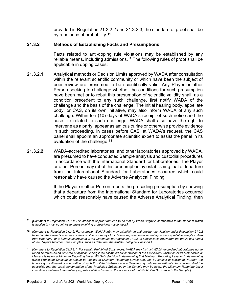provided in Regulation 21.3.2.2 and 21.3.2.3, the standard of proof shall be by a balance of probability.**[11](#page-12-0)**

#### **21.3.2 Methods of Establishing Facts and Presumptions**

Facts related to anti-doping rule violations may be established by any reliable means, including admissions.**[12](#page-12-1)** The following rules of proof shall be applicable in doping cases:

- **21.3.2.1** Analytical methods or Decision Limits approved by WADA after consultation within the relevant scientific community or which have been the subject of peer review are presumed to be scientifically valid. Any Player or other Person seeking to challenge whether the conditions for such presumption have been met or to rebut this presumption of scientific validity shall, as a condition precedent to any such challenge, first notify WADA of the challenge and the basis of the challenge. The initial hearing body, appellate body, or CAS, on its own initiative, may also inform WADA of any such challenge. Within ten (10) days of WADA's receipt of such notice and the case file related to such challenge, WADA shall also have the right to intervene as a party, appear as amicus curiae or otherwise provide evidence in such proceeding. In cases before CAS, at WADA's request, the CAS panel shall appoint an appropriate scientific expert to assist the panel in its evaluation of the challenge.**[13](#page-12-2)**
- **21.3.2.2** WADA-accredited laboratories, and other laboratories approved by WADA, are presumed to have conducted Sample analysis and custodial procedures in accordance with the International Standard for Laboratories. The Player or other Person may rebut this presumption by establishing that a departure from the International Standard for Laboratories occurred which could reasonably have caused the Adverse Analytical Finding.

If the Player or other Person rebuts the preceding presumption by showing that a departure from the International Standard for Laboratories occurred which could reasonably have caused the Adverse Analytical Finding, then

<span id="page-12-0"></span>**<sup>11</sup>** *[Comment to Regulation 21.3.1: This standard of proof required to be met by World Rugby is comparable to the standard which is applied in most countries to cases involving professional misconduct.]*

<span id="page-12-1"></span>**<sup>12</sup>** *[Comment to Regulation 21.3.2: For example, World Rugby may establish an anti-doping rule violation under Regulation 21.2.2 based on the Player's admissions, the credible testimony of third Persons, reliable documentary evidence, reliable analytical data from either an A or B Sample as provided in the Comments to Regulation 21.2.2, or conclusions drawn from the profile of a series of the Player's blood or urine Samples, such as data from the Athlete Biological Passport.]*

<span id="page-12-2"></span>**<sup>13</sup>** *[Comment to Regulation 21.3.2.1: For certain Prohibited Substances, WADA may instruct WADA-accredited laboratories not to report Samples as an Adverse Analytical Finding if the estimated concentration of the Prohibited Substance or its Metabolites or Markers is below a Minimum Reporting Level. WADA's decision in determining that Minimum Reporting Level or in determining which Prohibited Substances should be subject to Minimum Reporting Levels shall not be subject to challenge. Further, the laboratory's estimated concentration of such Prohibited Substance in a Sample may only be an estimate. In no event shall the* possibility that the exact concentration of the Prohibited Substance in the Sample may be below the Minimum Reporting Level *constitute a defense to an anti-doping rule violation based on the presence of that Prohibited Substance in the Sample.]*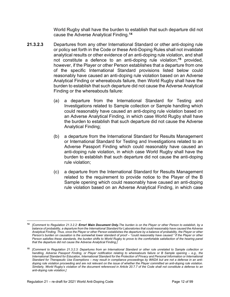World Rugby shall have the burden to establish that such departure did not cause the Adverse Analytical Finding.**[14](#page-13-0)**

- **21.3.2.3** Departures from any other International Standard or other anti-doping rule or policy set forth in the Code or these Anti-Doping Rules shall not invalidate analytical results or other evidence of an anti-doping rule violation, and shall not constitute a defence to an anti-doping rule violation;**[15](#page-13-1)** provided, however, if the Player or other Person establishes that a departure from one of the specific International Standard provisions listed below could reasonably have caused an anti-doping rule violation based on an Adverse Analytical Finding or whereabouts failure, then World Rugby shall have the burden to establish that such departure did not cause the Adverse Analytical Finding or the whereabouts failure:
	- (a) a departure from the International Standard for Testing and Investigations related to Sample collection or Sample handling which could reasonably have caused an anti-doping rule violation based on an Adverse Analytical Finding, in which case World Rugby shall have the burden to establish that such departure did not cause the Adverse Analytical Finding;
	- (b) a departure from the International Standard for Results Management or International Standard for Testing and Investigations related to an Adverse Passport Finding which could reasonably have caused an anti-doping rule violation, in which case World Rugby shall have the burden to establish that such departure did not cause the anti-doping rule violation;
	- (c) a departure from the International Standard for Results Management related to the requirement to provide notice to the Player of the B Sample opening which could reasonably have caused an anti-doping rule violation based on an Adverse Analytical Finding, in which case

<span id="page-13-0"></span>**<sup>14</sup>** *[Comment to Regulation 21.3.2.2: Error! Main Document Only.The burden is on the Player or other Person to establish, by a balance of probability, a departure from the International Standard for Laboratories that could reasonably have caused the Adverse Analytical Finding. Thus, once the Player or other Person establishes the departure by a balance of probability, the Player or other Person's burden on causation is the somewhat lower standard of proof – "could reasonably have caused." If the Player or other Person satisfies these standards, the burden shifts to World Rugby to prove to the comfortable satisfaction of the hearing panel that the departure did not cause the Adverse Analytical Finding.]*

<span id="page-13-1"></span>**<sup>15</sup>** *[Comment to Regulation 21.3.2.3: Departures from an International Standard or other rule unrelated to Sample collection or handling, Adverse Passport Finding, or Player notification relating to whereabouts failure or B Sample opening – e.g., the International Standard for Education, International Standard for the Protection of Privacy and Personal Information or International Standard for Therapeutic Use Exemptions – may result in compliance proceedings by WADA but are not a defense in an anti*doping rule violation proceeding and are not relevant on the issue of whether the Player committed an anti-doping rule violation. *Similarly, World Rugby's violation of the document referenced in Article 20.7.7 of the Code shall not constitute a defense to an anti-doping rule violation.]*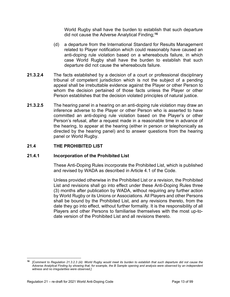World Rugby shall have the burden to establish that such departure did not cause the Adverse Analytical Finding; **[16](#page-14-1)**

- (d) a departure from the International Standard for Results Management related to Player notification which could reasonably have caused an anti-doping rule violation based on a whereabouts failure, in which case World Rugby shall have the burden to establish that such departure did not cause the whereabouts failure.
- **21.3.2.4** The facts established by a decision of a court or professional disciplinary tribunal of competent jurisdiction which is not the subject of a pending appeal shall be irrebuttable evidence against the Player or other Person to whom the decision pertained of those facts unless the Player or other Person establishes that the decision violated principles of natural justice.
- **21.3.2.5** The hearing panel in a hearing on an anti-doping rule violation may draw an inference adverse to the Player or other Person who is asserted to have committed an anti-doping rule violation based on the Player's or other Person's refusal, after a request made in a reasonable time in advance of the hearing, to appear at the hearing (either in person or telephonically as directed by the hearing panel) and to answer questions from the hearing panel or World Rugby.

#### <span id="page-14-0"></span>**21.4 THE PROHIBITED LIST**

#### **21.4.1 Incorporation of the Prohibited List**

These Anti-Doping Rules incorporate the Prohibited List, which is published and revised by WADA as described in Article 4.1 of the Code.

Unless provided otherwise in the Prohibited List or a revision, the Prohibited List and revisions shall go into effect under these Anti-Doping Rules three (3) months after publication by WADA, without requiring any further action by World Rugby or its Unions or Associations. All Players and other Persons shall be bound by the Prohibited List, and any revisions thereto, from the date they go into effect, without further formality. It is the responsibility of all Players and other Persons to familiarise themselves with the most up-todate version of the Prohibited List and all revisions thereto.

<span id="page-14-1"></span>**<sup>16</sup>** *[Comment to Regulation 21.3.2.3 (iii): World Rugby would meet its burden to establish that such departure did not cause the Adverse Analytical Finding by showing that, for example, the B Sample opening and analysis were observed by an independent witness and no irregularities were observed.]*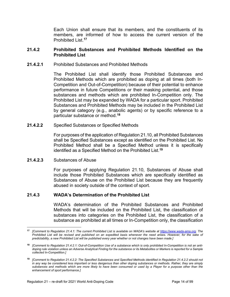Each Union shall ensure that its members, and the constituents of its members, are informed of how to access the current version of the Prohibited List. **[17](#page-15-0)**

#### **21.4.2 Prohibited Substances and Prohibited Methods Identified on the Prohibited List**

**21.4.2.1** Prohibited Substances and Prohibited Methods

The Prohibited List shall identify those Prohibited Substances and Prohibited Methods which are prohibited as doping at all times (both In-Competition and Out-of-Competition) because of their potential to enhance performance in future Competitions or their masking potential, and those substances and methods which are prohibited In-Competition only. The Prohibited List may be expanded by WADA for a particular sport. Prohibited Substances and Prohibited Methods may be included in the Prohibited List by general category (e.g., anabolic agents) or by specific reference to a particular substance or method.**[18](#page-15-1)**

**21.4.2.2** Specified Substances or Specified Methods

For purposes of the application of Regulation 21.10, all Prohibited Substances shall be Specified Substances except as identified on the Prohibited List. No Prohibited Method shall be a Specified Method unless it is specifically identified as a Specified Method on the Prohibited List.**[19](#page-15-2)**

**21.4.2.3** Substances of Abuse

For purposes of applying Regulation 21.10, Substances of Abuse shall include those Prohibited Substances which are specifically identified as Substances of Abuse on the Prohibited List because they are frequently abused in society outside of the context of sport.

#### **21.4.3 WADA's Determination of the Prohibited List**

WADA's determination of the Prohibited Substances and Prohibited Methods that will be included on the Prohibited List, the classification of substances into categories on the Prohibited List, the classification of a substance as prohibited at all times or In-Competition only, the classification

<span id="page-15-0"></span>**<sup>17</sup>** *[Comment to Regulation 21.4.1: The current Prohibited List is available on WADA's website at [https://www.wada-ama.org.](https://www.wada-ama.org/) The Prohibited List will be revised and published on an expedited basis whenever the need arises. However, for the sake of predictability, a new Prohibited List will be published every year whether or not changes have been made.]* 

<span id="page-15-1"></span>**<sup>18</sup>** *[Comment to Regulation 21.4.2.1: Out-of-Competition Use of a substance which is only prohibited In-Competition is not an antidoping rule violation unless an Adverse Analytical Finding for the substance or its Metabolites or Markers is reported for a Sample collected In-Competition.]*

<span id="page-15-2"></span>**<sup>19</sup>** *[Comment to Regulation 21.4.2.2: The Specified Substances and Specified Methods identified in Regulation 21.4.2.2 should not in any way be considered less important or less dangerous than other doping substances or methods. Rather, they are simply substances and methods which are more likely to have been consumed or used by a Player for a purpose other than the enhancement of sport performance.]*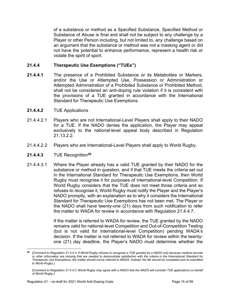of a substance or method as a Specified Substance, Specified Method or Substance of Abuse is final and shall not be subject to any challenge by a Player or other Person including, but not limited to, any challenge based on an argument that the substance or method was not a masking agent or did not have the potential to enhance performance, represent a health risk or violate the spirit of sport.

## **21.4.4 Therapeutic Use Exemptions ("TUEs")**

- **21.4.4.1** The presence of a Prohibited Substance or its Metabolites or Markers, and/or the Use or Attempted Use, Possession or Administration or Attempted Administration of a Prohibited Substance or Prohibited Method, shall not be considered an anti-doping rule violation if it is consistent with the provisions of a TUE granted in accordance with the International Standard for Therapeutic Use Exemptions.
- **21.4.4.2** TUE Applications
- 21.4.4.2.1 Players who are not International-Level Players shall apply to their NADO for a TUE. If the NADO denies the application, the Player may appeal exclusively to the national-level appeal body described in Regulation 21.13.2.2.
- 21.4.4.2.2 Players who are International-Level Players shall apply to World Rugby.
- **21.4.4.3** TUE Recognition**[20](#page-16-0)**
- 21.4.4.3.1 Where the Player already has a valid TUE granted by their NADO for the substance or method in question, and if that TUE meets the criteria set out in the International Standard for Therapeutic Use Exemptions, then World Rugby must recognise it for purposes of international-level Competition. If World Rugby considers that the TUE does not meet those criteria and so refuses to recognise it, World Rugby must notify the Player and the Player's NADO promptly, with an explanation as to why it considers the International Standard for Therapeutic Use Exemptions has not been met. The Player or the NADO shall have twenty-one (21) days from such notification to refer the matter to WADA for review in accordance with Regulation 21.4.4.7.

If the matter is referred to WADA for review, the TUE granted by the NADO remains valid for national-level Competition and Out-of-Competition Testing (but is not valid for international-level Competition) pending WADA's decision. If the matter is not referred to WADA for review within the twentyone (21) day deadline, the Player's NADO must determine whether the

<span id="page-16-0"></span>**<sup>20</sup>** *[Comment to Regulation 21.4.4.3: If World Rugby refuses to recognise a TUE granted by a NADO only because medical records or other information are missing that are needed to demonstrate satisfaction with the criteria in the International Standard for Therapeutic Use Exemptions, the matter should not be referred to WADA. Instead, the file should be completed and re-submitted to World Rugby.]*

*<sup>[</sup>Comment to Regulation 21.4.4.3: World Rugby may agree with a NADO that the NADO will consider TUE applications on behalf of World Rugby.]*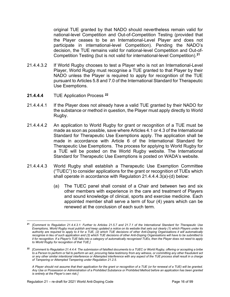original TUE granted by that NADO should nevertheless remain valid for national-level Competition and Out-of-Competition Testing (provided that the Player ceases to be an International-Level Player and does not participate in international-level Competition). Pending the NADO's decision, the TUE remains valid for national-level Competition and Out-of-Competition Testing (but is not valid for international-level Competition).**[21](#page-17-0)**

- 21.4.4.3.2 If World Rugby chooses to test a Player who is not an International-Level Player, World Rugby must recognise a TUE granted to that Player by their NADO unless the Player is required to apply for recognition of the TUE pursuant to Articles 5.8 and 7.0 of the International Standard for Therapeutic Use Exemptions.
- **21.4.4.4** TUE Application Process **[22](#page-17-1)**
- 21.4.4.4.1 If the Player does not already have a valid TUE granted by their NADO for the substance or method in question, the Player must apply directly to World Rugby.
- 21.4.4.4.2 An application to World Rugby for grant or recognition of a TUE must be made as soon as possible, save where Articles 4.1 or 4.3 of the International Standard for Therapeutic Use Exemptions apply. The application shall be made in accordance with Article 6 of the International Standard for Therapeutic Use Exemptions. The process for applying to World Rugby for a TUE will be posted on the World Rugby website. The International Standard for Therapeutic Use Exemptions is posted on WADA's website.
- 21.4.4.4.3 World Rugby shall establish a Therapeutic Use Exemption Committee ("TUEC") to consider applications for the grant or recognition of TUEs which shall operate in accordance with Regulation 21.4.4.4.3(a)-(d) below:
	- (a) The TUEC panel shall consist of a Chair and between two and six other members with experience in the care and treatment of Players and sound knowledge of clinical, sports and exercise medicine. Each appointed member shall serve a term of four (4) years which can be renewed at the conclusion of each such term.

<span id="page-17-0"></span>**<sup>21</sup>** *[Comment to Regulation 21.4.4.3.1: Further to Articles 21.5.7 and 21.7.1 of the International Standard for Therapeutic Use Exemptions, World Rugby must publish and keep updated a notice on its website that sets out clearly (1) which Players under its authority are required to apply to it for a TUE, (2) which TUE decisions of other Anti-Doping Organisations it will automatically recognise in lieu of such application and (3) which TUE decisions of other Anti-Doping Organisations will have to be submitted to it for recognition. If a Player's TUE falls into a category of automatically recognised TUEs, then the Player does not need to apply to World Rugby for recognition of that TUE.]*

<span id="page-17-1"></span>**<sup>22</sup>** *[Comment to Regulation 21.4.4.4: The submission of falsified documents to a TUEC or World Rugby, offering or accepting a bribe to a Person to perform or fail to perform an act, procuring false testimony from any witness, or committing any other fraudulent act or any other similar intentional interference or Attempted interference with any aspect of the TUE process shall result in a charge of Tampering or Attempted Tampering under Regulation 21.2.5.*

*A Player should not assume that their application for the grant or recognition of a TUE (or for renewal of a TUE) will be granted. Any Use or Possession or Administration of a Prohibited Substance or Prohibited Method before an application has been granted is entirely at the Player's own risk.]*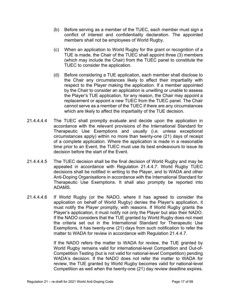- (b) Before serving as a member of the TUEC, each member must sign a conflict of interest and confidentiality declaration. The appointed members shall not be employees of World Rugby.
- (c) When an application to World Rugby for the grant or recognition of a TUE is made, the Chair of the TUEC shall appoint three (3) members (which may include the Chair) from the TUEC panel to constitute the TUEC to consider the application.
- (d) Before considering a TUE application, each member shall disclose to the Chair any circumstances likely to affect their impartiality with respect to the Player making the application. If a member appointed by the Chair to consider an application is unwilling or unable to assess the Player's TUE application, for any reason, the Chair may appoint a replacement or appoint a new TUEC from the TUEC panel. The Chair cannot serve as a member of the TUEC if there are any circumstances which are likely to affect the impartiality of the TUE decision.
- 21.4.4.4.4 The TUEC shall promptly evaluate and decide upon the application in accordance with the relevant provisions of the International Standard for Therapeutic Use Exemptions and usually (i.e. unless exceptional circumstances apply) within no more than twenty-one (21) days of receipt of a complete application. Where the application is made in a reasonable time prior to an Event, the TUEC must use its best endeavours to issue its decision before the start of the Event.
- 21.4.4.4.5 The TUEC decision shall be the final decision of World Rugby and may be appealed in accordance with Regulation 21.4.4.7. World Rugby TUEC decisions shall be notified in writing to the Player, and to WADA and other Anti-Doping Organisations in accordance with the International Standard for Therapeutic Use Exemptions. It shall also promptly be reported into ADAMS.
- 21.4.4.4.6 If World Rugby (or the NADO, where it has agreed to consider the application on behalf of World Rugby) denies the Player's application, it must notify the Player promptly, with reasons. If World Rugby grants the Player's application, it must notify not only the Player but also their NADO. If the NADO considers that the TUE granted by World Rugby does not meet the criteria set out in the International Standard for Therapeutic Use Exemptions, it has twenty-one (21) days from such notification to refer the matter to WADA for review in accordance with Regulation 21.4.4.7.

If the NADO refers the matter to WADA for review, the TUE granted by World Rugby remains valid for international-level Competition and Out-of-Competition Testing (but is not valid for national-level Competition) pending WADA's decision. If the NADO does not refer the matter to WADA for review, the TUE granted by World Rugby becomes valid for national-level Competition as well when the twenty-one (21) day review deadline expires.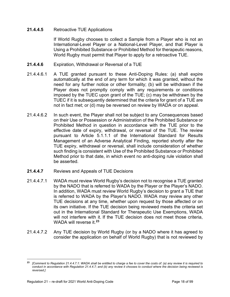## **21.4.4.5** Retroactive TUE Applications

If World Rugby chooses to collect a Sample from a Player who is not an International-Level Player or a National-Level Player, and that Player is Using a Prohibited Substance or Prohibited Method for therapeutic reasons, World Rugby must permit that Player to apply for a retroactive TUE.

- **21.4.4.6** Expiration, Withdrawal or Reversal of a TUE
- 21.4.4.6.1 A TUE granted pursuant to these Anti-Doping Rules: (a) shall expire automatically at the end of any term for which it was granted, without the need for any further notice or other formality; (b) will be withdrawn if the Player does not promptly comply with any requirements or conditions imposed by the TUEC upon grant of the TUE; (c) may be withdrawn by the TUEC if it is subsequently determined that the criteria for grant of a TUE are not in fact met; or (d) may be reversed on review by WADA or on appeal.
- 21.4.4.6.2 In such event, the Player shall not be subject to any Consequences based on their Use or Possession or Administration of the Prohibited Substance or Prohibited Method in question in accordance with the TUE prior to the effective date of expiry, withdrawal, or reversal of the TUE. The review pursuant to Article 5.1.1.1 of the International Standard for Results Management of an Adverse Analytical Finding, reported shortly after the TUE expiry, withdrawal or reversal, shall include consideration of whether such finding is consistent with Use of the Prohibited Substance or Prohibited Method prior to that date, in which event no anti-doping rule violation shall be asserted.
- **21.4.4.7** Reviews and Appeals of TUE Decisions
- 21.4.4.7.1WADA must review World Rugby's decision not to recognise a TUE granted by the NADO that is referred to WADA by the Player or the Player's NADO. In addition, WADA must review World Rugby's decision to grant a TUE that is referred to WADA by the Player's NADO. WADA may review any other TUE decisions at any time, whether upon request by those affected or on its own initiative. If the TUE decision being reviewed meets the criteria set out in the International Standard for Therapeutic Use Exemptions, WADA will not interfere with it. If the TUE decision does not meet those criteria, WADA will reverse it.**[23](#page-19-0)**
- 21.4.4.7.2 Any TUE decision by World Rugby (or by a NADO where it has agreed to consider the application on behalf of World Rugby) that is not reviewed by

<span id="page-19-0"></span>**<sup>23</sup>** *[Comment to Regulation 21.4.4.7.1: WADA shall be entitled to charge a fee to cover the costs of: (a) any review it is required to conduct in accordance with Regulation 21.4.4.7; and (b) any review it chooses to conduct where the decision being reviewed is reversed.]*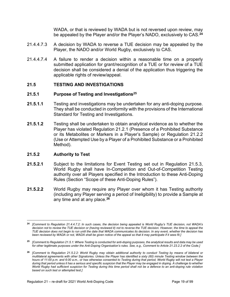WADA, or that is reviewed by WADA but is not reversed upon review, may be appealed by the Player and/or the Player's NADO, exclusively to CAS.**[24](#page-20-1)**

- 21.4.4.7.3 A decision by WADA to reverse a TUE decision may be appealed by the Player, the NADO and/or World Rugby, exclusively to CAS.
- 21.4.4.7.4A failure to render a decision within a reasonable time on a properly submitted application for grant/recognition of a TUE or for review of a TUE decision shall be considered a denial of the application thus triggering the applicable rights of review/appeal.

## <span id="page-20-0"></span>**21.5 TESTING AND INVESTIGATIONS**

#### **21.5.1 Purpose of Testing and Investigations[25](#page-20-2)**

- **21.5.1.1** Testing and investigations may be undertaken for any anti-doping purpose. They shall be conducted in conformity with the provisions of the International Standard for Testing and Investigations.
- **21.5.1.2** Testing shall be undertaken to obtain analytical evidence as to whether the Player has violated Regulation 21.2.1 (Presence of a Prohibited Substance or its Metabolites or Markers in a Player's Sample) or Regulation 21.2.2 (Use or Attempted Use by a Player of a Prohibited Substance or a Prohibited Method).

#### **21.5.2 Authority to Test**

- **21.5.2.1** Subject to the limitations for Event Testing set out in Regulation 21.5.3, World Rugby shall have In-Competition and Out-of-Competition Testing authority over all Players specified in the Introduction to these Anti-Doping Rules (Section "Scope of these Anti-Doping Rules").
- **21.5.2.2** World Rugby may require any Player over whom it has Testing authority (including any Player serving a period of Ineligibility) to provide a Sample at any time and at any place.**[26](#page-20-3)**

<span id="page-20-1"></span>**<sup>24</sup>** *[Comment to Regulation 21.4.4.7.2: In such cases, the decision being appealed is World Rugby's TUE decision, not WADA's decision not to review the TUE decision or (having reviewed it) not to reverse the TUE decision. However, the time to appeal the TUE decision does not begin to run until the date that WADA communicates its decision. In any event, whether the decision has been reviewed by WADA or not, WADA shall be given notice of the appeal so that it may participate if it sees fit.]*

<span id="page-20-2"></span>**<sup>25</sup>** *[Comment to Regulation 21.5.1: Where Testing is conducted for anti-doping purposes, the analytical results and data may be used for other legitimate purposes under the Anti-Doping Organisation's rules. See, e.g., Comment to Article 21.23.2.2 of the Code.]*

<span id="page-20-3"></span>**<sup>26</sup>** *[Comment to Regulation 21.5.2.2: World Rugby may obtain additional authority to conduct Testing by means of bilateral or multilateral agreements with other Signatories. Unless the Player has identified a sixty (60) minute Testing window between the hours of 11:00 p.m. and 6:00 a.m., or has otherwise consented to Testing during that period, World Rugby will not test a Player during that period unless it has a serious and specific suspicion that the Player may be engaged in doping. A challenge to whether World Rugby had sufficient suspicion for Testing during this time period shall not be a defence to an anti-doping rule violation based on such test or attempted test.]*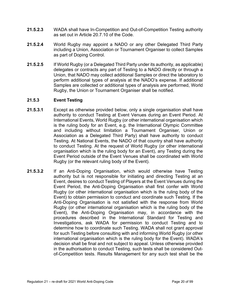- **21.5.2.3** WADA shall have In-Competition and Out-of-Competition Testing authority as set out in Article 20.7.10 of the Code.
- **21.5.2.4** World Rugby may appoint a NADO or any other Delegated Third Party including a Union, Association or Tournament Organiser to collect Samples as part of Doping Control.
- **21.5.2.5** If World Rugby (or a Delegated Third Party under its authority, as applicable) delegates or contracts any part of Testing to a NADO directly or through a Union, that NADO may collect additional Samples or direct the laboratory to perform additional types of analysis at the NADO's expense. If additional Samples are collected or additional types of analysis are performed, World Rugby, the Union or Tournament Organiser shall be notified.

#### **21.5.3 Event Testing**

- **21.5.3.1** Except as otherwise provided below, only a single organisation shall have authority to conduct Testing at Event Venues during an Event Period. At International Events, World Rugby (or other international organisation which is the ruling body for an Event, e.g. the International Olympic Committee and including without limitation a Tournament Organiser, Union or Association as a Delegated Third Party) shall have authority to conduct Testing. At National Events, the NADO of that country shall have authority to conduct Testing. At the request of World Rugby (or other international organisation which is the ruling body for an Event), any Testing during the Event Period outside of the Event Venues shall be coordinated with World Rugby (or the relevant ruling body of the Event).
- **21.5.3.2** If an Anti-Doping Organisation, which would otherwise have Testing authority but is not responsible for initiating and directing Testing at an Event, desires to conduct Testing of Players at the Event Venues during the Event Period, the Anti-Doping Organisation shall first confer with World Rugby (or other international organisation which is the ruling body of the Event) to obtain permission to conduct and coordinate such Testing. If the Anti-Doping Organisation is not satisfied with the response from World Rugby (or other international organisation which is the ruling body of the Event), the Anti-Doping Organisation may, in accordance with the procedures described in the International Standard for Testing and Investigations, ask WADA for permission to conduct Testing and to determine how to coordinate such Testing. WADA shall not grant approval for such Testing before consulting with and informing World Rugby (or other international organisation which is the ruling body for the Event). WADA's decision shall be final and not subject to appeal. Unless otherwise provided in the authorisation to conduct Testing, such tests shall be considered Outof-Competition tests. Results Management for any such test shall be the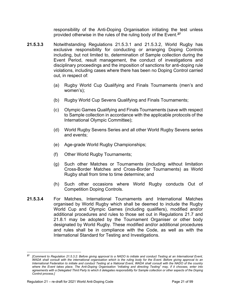responsibility of the Anti-Doping Organisation initiating the test unless provided otherwise in the rules of the ruling body of the Event. **[27](#page-22-0)**

- **21.5.3.3** Notwithstanding Regulations 21.5.3.1 and 21.5.3.2, World Rugby has exclusive responsibility for conducting or arranging Doping Controls including, but not limited to, determination of Sample collection during the Event Period, result management, the conduct of investigations and disciplinary proceedings and the imposition of sanctions for anti-doping rule violations, including cases where there has been no Doping Control carried out, in respect of:
	- (a) Rugby World Cup Qualifying and Finals Tournaments (men's and women's);
	- (b) Rugby World Cup Sevens Qualifying and Finals Tournaments;
	- (c) Olympic Games Qualifying and Finals Tournaments (save with respect to Sample collection in accordance with the applicable protocols of the International Olympic Committee);
	- (d) World Rugby Sevens Series and all other World Rugby Sevens series and events;
	- (e) Age-grade World Rugby Championships;
	- (f) Other World Rugby Tournaments;
	- (g) Such other Matches or Tournaments (including without limitation Cross-Border Matches and Cross-Border Tournaments) as World Rugby shall from time to time determine; and
	- (h) Such other occasions where World Rugby conducts Out of Competition Doping Controls.
- **21.5.3.4** For Matches, International Tournaments and International Matches organised by World Rugby which shall be deemed to include the Rugby World Cup and Olympic Games (including qualifiers), modified and/or additional procedures and rules to those set out in Regulations 21.7 and 21.8.1 may be adopted by the Tournament Organiser or other body designated by World Rugby. These modified and/or additional procedures and rules shall be in compliance with the Code, as well as with the International Standard for Testing and Investigations.

<span id="page-22-0"></span>**<sup>27</sup>** *[Comment to Regulation 21.5.3.2: Before giving approval to a NADO to initiate and conduct Testing at an International Event, WADA shall consult with the international organisation which is the ruling body for the Event. Before giving approval to an International Federation to initiate and conduct Testing at a National Event, WADA shall consult with the NADO of the country where the Event takes place. The Anti-Doping Organisation "initiating and directing Testing" may, if it chooses, enter into agreements with a Delegated Third Party to which it delegates responsibility for Sample collection or other aspects of the Doping Control process.]*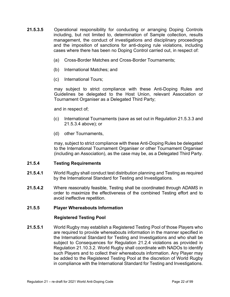- **21.5.3.5** Operational responsibility for conducting or arranging Doping Controls including, but not limited to, determination of Sample collection, results management, the conduct of investigations and disciplinary proceedings and the imposition of sanctions for anti-doping rule violations, including cases where there has been no Doping Control carried out, in respect of:
	- (a) Cross-Border Matches and Cross-Border Tournaments;
	- (b) International Matches; and
	- (c) International Tours;

may subject to strict compliance with these Anti-Doping Rules and Guidelines be delegated to the Host Union, relevant Association or Tournament Organiser as a Delegated Third Party;

and in respect of;

- (c) International Tournaments (save as set out in Regulation 21.5.3.3 and 21.5.3.4 above); or
- (d) other Tournaments,

may, subject to strict compliance with these Anti-Doping Rules be delegated to the International Tournament Organiser or other Tournament Organiser (including an Association), as the case may be, as a Delegated Third Party.

#### **21.5.4 Testing Requirements**

- **21.5.4.1** World Rugby shall conduct test distribution planning and Testing as required by the International Standard for Testing and Investigations.
- **21.5.4.2** Where reasonably feasible, Testing shall be coordinated through ADAMS in order to maximize the effectiveness of the combined Testing effort and to avoid ineffective repetition.

#### **21.5.5 Player Whereabouts Information**

#### **Registered Testing Pool**

**21.5.5.1** World Rugby may establish a Registered Testing Pool of those Players who are required to provide whereabouts information in the manner specified in the International Standard for Testing and Investigations and who shall be subject to Consequences for Regulation 21.2.4 violations as provided in Regulation 21.10.3.2. World Rugby shall coordinate with NADOs to identify such Players and to collect their whereabouts information. Any Player may be added to the Registered Testing Pool at the discretion of World Rugby in compliance with the International Standard for Testing and Investigations.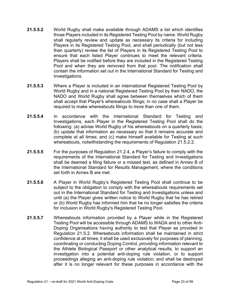- **21.5.5.2** World Rugby shall make available through ADAMS a list which identifies those Players included in its Registered Testing Pool by name. World Rugby shall regularly review and update as necessary its criteria for including Players in its Registered Testing Pool, and shall periodically (but not less than quarterly) review the list of Players in its Registered Testing Pool to ensure that each listed Player continues to meet the relevant criteria. Players shall be notified before they are included in the Registered Testing Pool and when they are removed from that pool. The notification shall contain the information set out in the International Standard for Testing and Investigations.
- **21.5.5.3** Where a Player is included in an international Registered Testing Pool by World Rugby and in a national Registered Testing Pool by their NADO, the NADO and World Rugby shall agree between themselves which of them shall accept that Player's whereabouts filings; in no case shall a Player be required to make whereabouts filings to more than one of them.
- **21.5.5.4** In accordance with the International Standard for Testing and Investigations, each Player in the Registered Testing Pool shall do the following: (a) advise World Rugby of his whereabouts on a quarterly basis; (b) update that information as necessary so that it remains accurate and complete at all times; and (c) make himself available for Testing at such whereabouts, notwithstanding the requirements of Regulation 21.5.2.2.
- **21.5.5.5** For the purposes of Regulation 21.2.4, a Player's failure to comply with the requirements of the International Standard for Testing and Investigations shall be deemed a filing failure or a missed test, as defined in Annex B of the International Standard for Results Management, where the conditions set forth in Annex B are met.
- **21.5.5.6** A Player in World Rugby's Registered Testing Pool shall continue to be subject to the obligation to comply with the whereabouts requirements set out in the International Standard for Testing and Investigations unless and until (a) the Player gives written notice to World Rugby that he has retired or (b) World Rugby has informed him that he no longer satisfies the criteria for inclusion in World Rugby's Registered Testing Pool.
- **21.5.5.7** Whereabouts information provided by a Player while in the Registered Testing Pool will be accessible through ADAMS to WADA and to other Anti-Doping Organisations having authority to test that Player as provided in Regulation 21.5.2. Whereabouts information shall be maintained in strict confidence at all times; it shall be used exclusively for purposes of planning, coordinating or conducting Doping Control, providing information relevant to the Athlete Biological Passport or other analytical results, to support an investigation into a potential anti-doping rule violation, or to support proceedings alleging an anti-doping rule violation; and shall be destroyed after it is no longer relevant for these purposes in accordance with the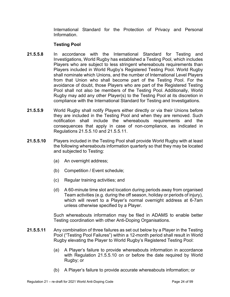International Standard for the Protection of Privacy and Personal Information.

## **Testing Pool**

- **21.5.5.8** In accordance with the International Standard for Testing and Investigations, World Rugby has established a Testing Pool, which includes Players who are subject to less stringent whereabouts requirements than Players included in World Rugby's Registered Testing Pool. World Rugby shall nominate which Unions, and the number of International Level Players from that Union who shall become part of the Testing Pool. For the avoidance of doubt, those Players who are part of the Registered Testing Pool shall not also be members of the Testing Pool. Additionally, World Rugby may add any other Player(s) to the Testing Pool at its discretion in compliance with the International Standard for Testing and Investigations.
- **21.5.5.9** World Rugby shall notify Players either directly or via their Unions before they are included in the Testing Pool and when they are removed. Such notification shall include the whereabouts requirements and the consequences that apply in case of non-compliance, as indicated in Regulations 21.5.5.10 and 21.5.5.11.
- **21.5.5.10** Players included in the Testing Pool shall provide World Rugby with at least the following whereabouts information quarterly so that they may be located and subjected to Testing:
	- (a) An overnight address;
	- (b) Competition / Event schedule;
	- (c) Regular training activities; and
	- (d) A 60-minute time slot and location during periods away from organised Team activities (e.g. during the off season, holiday or periods of injury), which will revert to a Player's normal overnight address at 6-7am unless otherwise specified by a Player.

Such whereabouts information may be filed in ADAMS to enable better Testing coordination with other Anti-Doping Organisations.

- **21.5.5.11** Any combination of three failures as set out below by a Player in the Testing Pool ("Testing Pool Failures") within a 12-month period shall result in World Rugby elevating the Player to World Rugby's Registered Testing Pool:
	- (a) A Player's failure to provide whereabouts information in accordance with Regulation 21.5.5.10 on or before the date required by World Rugby; or
	- (b) A Player's failure to provide accurate whereabouts information; or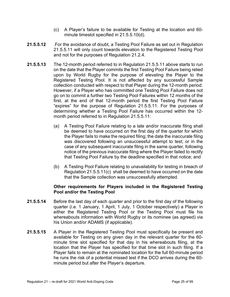- (c) A Player's failure to be available for Testing at the location and 60 minute timeslot specified in 21.5.5.10(d).
- **21.5.5.12** .For the avoidance of doubt, a Testing Pool Failure as set out in Regulation 21.5.5.11 will only count towards elevation to the Registered Testing Pool and not for the purposes of Regulation 21.2.4.
- **21.5.5.13** The 12-month period referred to in Regulation 21.5.5.11 above starts to run on the date that the Player commits the first Testing Pool Failure being relied upon by World Rugby for the purpose of elevating the Player to the Registered Testing Pool. It is not affected by any successful Sample collection conducted with respect to that Player during the 12-month period. However, if a Player who has committed one Testing Pool Failure does not go on to commit a further two Testing Pool Failures within 12 months of the first, at the end of that 12-month period the first Testing Pool Failure "expires" for the purpose of Regulation 21.5.5.11. For the purposes of determining whether a Testing Pool Failure has occurred within the 12 month period referred to in Regulation 21.5.5.11:
	- (a) A Testing Pool Failure relating to a late and/or inaccurate filing shall be deemed to have occurred on the first day of the quarter for which the Player fails to make the required filing; the date the inaccurate filing was discovered following an unsuccessful attempt to test; or in the case of any subsequent inaccurate filing in the same quarter, following notice of the previous inaccurate filing where the Player failed to rectify that Testing Pool Failure by the deadline specified in that notice; and
	- (b) A Testing Pool Failure relating to unavailability for testing in breach of Regulation 21.5.5.11(c) shall be deemed to have occurred on the date that the Sample collection was unsuccessfully attempted.

## **Other requirements for Players included in the Registered Testing Pool and/or the Testing Pool**

- **21.5.5.14** Before the last day of each quarter and prior to the first day of the following quarter (i.e. 1 January, 1 April, 1 July, 1 October respectively) a Player in either the Registered Testing Pool or the Testing Pool must file his whereabouts information with World Rugby or its nominee (as agreed) via his Union and/or ADAMS (if applicable).
- **21.5.5.15** A Player in the Registered Testing Pool must specifically be present and available for Testing on any given day in the relevant quarter for the 60 minute time slot specified for that day in his whereabouts filing, at the location that the Player has specified for that time slot in such filing. If a Player fails to remain at the nominated location for the full 60-minute period he runs the risk of a potential missed test if the DCO arrives during the 60 minute period but after the Player's departure.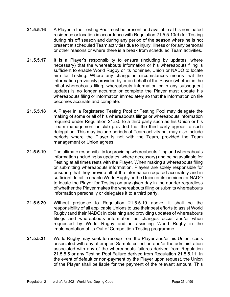- **21.5.5.16** A Player in the Testing Pool must be present and available at his nominated residence or location in accordance with Regulation 21.5.5.10(d) for Testing during his off season and during any period of the season where he is not present at scheduled Team activities due to injury, illness or for any personal or other reasons or where there is a break from scheduled Team activities.
- **21.5.5.17** It is a Player's responsibility to ensure (including by updates, where necessary) that the whereabouts information or his whereabouts filing is sufficient to enable World Rugby or its nominee, Union or NADO to locate him for Testing. Where any change in circumstances means that the information previously provided by or on behalf of the Player (whether in the initial whereabouts filing, whereabouts information or in any subsequent update) is no longer accurate or complete the Player must update his whereabouts filing or information immediately so that the information on file becomes accurate and complete.
- **21.5.5.18** A Player in a Registered Testing Pool or Testing Pool may delegate the making of some or all of his whereabouts filings or whereabouts information required under Regulation 21.5.5 to a third party such as his Union or his Team management or club provided that the third party agrees to such delegation. This may include periods of Team activity but may also include periods where the Player is not with the Team, provided the Team management or Union agrees.
- **21.5.5.19** The ultimate responsibility for providing whereabouts filing and whereabouts information (including by updates, where necessary) and being available for Testing at all times rests with the Player. When making a whereabouts filing or submitting whereabouts information, Players are solely responsible for ensuring that they provide all of the information required accurately and in sufficient detail to enable World Rugby or the Union or its nominee or NADO to locate the Player for Testing on any given day in the quarter regardless of whether the Player makes the whereabouts filing or submits whereabouts information personally or delegates it to a third party.
- **21.5.5.20** Without prejudice to Regulation 21.5.5.19 above, it shall be the responsibility of all applicable Unions to use their best efforts to assist World Rugby (and their NADO) in obtaining and providing updates of whereabouts filings and whereabouts information as changes occur and/or when requested by World Rugby and in assisting World Rugby in the implementation of its Out of Competition Testing programme.
- **21.5.5.21** World Rugby may seek to recoup from the Player and/or his Union, costs associated with any attempted Sample collection and/or the administration associated with any of the whereabouts failures derived from Regulation 21.5.5.5 or any Testing Pool Failure derived from Regulation 21.5.5.11. In the event of default or non-payment by the Player upon request, the Union of the Player shall be liable for the payment of the relevant amount. This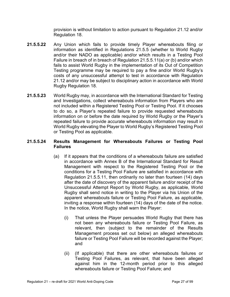provision is without limitation to action pursuant to Regulation 21.12 and/or Regulation 18.

- **21.5.5.22** Any Union which fails to provide timely Player whereabouts filing or information as identified in Regulations 21.5.5 (whether to World Rugby and/or their NADO as applicable) and/or which results in a Testing Pool Failure in breach of in breach of Regulation 21.5.5.11(a) or (b) and/or which fails to assist World Rugby in the implementation of its Out of Competition Testing programme may be required to pay a fine and/or World Rugby's costs of any unsuccessful attempt to test in accordance with Regulation 21.12 and/or may be subject to disciplinary action in accordance with World Rugby Regulation 18.
- **21.5.5.23** World Rugby may, in accordance with the International Standard for Testing and Investigations, collect whereabouts information from Players who are not included within a Registered Testing Pool or Testing Pool. If it chooses to do so, a Player's repeated failure to provide requested whereabouts information on or before the date required by World Rugby or the Player's repeated failure to provide accurate whereabouts information may result in World Rugby elevating the Player to World Rugby's Registered Testing Pool or Testing Pool as applicable.

#### **21.5.5.24 Results Management for Whereabouts Failures or Testing Pool Failures**

- (a) If it appears that the conditions of a whereabouts failure are satisfied in accordance with Annex B of the International Standard for Result Management with respect to the Registered Testing Pool or the conditions for a Testing Pool Failure are satisfied in accordance with Regulation 21.5.5.11, then ordinarily no later than fourteen (14) days after the date of discovery of the apparent failure and/or receipt of the Unsuccessful Attempt Report by World Rugby, as applicable, World Rugby shall send notice in writing to the Player via his Union of the apparent whereabouts failure or Testing Pool Failure, as applicable, inviting a response within fourteen (14) days of the date of the notice. In the notice, World Rugby shall warn the Player:
	- (i) That unless the Player persuades World Rugby that there has not been any whereabouts failure or Testing Pool Failure, as relevant, then (subject to the remainder of the Results Management process set out below) an alleged whereabouts failure or Testing Pool Failure will be recorded against the Player; and
	- (ii) (If applicable) that there are other whereabouts failures or Testing Pool Failures, as relevant, that have been alleged against him in the 12-month period prior to this alleged whereabouts failure or Testing Pool Failure; and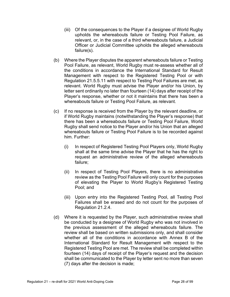- (iii) Of the consequences to the Player if a designee of World Rugby upholds the whereabouts failure or Testing Pool Failure, as relevant, or, in the case of a third whereabouts failure, a Judicial Officer or Judicial Committee upholds the alleged whereabouts failure(s).
- (b) Where the Player disputes the apparent whereabouts failure or Testing Pool Failure, as relevant, World Rugby must re-assess whether all of the conditions in accordance the International Standard for Result Management with respect to the Registered Testing Pool or with Regulation 21.5.5.11 with respect to Testing Pool Failures are met, as relevant. World Rugby must advise the Player and/or his Union, by letter sent ordinarily no later than fourteen (14) days after receipt of the Player's response, whether or not it maintains that there has been a whereabouts failure or Testing Pool Failure, as relevant.
- (c) If no response is received from the Player by the relevant deadline, or if World Rugby maintains (notwithstanding the Player's response) that there has been a whereabouts failure or Testing Pool Failure, World Rugby shall send notice to the Player and/or his Union that an alleged whereabouts failure or Testing Pool Failure is to be recorded against him. Further:
	- (i) In respect of Registered Testing Pool Players only, World Rugby shall at the same time advise the Player that he has the right to request an administrative review of the alleged whereabouts failure;
	- (ii) In respect of Testing Pool Players, there is no administrative review as the Testing Pool Failure will only count for the purposes of elevating the Player to World Rugby's Registered Testing Pool; and
	- (iii) Upon entry into the Registered Testing Pool, all Testing Pool Failures shall be erased and do not count for the purposes of Regulation 21.2.4.
- (d) Where it is requested by the Player, such administrative review shall be conducted by a designee of World Rugby who was not involved in the previous assessment of the alleged whereabouts failure. The review shall be based on written submissions only, and shall consider whether all of the conditions in accordance with Annex B of the International Standard for Result Management with respect to the Registered Testing Pool are met. The review shall be completed within fourteen (14) days of receipt of the Player's request and the decision shall be communicated to the Player by letter sent no more than seven (7) days after the decision is made;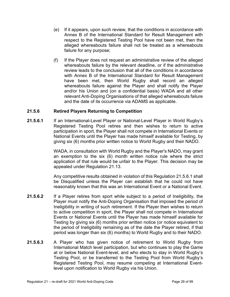- (e) If it appears, upon such review, that the conditions in accordance with Annex B of the International Standard for Result Management with respect to the Registered Testing Pool have not been met, then the alleged whereabouts failure shall not be treated as a whereabouts failure for any purpose;
- (f) If the Player does not request an administrative review of the alleged whereabouts failure by the relevant deadline, or if the administrative review leads to the conclusion that all of the conditions in accordance with Annex B of the International Standard for Result Management have been met, then World Rugby shall record an alleged whereabouts failure against the Player and shall notify the Player and/or his Union and (on a confidential basis) WADA and all other relevant Anti-Doping Organisations of that alleged whereabouts failure and the date of its occurrence via ADAMS as applicable.

## **21.5.6 Retired Players Returning to Competition**

**21.5.6.1** If an International-Level Player or National-Level Player in World Rugby's Registered Testing Pool retires and then wishes to return to active participation in sport, the Player shall not compete in International Events or National Events until the Player has made himself available for Testing, by giving six (6) months prior written notice to World Rugby and their NADO.

> WADA, in consultation with World Rugby and the Player's NADO, may grant an exemption to the six (6) month written notice rule where the strict application of that rule would be unfair to the Player. This decision may be appealed under Regulation 21.13.

> Any competitive results obtained in violation of this Regulation 21.5.6.1 shall be Disqualified unless the Player can establish that he could not have reasonably known that this was an International Event or a National Event.

- **21.5.6.2** If a Player retires from sport while subject to a period of Ineligibility, the Player must notify the Anti-Doping Organisation that imposed the period of Ineligibility in writing of such retirement. If the Player then wishes to return to active competition in sport, the Player shall not compete in International Events or National Events until the Player has made himself available for Testing by giving six (6) months prior written notice (or notice equivalent to the period of Ineligibility remaining as of the date the Player retired, if that period was longer than six (6) months) to World Rugby and to their NADO.
- **21.5.6.3** A Player who has given notice of retirement to World Rugby from International Match level participation, but who continues to play the Game at or below National Event-level, and who elects to stay in World Rugby's Testing Pool, or be transferred to the Testing Pool from World Rugby's Registered Testing Pool, may resume competing at International Eventlevel upon notification to World Rugby via his Union.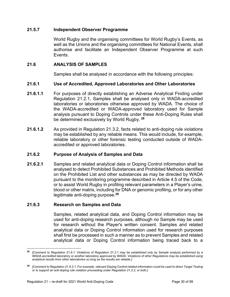### **21.5.7 Independent Observer Programme**

World Rugby and the organising committees for World Rugby's Events, as well as the Unions and the organising committees for National Events, shall authorise and facilitate an Independent Observer Programme at such Events.

### <span id="page-31-0"></span>**21.6 ANALYSIS OF SAMPLES**

Samples shall be analysed in accordance with the following principles:

#### **21.6.1 Use of Accredited, Approved Laboratories and Other Laboratories**

- **21.6.1.1** For purposes of directly establishing an Adverse Analytical Finding under Regulation 21.2.1, Samples shall be analysed only in WADA-accredited laboratories or laboratories otherwise approved by WADA. The choice of the WADA-accredited or WADA-approved laboratory used for Sample analysis pursuant to Doping Controls under these Anti-Doping Rules shall be determined exclusively by World Rugby. **[28](#page-31-1)**
- **21.6.1.2** As provided in Regulation 21.3.2, facts related to anti-doping rule violations may be established by any reliable means. This would include, for example, reliable laboratory or other forensic testing conducted outside of WADAaccredited or approved laboratories.

#### **21.6.2 Purpose of Analysis of Samples and Data**

**21.6.2.1** Samples and related analytical data or Doping Control information shall be analysed to detect Prohibited Substances and Prohibited Methods identified on the Prohibited List and other substances as may be directed by WADA pursuant to the monitoring programme described in Article 4.5 of the Code, or to assist World Rugby in profiling relevant parameters in a Player's urine, blood or other matrix, including for DNA or genomic profiling, or for any other legitimate anti-doping purpose.**[29](#page-31-2)**

#### **21.6.3 Research on Samples and Data**

Samples, related analytical data, and Doping Control information may be used for anti-doping research purposes, although no Sample may be used for research without the Player's written consent. Samples and related analytical data or Doping Control information used for research purposes shall first be processed in such a manner as to prevent Samples and related analytical data or Doping Control information being traced back to a

<span id="page-31-1"></span>**<sup>28</sup>** *[Comment to Regulation 21.6.1: Violations of Regulation 21.2.1 may be established only by Sample analysis performed by a WADA-accredited laboratory or another laboratory approved by WADA. Violations of other Regulations may be established using analytical results from other laboratories so long as the results are reliable.]*

<span id="page-31-2"></span>**<sup>29</sup>** *[Comment to Regulation 21.6.2.1: For example, relevant Doping Control-related information could be used to direct Target Testing or to support an anti-doping rule violation proceeding under Regulation 21.2.2, or both.]*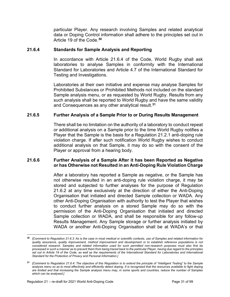particular Player. Any research involving Samples and related analytical data or Doping Control information shall adhere to the principles set out in Article 19 of the Code. **[30](#page-32-0)**

#### **21.6.4 Standards for Sample Analysis and Reporting**

In accordance with Article 21.6.4 of the Code, World Rugby shall ask laboratories to analyse Samples in conformity with the International Standard for Laboratories and Article 4.7 of the International Standard for Testing and Investigations.

Laboratories at their own initiative and expense may analyse Samples for Prohibited Substances or Prohibited Methods not included on the standard Sample analysis menu, or as requested by World Rugby. Results from any such analysis shall be reported to World Rugby and have the same validity and Consequences as any other analytical result.**[31](#page-32-1)**

#### **21.6.5 Further Analysis of a Sample Prior to or During Results Management**

There shall be no limitation on the authority of a laboratory to conduct repeat or additional analysis on a Sample prior to the time World Rugby notifies a Player that the Sample is the basis for a Regulation 21.2.1 anti-doping rule violation charge. If after such notification World Rugby wishes to conduct additional analysis on that Sample, it may do so with the consent of the Player or approval from a hearing body.

#### **21.6.6 Further Analysis of a Sample After it has been Reported as Negative or has Otherwise not Resulted in an Anti-Doping Rule Violation Charge**

After a laboratory has reported a Sample as negative, or the Sample has not otherwise resulted in an anti-doping rule violation charge, it may be stored and subjected to further analyses for the purpose of Regulation 21.6.2 at any time exclusively at the direction of either the Anti-Doping Organisation that initiated and directed Sample collection or WADA. Any other Anti-Doping Organisation with authority to test the Player that wishes to conduct further analysis on a stored Sample may do so with the permission of the Anti-Doping Organisation that initiated and directed Sample collection or WADA, and shall be responsible for any follow-up Results Management. Any Sample storage or further analysis initiated by WADA or another Anti-Doping Organisation shall be at WADA's or that

<span id="page-32-0"></span>**<sup>30</sup>** *[Comment to Regulation 21.6.3: As is the case in most medical or scientific contexts, use of Samples and related information for quality assurance, quality improvement, method improvement and development or to establish reference populations is not considered research. Samples and related information used for such permitted non-research purposes must also first be processed in such a manner as to prevent them from being traced back to the particular Player, having due regard to the principles set out in Article 19 of the Code, as well as the requirements of the International Standard for Laboratories and International Standard for the Protection of Privacy and Personal Information.]* 

<span id="page-32-1"></span>**<sup>31</sup>** *[Comment to Regulation 21.6.4: The objective of this Regulation is to extend the principle of "Intelligent Testing" to the Sample analysis menu so as to most effectively and efficiently detect doping. It is recognised that the resources available to fight doping are limited and that increasing the Sample analysis menu may, in some sports and countries, reduce the number of Samples which can be analysed.]*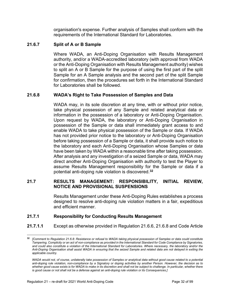organisation's expense. Further analysis of Samples shall conform with the requirements of the International Standard for Laboratories.

## **21.6.7 Split of A or B Sample**

Where WADA, an Anti-Doping Organisation with Results Management authority, and/or a WADA-accredited laboratory (with approval from WADA or the Anti-Doping Organisation with Results Management authority) wishes to split an A or B Sample for the purpose of using the first part of the split Sample for an A Sample analysis and the second part of the split Sample for confirmation, then the procedures set forth in the International Standard for Laboratories shall be followed.

#### **21.6.8 WADA's Right to Take Possession of Samples and Data**

WADA may, in its sole discretion at any time, with or without prior notice, take physical possession of any Sample and related analytical data or information in the possession of a laboratory or Anti-Doping Organisation. Upon request by WADA, the laboratory or Anti-Doping Organisation in possession of the Sample or data shall immediately grant access to and enable WADA to take physical possession of the Sample or data. If WADA has not provided prior notice to the laboratory or Anti-Doping Organisation before taking possession of a Sample or data, it shall provide such notice to the laboratory and each Anti-Doping Organisation whose Samples or data have been taken by WADA within a reasonable time after taking possession. After analysis and any investigation of a seized Sample or data, WADA may direct another Anti-Doping Organisation with authority to test the Player to assume Results Management responsibility for the Sample or data if a potential anti-doping rule violation is discovered.**[32](#page-33-1)**

#### <span id="page-33-0"></span>**21.7 RESULTS MANAGEMENT: RESPONSIBILITY, INITIAL REVIEW, NOTICE AND PROVISIONAL SUSPENSIONS**

Results Management under these Anti-Doping Rules establishes a process designed to resolve anti-doping rule violation matters in a fair, expeditious and efficient manner.

## **21.7.1 Responsibility for Conducting Results Management**

**21.7.1.1** Except as otherwise provided in Regulation 21.6.6, 21.6.8 and Code Article

<span id="page-33-1"></span>**<sup>32</sup>** *[Comment to Regulation 21.6.8: Resistance or refusal to WADA taking physical possession of Samples or data could constitute Tampering, Complicity or an act of non-compliance as provided in the International Standard for Code Compliance by Signatories, and could also constitute a violation of the International Standard for Laboratories. Where necessary, the laboratory and/or the Anti-Doping Organisation shall assist WADA in ensuring that the seized Sample and related data are not delayed in exiting the applicable country.*

WADA would not, of course, unilaterally take possession of Samples or analytical data without good cause related to a potential *anti-doping rule violation, non-compliance by a Signatory or doping activities by another Person. However, the decision as to whether good cause exists is for WADA to make in its discretion and shall not be subject to challenge. In particular, whether there is good cause or not shall not be a defense against an anti-doping rule violation or its Consequences.]*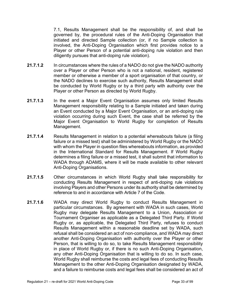7.1, Results Management shall be the responsibility of, and shall be governed by, the procedural rules of the Anti-Doping Organisation that initiated and directed Sample collection (or, if no Sample collection is involved, the Anti-Doping Organisation which first provides notice to a Player or other Person of a potential anti-doping rule violation and then diligently pursues that anti-doping rule violation).

- **21.7.1.2** In circumstances where the rules of a NADO do not give the NADO authority over a Player or other Person who is not a national, resident, registered member or otherwise a member of a sport organisation of that country, or the NADO declines to exercise such authority, Results Management shall be conducted by World Rugby or by a third party with authority over the Player or other Person as directed by World Rugby.
- **21.7.1.3** In the event a Major Event Organisation assumes only limited Results Management responsibility relating to a Sample initiated and taken during an Event conducted by a Major Event Organisation, or an anti-doping rule violation occurring during such Event, the case shall be referred by the Major Event Organisation to World Rugby for completion of Results Management.
- **21.7.1.4** Results Management in relation to a potential whereabouts failure (a filing failure or a missed test) shall be administered by World Rugby or the NADO with whom the Player in question files whereabouts information, as provided in the International Standard for Results Management. If World Rugby determines a filing failure or a missed test, it shall submit that information to WADA through ADAMS, where it will be made available to other relevant Anti-Doping Organisations.
- **21.7.1.5** Other circumstances in which World Rugby shall take responsibility for conducting Results Management in respect of anti-doping rule violations involving Players and other Persons under its authority shall be determined by reference to and in accordance with Article 7 of the Code.
- **21.7.1.6** WADA may direct World Rugby to conduct Results Management in particular circumstances. By agreement with WADA in such cases, World Rugby may delegate Results Management to a Union, Association or Tournament Organiser as applicable as a Delegated Third Party. If World Rugby or, as applicable, the Delegated Third Party, refuses to conduct Results Management within a reasonable deadline set by WADA, such refusal shall be considered an act of non-compliance, and WADA may direct another Anti-Doping Organisation with authority over the Player or other Person, that is willing to do so, to take Results Management responsibility in place of World Rugby or, if there is no such Anti-Doping Organisation, any other Anti-Doping Organisation that is willing to do so. In such case, World Rugby shall reimburse the costs and legal fees of conducting Results Management to the other Anti-Doping Organisation designated by WADA, and a failure to reimburse costs and legal fees shall be considered an act of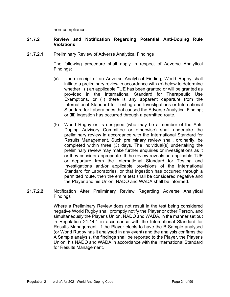non-compliance.

#### **21.7.2 Review and Notification Regarding Potential Anti-Doping Rule Violations**

**21.7.2.1** Preliminary Review of Adverse Analytical Findings

The following procedure shall apply in respect of Adverse Analytical Findings:

- (a) Upon receipt of an Adverse Analytical Finding, World Rugby shall initiate a preliminary review in accordance with (b) below to determine whether: (i) an applicable TUE has been granted or will be granted as provided in the International Standard for Therapeutic Use Exemptions, or (ii) there is any apparent departure from the International Standard for Testing and Investigations or International Standard for Laboratories that caused the Adverse Analytical Finding; or (iii) ingestion has occurred through a permitted route.
- (b) World Rugby or its designee (who may be a member of the Anti-Doping Advisory Committee or otherwise) shall undertake the preliminary review in accordance with the International Standard for Results Management. Such preliminary review shall, ordinarily, be completed within three (3) days. The individual(s) undertaking the preliminary review may make further enquiries or investigations as it or they consider appropriate. If the review reveals an applicable TUE or departure from the International Standard for Testing and Investigations and/or applicable provisions of the International Standard for Laboratories, or that ingestion has occurred through a permitted route, then the entire test shall be considered negative and the Player and his Union, NADO and WADA shall be informed.
- **21.7.2.2** Notification After Preliminary Review Regarding Adverse Analytical **Findings**

Where a Preliminary Review does not result in the test being considered negative World Rugby shall promptly notify the Player or other Person, and simultaneously the Player's Union, NADO and WADA, in the manner set out in Regulation 21.14.1 in accordance with the International Standard for Results Management. If the Player elects to have the B Sample analysed (or World Rugby has it analysed in any event) and the analysis confirms the A Sample analysis, the findings shall be reported to the Player, the Player's Union, his NADO and WADA in accordance with the International Standard for Results Management.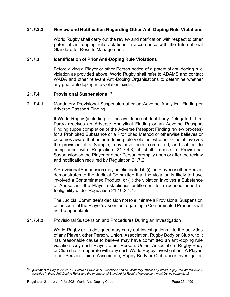## **21.7.2.3 Review and Notification Regarding Other Anti-Doping Rule Violations**

World Rugby shall carry out the review and notification with respect to other potential anti-doping rule violations in accordance with the International Standard for Results Management.

### **21.7.3 Identification of Prior Anti-Doping Rule Violations**

Before giving a Player or other Person notice of a potential anti-doping rule violation as provided above, World Rugby shall refer to ADAMS and contact WADA and other relevant Anti-Doping Organisations to determine whether any prior anti-doping rule violation exists.

#### **21.7.4 Provisional Suspensions [33](#page-36-0)**

**21.7.4.1** Mandatory Provisional Suspension after an Adverse Analytical Finding or Adverse Passport Finding

> If World Rugby (including for the avoidance of doubt any Delegated Third Party) receives an Adverse Analytical Finding or an Adverse Passport Finding (upon completion of the Adverse Passport Finding review process) for a Prohibited Substance or a Prohibited Method or otherwise believes or becomes aware that an anti-doping rule violation, whether or not it involves the provision of a Sample, may have been committed, and subject to compliance with Regulation 21.7.4.3, it shall impose a Provisional Suspension on the Player or other Person promptly upon or after the review and notification required by Regulation 21.7.2.

> A Provisional Suspension may be eliminated if: (i) the Player or other Person demonstrates to the Judicial Committee that the violation is likely to have involved a Contaminated Product, or (ii) the violation involves a Substance of Abuse and the Player establishes entitlement to a reduced period of Ineligibility under Regulation 21.10.2.4.1.

> The Judicial Committee's decision not to eliminate a Provisional Suspension on account of the Player's assertion regarding a Contaminated Product shall not be appealable.

**21.7.4.2** Provisional Suspension and Procedures During an Investigation

World Rugby or its designee may carry out investigations into the activities of any Player, other Person, Union, Association, Rugby Body or Club who it has reasonable cause to believe may have committed an anti-doping rule violation. Any such Player, other Person, Union, Association, Rugby Body or Club shall co-operate with any such World Rugby investigation. A Player, other Person, Union, Association, Rugby Body or Club under investigation

<span id="page-36-0"></span>**<sup>33</sup>** *[Comment to Regulation 21.7.4: Before a Provisional Suspension can be unilaterally imposed by World Rugby, the internal review specified in these Anti-Doping Rules and the International Standard* for *Results Management must first be completed.]*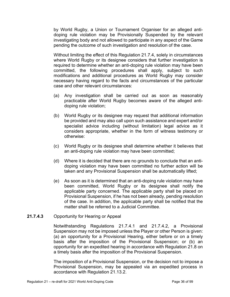by World Rugby, a Union or Tournament Organiser for an alleged antidoping rule violation may be Provisionally Suspended by the relevant investigating body and not allowed to participate in any aspect of the Game pending the outcome of such investigation and resolution of the case.

Without limiting the effect of this Regulation 21.7.4, solely in circumstances where World Rugby or its designee considers that further investigation is required to determine whether an anti-doping rule violation may have been committed, the following procedures shall apply, subject to such modifications and additional procedures as World Rugby may consider necessary having regard to the facts and circumstances of the particular case and other relevant circumstances:

- (a) Any investigation shall be carried out as soon as reasonably practicable after World Rugby becomes aware of the alleged antidoping rule violation;
- (b) World Rugby or its designee may request that additional information be provided and may also call upon such assistance and expert and/or specialist advice including (without limitation) legal advice as it considers appropriate, whether in the form of witness testimony or otherwise:
- (c) World Rugby or its designee shall determine whether it believes that an anti-doping rule violation may have been committed;
- (d) Where it is decided that there are no grounds to conclude that an antidoping violation may have been committed no further action will be taken and any Provisional Suspension shall be automatically lifted;
- (e) As soon as it is determined that an anti-doping rule violation may have been committed, World Rugby or its designee shall notify the applicable party concerned. The applicable party shall be placed on Provisional Suspension, if he has not been already, pending resolution of the case. In addition, the applicable party shall be notified that the matter shall be referred to a Judicial Committee.

## **21.7.4.3** Opportunity for Hearing or Appeal

Notwithstanding Regulations 21.7.4.1 and 21.7.4.2, a Provisional Suspension may not be imposed unless the Player or other Person is given: (a) an opportunity for a Provisional Hearing, either before or on a timely basis after the imposition of the Provisional Suspension; or (b) an opportunity for an expedited hearing in accordance with Regulation 21.8 on a timely basis after the imposition of the Provisional Suspension.

The imposition of a Provisional Suspension, or the decision not to impose a Provisional Suspension, may be appealed via an expedited process in accordance with Regulation 21.13.2.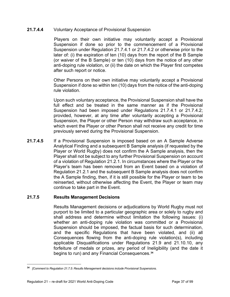## **21.7.4.4** Voluntary Acceptance of Provisional Suspension

Players on their own initiative may voluntarily accept a Provisional Suspension if done so prior to the commencement of a Provisional Suspension under Regulation 21.7.4.1 or 21.7.4.2 or otherwise prior to the later of: (i) the expiration of ten (10) days from the report of the B Sample (or waiver of the B Sample) or ten (10) days from the notice of any other anti-doping rule violation, or (ii) the date on which the Player first competes after such report or notice.

Other Persons on their own initiative may voluntarily accept a Provisional Suspension if done so within ten (10) days from the notice of the anti-doping rule violation.

Upon such voluntary acceptance, the Provisional Suspension shall have the full effect and be treated in the same manner as if the Provisional Suspension had been imposed under Regulations 21.7.4.1 or 21.7.4.2; provided, however, at any time after voluntarily accepting a Provisional Suspension, the Player or other Person may withdraw such acceptance, in which event the Player or other Person shall not receive any credit for time previously served during the Provisional Suspension.

**21.7.4.5** If a Provisional Suspension is imposed based on an A Sample Adverse Analytical Finding and a subsequent B Sample analysis (if requested by the Player or World Rugby) does not confirm the A Sample analysis, then the Player shall not be subject to any further Provisional Suspension on account of a violation of Regulation 21.2.1. In circumstances where the Player or the Player's team has been removed from an Event based on a violation of Regulation 21.2.1 and the subsequent B Sample analysis does not confirm the A Sample finding, then, if it is still possible for the Player or team to be reinserted, without otherwise affecting the Event, the Player or team may continue to take part in the Event.

## **21.7.5 Results Management Decisions**

Results Management decisions or adjudications by World Rugby must not purport to be limited to a particular geographic area or solely to rugby and shall address and determine without limitation the following issues: (i) whether an anti-doping rule violation was committed or a Provisional Suspension should be imposed, the factual basis for such determination, and the specific Regulations that have been violated, and (ii) all Consequences flowing from the anti-doping rule violation(s), including applicable Disqualifications under Regulations 21.9 and 21.10.10, any forfeiture of medals or prizes, any period of Ineligibility (and the date it begins to run) and any Financial Consequences.**[34](#page-38-0)** 

<span id="page-38-0"></span>**<sup>34</sup>** *[Comment to Regulation 21.7.5: Results Management decisions include Provisional Suspensions.*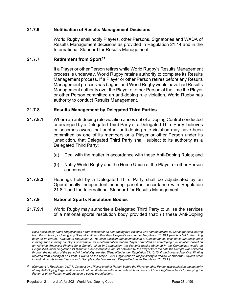## **21.7.6 Notification of Results Management Decisions**

World Rugby shall notify Players, other Persons, Signatories and WADA of Results Management decisions as provided in Regulation 21.14 and in the International Standard for Results Management.

## **21.7.7 Retirement from Sport[35](#page-39-0)**

If a Player or other Person retires while World Rugby's Results Management process is underway, World Rugby retains authority to complete its Results Management process. If a Player or other Person retires before any Results Management process has begun, and World Rugby would have had Results Management authority over the Player or other Person at the time the Player or other Person committed an anti-doping rule violation, World Rugby has authority to conduct Results Management.

## **21.7.8 Results Management by Delegated Third Parties**

- **21.7.8.1** Where an anti-doping rule violation arises out of a Doping Control conducted or arranged by a Delegated Third Party or a Delegated Third Party believes or becomes aware that another anti-doping rule violation may have been committed by one of its members or a Player or other Person under its jurisdiction, that Delegated Third Party shall, subject to its authority as a Delegated Third Party:
	- (a) Deal with the matter in accordance with these Anti-Doping Rules; and
	- (b) Notify World Rugby and the Home Union of the Player or other Person concerned.
- **21.7.8.2** Hearings held by a Delegated Third Party shall be adjudicated by an Operationally Independent hearing panel in accordance with Regulation 21.8.1 and the International Standard for Results Management.

# **21.7.9 National Sports Resolution Bodies**

**21.7.9.1** World Rugby may authorise a Delegated Third Party to utilise the services of a national sports resolution body provided that: (i) these Anti-Doping

*Each decision by World Rugby should address whether an anti-doping rule violation was committed and all Consequences flowing from the violation, including any Disqualifications other than Disqualification under Regulation 21.10.1 (which is left to the ruling body for an Event). Pursuant to Regulation 21.15, such decision and its imposition of Consequences shall have automatic effect in every sport in every country. For example, for a determination that an Player committed an anti-doping rule violation based on an Adverse Analytical Finding for a Sample taken In-Competition, the Player's results obtained in the Competition would be Disqualified under Regulation 21.9 and all other competitive results obtained by the Player from the date the Sample was collected through the duration of the period of Ineligibility are also Disqualified under Regulation 21.10.10; if the Adverse Analytical Finding*  resulted from Testing at an Event, it would be the Major Event Organisation's responsibility to decide whether the Player's other *individual results in the Event prior to Sample collection are also Disqualified under Regulation 21.10.1.]* 

<span id="page-39-0"></span>**<sup>35</sup>** *[Comment to Regulation 21.7.7: Conduct by a Player or other Person before the Player or other Person was subject to the authority of any Anti-Doping Organisation would not constitute an anti-doping rule violation but could be a legitimate basis for denying the Player or other Person membership in a sports organisation.]*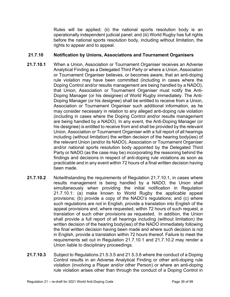Rules will be applied; (ii) the national sports resolution body is an operationally independent judicial panel; and (iii) World Rugby has full rights before the national sports resolution body, including without limitation, the rights to appear and to appeal.

# **21.7.10 Notification by Unions, Associations and Tournament Organisers**

- **21.7.10.1** When a Union, Association or Tournament Organiser receives an Adverse Analytical Finding as a Delegated Third Party or where a Union, Association or Tournament Organiser believes, or becomes aware, that an anti-doping rule violation may have been committed (including in cases where the Doping Control and/or results management are being handled by a NADO), that Union, Association or Tournament Organiser must notify the Anti-Doping Manager (or his designee) of World Rugby immediately. The Anti-Doping Manager (or his designee) shall be entitled to receive from a Union, Association or Tournament Organiser such additional information, as he may consider necessary in relation to any alleged anti-doping rule violation (including in cases where the Doping Control and/or results management are being handled by a NADO). In any event, the Anti-Doping Manager (or his designee) is entitled to receive from and shall be provided by the relevant Union, Association or Tournament Organiser with a full report of all hearings including (without limitation) the written decision of the hearing body(ies) of the relevant Union (and/or its NADO), Association or Tournament Organiser and/or national sports resolution body appointed by the Delegated Third Party or NADO (as the case may be) incorporating the reasoning behind the findings and decisions in respect of anti-doping rule violations as soon as practicable and in any event within 72 hours of a final written decision having been made.
- **21.7.10.2** Notwithstanding the requirements of Regulation 21.7.10.1, in cases where results management is being handled by a NADO, the Union shall simultaneously when providing the initial notification in Regulation 21.7.10.1: (a) make known to World Rugby the applicable appeal provisions; (b) provide a copy of the NADO's regulations; and (c) where such regulations are not in English, provide a translation into English of the appeal provisions and, where requested, within 72 hours of such request, a translation of such other provisions as requested. In addition, the Union shall provide a full report of all hearings including (without limitation) the written decision of the hearing body(ies) of the NADO immediately following the final written decision having been made and where such decision is not in English, provide a translation within 72 hours thereof. Failure to meet the requirements set out in Regulation 21.7.10.1 and 21.7.10.2 may render a Union liable to disciplinary proceedings.
- **21.7.10.3** Subject to Regulations 21.5.3.5 and 21.5.3.6 where the conduct of a Doping Control results in an Adverse Analytical Finding or other anti-doping rule violation (involving a Player and/or other Person) or where an anti-doping rule violation arises other than through the conduct of a Doping Control in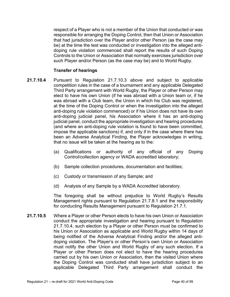respect of a Player who is not a member of the Union that conducted or was responsible for arranging the Doping Control, then that Union or Association that had jurisdiction over the Player and/or other Person (as the case may be) at the time the test was conducted or investigation into the alleged antidoping rule violation commenced shall report the results of such Doping Controls to the Union or Association that normally exercises jurisdiction over such Player and/or Person (as the case may be) and to World Rugby.

### **Transfer of hearings**

- **21.7.10.4** Pursuant to Regulation 21.7.10.3 above and subject to applicable competition rules in the case of a tournament and any applicable Delegated Third Party arrangement with World Rugby, the Player or other Person may elect to have his own Union (if he was abroad with a Union team or, if he was abroad with a Club team, the Union in which his Club was registered, at the time of the Doping Control or when the investigation into the alleged anti-doping rule violation commenced) or if his Union does not have its own anti-doping judicial panel, his Association where it has an anti-doping judicial panel, conduct the appropriate investigation and hearing procedures (and where an anti-doping rule violation is found to have been committed, impose the applicable sanctions) if, and only if in the case where there has been an Adverse Analytical Finding, the Player acknowledges in writing, that no issue will be taken at the hearing as to the:
	- (a) Qualifications or authority of any official of any Doping Control/collection agency or WADA accredited laboratory;
	- (b) Sample collection procedures, documentation and facilities;
	- (c) Custody or transmission of any Sample; and
	- (d) Analysis of any Sample by a WADA Accredited laboratory.

The foregoing shall be without prejudice to World Rugby's Results Management rights pursuant to Regulation 21.7.8.1 and the responsibility for conducting Results Management pursuant to Regulation 21.7.1.

**21.7.10.5** Where a Player or other Person elects to have his own Union or Association conduct the appropriate investigation and hearing pursuant to Regulation 21.7.10.4, such election by a Player or other Person must be confirmed to his Union or Association as applicable and World Rugby within 14 days of being notified of the Adverse Analytical Finding and/or the alleged antidoping violation. The Player's or other Person's own Union or Association must notify the other Union and World Rugby of any such election. If a Player or other Person does not elect to have the hearing procedures carried out by his own Union or Association, then the visited Union where the Doping Control was conducted shall have jurisdiction subject to an applicable Delegated Third Party arrangement shall conduct the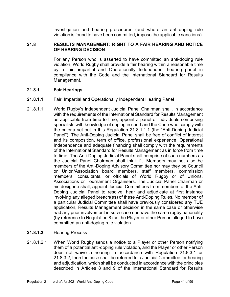investigation and hearing procedures (and where an anti-doping rule violation is found to have been committed, impose the applicable sanctions).

## **21.8 RESULTS MANAGEMENT: RIGHT TO A FAIR HEARING AND NOTICE OF HEARING DECISION**

For any Person who is asserted to have committed an anti-doping rule violation, World Rugby shall provide a fair hearing within a reasonable time by a fair, impartial and Operationally Independent hearing panel in compliance with the Code and the International Standard for Results Management.

## **21.8.1 Fair Hearings**

- **21.8.1.1** Fair, Impartial and Operationally Independent Hearing Panel
- 21.8.1.1.1 World Rugby's independent Judicial Panel Chairman shall, in accordance with the requirements of the International Standard for Results Management as applicable from time to time, appoint a panel of individuals comprising specialists with knowledge of doping in sport and the Code who comply with the criteria set out in this Regulation 21.8.1.1.1 (the "Anti-Doping Judicial Panel"). The Anti-Doping Judicial Panel shall be free of conflict of interest and its composition, term of office, professional experience, Operational Independence and adequate financing shall comply with the requirements of the International Standard for Results Management as in force from time to time. The Anti-Doping Judicial Panel shall comprise of such numbers as the Judicial Panel Chairman shall think fit. Members may not also be members of the Anti-Doping Advisory Committee nor may they be Council or Union/Association board members, staff members, commission members, consultants, or officials of World Rugby or of Unions, Associations or Tournament Organisers. The Judicial Panel Chairman or his designee shall, appoint Judicial Committees from members of the Anti-Doping Judicial Panel to resolve, hear and adjudicate at first instance involving any alleged breach(es) of these Anti-Doping Rules. No member of a particular Judicial Committee shall have previously considered any TUE application, Results Management decision in the same case or otherwise had any prior involvement in such case nor have the same rugby nationality (by reference to Regulation 8) as the Player or other Person alleged to have committed an anti-doping rule violation.
- **21.8.1.2** Hearing Process
- 21.8.1.2.1 When World Rugby sends a notice to a Player or other Person notifying them of a potential anti-doping rule violation, and the Player or other Person does not waive a hearing in accordance with Regulation 21.8.3.1 or 21.8.3.2, then the case shall be referred to a Judicial Committee for hearing and adjudication, which shall be conducted in accordance with the principles described in Articles 8 and 9 of the International Standard for Results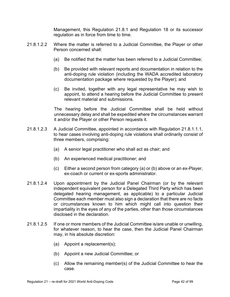Management, this Regulation 21.8.1 and Regulation 18 or its successor regulation as in force from time to time.

- 21.8.1.2.2 Where the matter is referred to a Judicial Committee, the Player or other Person concerned shall:
	- (a) Be notified that the matter has been referred to a Judicial Committee;
	- (b) Be provided with relevant reports and documentation in relation to the anti-doping rule violation (including the WADA accredited laboratory documentation package where requested by the Player); and
	- (c) Be invited, together with any legal representative he may wish to appoint, to attend a hearing before the Judicial Committee to present relevant material and submissions.

The hearing before the Judicial Committee shall be held without unnecessary delay and shall be expedited where the circumstances warrant it and/or the Player or other Person requests it.

- 21.8.1.2.3 A Judicial Committee, appointed in accordance with Regulation 21.8.1.1.1, to hear cases involving anti-doping rule violations shall ordinarily consist of three members, comprising:
	- (a) A senior legal practitioner who shall act as chair; and
	- (b) An experienced medical practitioner; and
	- (c) Either a second person from category (a) or (b) above or an ex-Player, ex-coach or current or ex-sports administrator.
- 21.8.1.2.4 Upon appointment by the Judicial Panel Chairman (or by the relevant independent equivalent person for a Delegated Third Party which has been delegated hearing management, as applicable) to a particular Judicial Committee each member must also sign a declaration that there are no facts or circumstances known to him which might call into question their impartiality in the eyes of any of the parties, other than those circumstances disclosed in the declaration.
- 21.8.1.2.5 If one or more members of the Judicial Committee is/are unable or unwilling, for whatever reason, to hear the case, then the Judicial Panel Chairman may, in his absolute discretion:
	- (a) Appoint a replacement(s);
	- (b) Appoint a new Judicial Committee; or
	- (c) Allow the remaining member(s) of the Judicial Committee to hear the case.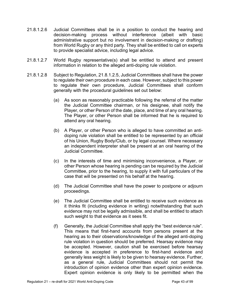- 21.8.1.2.6 Judicial Committees shall be in a position to conduct the hearing and decision-making process without interference (albeit with basic administrative support but no involvement in decision-making or drafting) from World Rugby or any third party. They shall be entitled to call on experts to provide specialist advice, including legal advice.
- 21.8.1.2.7 World Rugby representative(s) shall be entitled to attend and present information in relation to the alleged anti-doping rule violation.
- 21.8.1.2.8 Subject to Regulation, 21.8.1.2.5, Judicial Committees shall have the power to regulate their own procedure in each case. However, subject to this power to regulate their own procedure, Judicial Committees shall conform generally with the procedural guidelines set out below:
	- (a) As soon as reasonably practicable following the referral of the matter the Judicial Committee chairman, or his designee, shall notify the Player, or other Person of the date, place, and time of any oral hearing. The Player, or other Person shall be informed that he is required to attend any oral hearing.
	- (b) A Player, or other Person who is alleged to have committed an antidoping rule violation shall be entitled to be represented by an official of his Union, Rugby Body/Club, or by legal counsel. Where necessary an independent interpreter shall be present at an oral hearing of the Judicial Committee.
	- (c) In the interests of time and minimising inconvenience, a Player, or other Person whose hearing is pending can be required by the Judicial Committee, prior to the hearing, to supply it with full particulars of the case that will be presented on his behalf at the hearing.
	- (d) The Judicial Committee shall have the power to postpone or adjourn proceedings.
	- (e) The Judicial Committee shall be entitled to receive such evidence as it thinks fit (including evidence in writing) notwithstanding that such evidence may not be legally admissible, and shall be entitled to attach such weight to that evidence as it sees fit.
	- (f) Generally, the Judicial Committee shall apply the "best evidence rule". This means that first-hand accounts from persons present at the hearing as to their observations/knowledge of the alleged anti-doping rule violation in question should be preferred. Hearsay evidence may be accepted. However, caution shall be exercised before hearsay evidence is accepted in preference to first-hand evidence and generally less weight is likely to be given to hearsay evidence. Further, as a general rule, Judicial Committees should not permit the introduction of opinion evidence other than expert opinion evidence. Expert opinion evidence is only likely to be permitted when the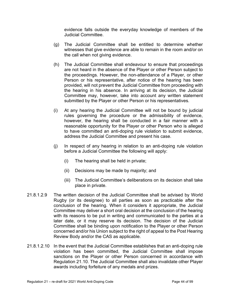evidence falls outside the everyday knowledge of members of the Judicial Committee.

- (g) The Judicial Committee shall be entitled to determine whether witnesses that give evidence are able to remain in the room and/or on the call when not giving evidence.
- (h) The Judicial Committee shall endeavour to ensure that proceedings are not heard in the absence of the Player or other Person subject to the proceedings. However, the non-attendance of a Player, or other Person or his representative, after notice of the hearing has been provided, will not prevent the Judicial Committee from proceeding with the hearing in his absence. In arriving at its decision, the Judicial Committee may, however, take into account any written statement submitted by the Player or other Person or his representatives.
- (i) At any hearing the Judicial Committee will not be bound by judicial rules governing the procedure or the admissibility of evidence, however, the hearing shall be conducted in a fair manner with a reasonable opportunity for the Player or other Person who is alleged to have committed an anti-doping rule violation to submit evidence, address the Judicial Committee and present his case.
- (j) In respect of any hearing in relation to an anti-doping rule violation before a Judicial Committee the following will apply:
	- (i) The hearing shall be held in private;
	- (ii) Decisions may be made by majority; and
	- (iii) The Judicial Committee's deliberations on its decision shall take place in private.
- 21.8.1.2.9 The written decision of the Judicial Committee shall be advised by World Rugby (or its designee) to all parties as soon as practicable after the conclusion of the hearing. When it considers it appropriate, the Judicial Committee may deliver a short oral decision at the conclusion of the hearing with its reasons to be put in writing and communicated to the parties at a later date, or it may reserve its decision. The decision of the Judicial Committee shall be binding upon notification to the Player or other Person concerned and/or his Union subject to the right of appeal to the Post Hearing Review Body and/or the CAS as applicable.
- 21.8.1.2.10 In the event that the Judicial Committee establishes that an anti-doping rule violation has been committed, the Judicial Committee shall impose sanctions on the Player or other Person concerned in accordance with Regulation 21.10. The Judicial Committee shall also invalidate other Player awards including forfeiture of any medals and prizes.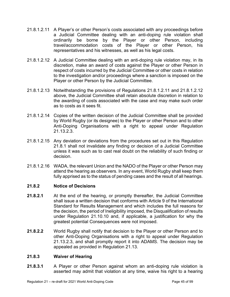- 21.8.1.2.11 A Player's or other Person's costs associated with any proceedings before a Judicial Committee dealing with an anti-doping rule violation shall ordinarily be borne by the Player or other Person, including travel/accommodation costs of the Player or other Person, his representatives and his witnesses, as well as his legal costs.
- 21.8.1.2.12 A Judicial Committee dealing with an anti-doping rule violation may, in its discretion, make an award of costs against the Player or other Person in respect of costs incurred by the Judicial Committee or other costs in relation to the investigation and/or proceedings where a sanction is imposed on the Player or other Person by the Judicial Committee.
- 21.8.1.2.13 Notwithstanding the provisions of Regulations 21.8.1.2.11 and 21.8.1.2.12 above, the Judicial Committee shall retain absolute discretion in relation to the awarding of costs associated with the case and may make such order as to costs as it sees fit.
- 21.8.1.2.14 Copies of the written decision of the Judicial Committee shall be provided by World Rugby (or its designee) to the Player or other Person and to other Anti-Doping Organisations with a right to appeal under Regulation 21.13.2.3.
- 21.8.1.2.15 Any deviation or deviations from the procedures set out in this Regulation 21.8.1 shall not invalidate any finding or decision of a Judicial Committee unless it was such as to cast real doubt on the reliability of such finding or decision.
- 21.8.1.2.16 WADA, the relevant Union and the NADO of the Player or other Person may attend the hearing as observers. In any event, World Rugby shall keep them fully apprised as to the status of pending cases and the result of all hearings.

## **21.8.2 Notice of Decisions**

- **21.8.2.1** At the end of the hearing, or promptly thereafter, the Judicial Committee shall issue a written decision that conforms with Article 9 of the International Standard for Results Management and which includes the full reasons for the decision, the period of Ineligibility imposed, the Disqualification of results under Regulation 21.10.10 and, if applicable, a justification for why the greatest potential Consequences were not imposed.
- **21.8.2.2** World Rugby shall notify that decision to the Player or other Person and to other Anti-Doping Organisations with a right to appeal under Regulation 21.13.2.3, and shall promptly report it into ADAMS. The decision may be appealed as provided in Regulation 21.13.

## **21.8.3 Waiver of Hearing**

**21.8.3.1** A Player or other Person against whom an anti-doping rule violation is asserted may admit that violation at any time, waive his right to a hearing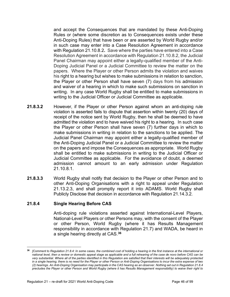and accept the Consequences that are mandated by these Anti-Doping Rules or (where some discretion as to Consequences exists under these Anti-Doping Rules) that have been or are asserted by World Rugby and/or in such case may enter into a Case Resolution Agreement in accordance with Regulation 21.10.8.2**.** Save where the parties have entered into a Case Resolution Agreement in accordance with Regulation 21.10.8.2, the Judicial Panel Chairman may appoint either a legally-qualified member of the Anti-Doping Judicial Panel or a Judicial Committee to review the matter on the papers. Where the Player or other Person admits the violation and waives his right to a hearing but wishes to make submissions in relation to sanction, the Player or other Person shall have seven (7) days from his admission and waiver of a hearing in which to make such submissions on sanction in writing. In any case World Rugby shall be entitled to make submissions in writing to the Judicial Officer or Judicial Committee as applicable.

- **21.8.3.2** However, if the Player or other Person against whom an anti-doping rule violation is asserted fails to dispute that assertion within twenty (20) days of receipt of the notice sent by World Rugby, then he shall be deemed to have admitted the violation and to have waived his right to a hearing. In such case the Player or other Person shall have seven (7) further days in which to make submissions in writing in relation to the sanctions to be applied. The Judicial Panel Chairman may appoint either a legally-qualified member of the Anti-Doping Judicial Panel or a Judicial Committee to review the matter on the papers and impose the Consequences as appropriate. World Rugby shall be entitled to make submissions in writing to the Judicial Officer or Judicial Committee as applicable. For the avoidance of doubt, a deemed admission cannot amount to an early admission under Regulation 21.10.8.1.
- **21.8.3.3** World Rugby shall notify that decision to the Player or other Person and to other Anti-Doping Organisations with a right to appeal under Regulation 21.13.2.3, and shall promptly report it into ADAMS. World Rugby shall Publicly Disclose that decision in accordance with Regulation 21.14.3.2.

## **21.8.4 Single Hearing Before CAS**

Anti-doping rule violations asserted against International-Level Players, National-Level Players or other Persons may, with the consent of the Player or other Person, World Rugby (where it has Results Management responsibility in accordance with Regulation 21.7) and WADA, be heard in a single hearing directly at CAS.**[36](#page-47-0)**

<span id="page-47-0"></span>**<sup>36</sup>** *[Comment to Regulation 21.8.4: In some cases, the combined cost of holding a hearing in the first instance at the international or national level, then a review or domestic appeal stage as applicable and a full rehearing of the case de novo before CAS can be very substantial. Where all of the parties identified in this Regulation are satisfied that their interests will be adequately protected in a single hearing, there is no need for the Player or other Person or Anti-Doping Organisations to incur the extra expense of two (2) hearings. An Anti-Doping Organisation may participate in the CAS hearing as an observer. Nothing set out in Regulation 21.8.4 precludes the Player or other Person and World Rugby (where it has Results Management responsibility) to waive their right to*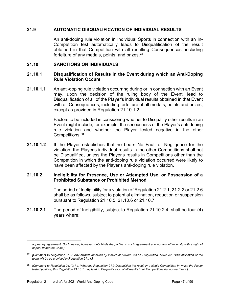#### **21.9 AUTOMATIC DISQUALIFICATION OF INDIVIDUAL RESULTS**

An anti-doping rule violation in Individual Sports in connection with an In-Competition test automatically leads to Disqualification of the result obtained in that Competition with all resulting Consequences, including forfeiture of any medals, points, and prizes.**[37](#page-48-0)**

#### **21.10 SANCTIONS ON INDIVIDUALS**

### **21.10.1 Disqualification of Results in the Event during which an Anti-Doping Rule Violation Occurs**

**21.10.1.1** An anti-doping rule violation occurring during or in connection with an Event may, upon the decision of the ruling body of the Event, lead to Disqualification of all of the Player's individual results obtained in that Event with all Consequences, including forfeiture of all medals, points and prizes, except as provided in Regulation 21.10.1.2.

> Factors to be included in considering whether to Disqualify other results in an Event might include, for example, the seriousness of the Player's anti-doping rule violation and whether the Player tested negative in the other Competitions.**[38](#page-48-1)**

**21.10.1.2** If the Player establishes that he bears No Fault or Negligence for the violation, the Player's individual results in the other Competitions shall not be Disqualified, unless the Player's results in Competitions other than the Competition in which the anti-doping rule violation occurred were likely to have been affected by the Player's anti-doping rule violation.

#### **21.10.2 Ineligibility for Presence, Use or Attempted Use, or Possession of a Prohibited Substance or Prohibited Method**

The period of Ineligibility for a violation of Regulation 21.2.1, 21.2.2 or 21.2.6 shall be as follows, subject to potential elimination, reduction or suspension pursuant to Regulation 21.10.5, 21.10.6 or 21.10.7:

**21.10.2.1** The period of Ineligibility, subject to Regulation 21.10.2.4, shall be four (4) years where:

appeal by agreement. Such waiver, however, only binds the parties to such agreement and not any other entity with a right of *appeal under the Code.]*

<span id="page-48-0"></span>**<sup>37</sup>** *[Comment to Regulation 21.9: Any awards received by individual players will be Disqualified. However, Disqualification of the team will be as provided in Regulation 21.11.]* 

<span id="page-48-1"></span>**<sup>38</sup>** *[Comment to Regulation 21.10.1.1: Whereas Regulation 21.9 Disqualifies the result in a single Competition in which the Player tested positive, this Regulation 21.10.1 may lead to Disqualification of all results in all Competitions during the Event.]*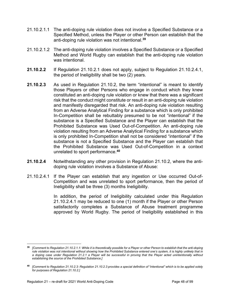- 21.10.2.1.1 The anti-doping rule violation does not involve a Specified Substance or a Specified Method, unless the Player or other Person can establish that the anti-doping rule violation was not intentional.**[39](#page-49-0)**
- 21.10.2.1.2 The anti-doping rule violation involves a Specified Substance or a Specified Method and World Rugby can establish that the anti-doping rule violation was intentional.
- **21.10.2.2** If Regulation 21.10.2.1 does not apply, subject to Regulation 21.10.2.4.1, the period of Ineligibility shall be two (2) years.
- **21.10.2.3** As used in Regulation 21.10.2, the term "intentional" is meant to identify those Players or other Persons who engage in conduct which they knew constituted an anti-doping rule violation or knew that there was a significant risk that the conduct might constitute or result in an anti-doping rule violation and manifestly disregarded that risk. An anti-doping rule violation resulting from an Adverse Analytical Finding for a substance which is only prohibited In-Competition shall be rebuttably presumed to be not "intentional" if the substance is a Specified Substance and the Player can establish that the Prohibited Substance was Used Out-of-Competition. An anti-doping rule violation resulting from an Adverse Analytical Finding for a substance which is only prohibited In-Competition shall not be considered "intentional" if the substance is not a Specified Substance and the Player can establish that the Prohibited Substance was Used Out-of-Competition in a context unrelated to sport performance.**[40](#page-49-1)**
- **21.10.2.4** Notwithstanding any other provision in Regulation 21.10.2, where the antidoping rule violation involves a Substance of Abuse:
- 21.10.2.4.1 If the Player can establish that any ingestion or Use occurred Out-of-Competition and was unrelated to sport performance, then the period of Ineligibility shall be three (3) months Ineligibility.

In addition, the period of Ineligibility calculated under this Regulation 21.10.2.4.1 may be reduced to one (1) month if the Player or other Person satisfactorily completes a Substance of Abuse treatment programme approved by World Rugby. The period of Ineligibility established in this

<span id="page-49-0"></span>**<sup>39</sup>** *[Comment to Regulation 21.10.2.1.1: While it is theoretically possible for a Player or other Person to establish that the anti-doping rule violation was not intentional without showing how the Prohibited Substance entered one's system, it is highly unlikely that in a doping case under Regulation 21.2.1 a Player will be successful in proving that the Player acted unintentionally without establishing the source of the Prohibited Substance.]*

<span id="page-49-1"></span>**<sup>40</sup>** *[Comment to Regulation 21.10.2.3: Regulation 21.10.2.3 provides a special definition of "intentional" which is to be applied solely for purposes of Regulation 21.10.2.]*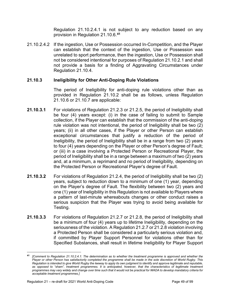Regulation 21.10.2.4.1 is not subject to any reduction based on any provision in Regulation 21.10.6.**[41](#page-50-0)**

21.10.2.4.2If the ingestion, Use or Possession occurred In-Competition, and the Player can establish that the context of the ingestion, Use or Possession was unrelated to sport performance, then the ingestion, Use or Possession shall not be considered intentional for purposes of Regulation 21.10.2.1 and shall not provide a basis for a finding of Aggravating Circumstances under Regulation 21.10.4.

## **21.10.3 Ineligibility for Other Anti-Doping Rule Violations**

The period of Ineligibility for anti-doping rule violations other than as provided in Regulation 21.10.2 shall be as follows, unless Regulation 21.10.6 or 21.10.7 are applicable:

- **21.10.3.1** For violations of Regulation 21.2.3 or 21.2.5, the period of Ineligibility shall be four (4) years except: (i) in the case of failing to submit to Sample collection, if the Player can establish that the commission of the anti-doping rule violation was not intentional, the period of Ineligibility shall be two (2) years; (ii) in all other cases, if the Player or other Person can establish exceptional circumstances that justify a reduction of the period of Ineligibility, the period of Ineligibility shall be in a range from two (2) years to four (4) years depending on the Player or other Person's degree of Fault; or (iii) in a case involving a Protected Person or Recreational Player, the period of Ineligibility shall be in a range between a maximum of two (2) years and, at a minimum, a reprimand and no period of Ineligibility, depending on the Protected Person or Recreational Player's degree of Fault.
- **21.10.3.2** For violations of Regulation 21.2.4, the period of Ineligibility shall be two (2) years, subject to reduction down to a minimum of one (1) year, depending on the Player's degree of Fault. The flexibility between two (2) years and one (1) year of Ineligibility in this Regulation is not available to Players where a pattern of last-minute whereabouts changes or other conduct raises a serious suspicion that the Player was trying to avoid being available for Testing.
- **21.10.3.3** For violations of Regulation 21.2.7 or 21.2.8, the period of Ineligibility shall be a minimum of four (4) years up to lifetime Ineligibility, depending on the seriousness of the violation. A Regulation 21.2.7 or 21.2.8 violation involving a Protected Person shall be considered a particularly serious violation and, if committed by Player Support Personnel for violations other than for Specified Substances, shall result in lifetime Ineligibility for Player Support

<span id="page-50-0"></span>**<sup>41</sup>** *[Comment to Regulation 21.10.2.4.1: The determination as to whether the treatment programme is approved and whether the Player or other Person has satisfactorily completed the programme shall be made in the sole discretion of World Rugby. This Regulation is intended to give World Rugby the leeway to apply its own judgment to identify and approve legitimate and reputable, as opposed to "sham", treatment programmes. It is anticipated, however, that the characteristics of legitimate treatment programmes may vary widely and change over time such that it would not be practical for WADA to develop mandatory criteria for acceptable treatment programmes.]*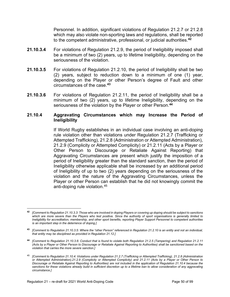Personnel. In addition, significant violations of Regulation 21.2.7 or 21.2.8 which may also violate non-sporting laws and regulations, shall be reported to the competent administrative, professional, or judicial authorities.**[42](#page-51-0)**

- **21.10.3.4** For violations of Regulation 21.2.9, the period of Ineligibility imposed shall be a minimum of two (2) years, up to lifetime Ineligibility, depending on the seriousness of the violation.
- **21.10.3.5** For violations of Regulation 21.2.10, the period of Ineligibility shall be two (2) years, subject to reduction down to a minimum of one (1) year, depending on the Player or other Person's degree of Fault and other circumstances of the case.**[43](#page-51-1)**
- **21.10.3.6** For violations of Regulation 21.2.11, the period of Ineligibility shall be a minimum of two (2) years, up to lifetime Ineligibility, depending on the seriousness of the violation by the Player or other Person.**[44](#page-51-2)**

## **21.10.4 Aggravating Circumstances which may Increase the Period of Ineligibility**

If World Rugby establishes in an individual case involving an anti-doping rule violation other than violations under Regulation 21.2.7 (Trafficking or Attempted Trafficking), 21.2.8 (Administration or Attempted Administration), 21.2.9 (Complicity or Attempted Complicity) or 21.2.11 (Acts by a Player or Other Person to Discourage or Retaliate Against Reporting) that Aggravating Circumstances are present which justify the imposition of a period of Ineligibility greater than the standard sanction, then the period of Ineligibility otherwise applicable shall be increased by an additional period of Ineligibility of up to two (2) years depending on the seriousness of the violation and the nature of the Aggravating Circumstances, unless the Player or other Person can establish that he did not knowingly commit the anti-doping rule violation.[45](#page-51-3)

<span id="page-51-0"></span>**<sup>42</sup>** *[Comment to Regulation 21.10.3.3: Those who are involved in doping Players or covering up doping should be subject to sanctions which are more severe than the Players who test positive. Since the authority of sport organisations is generally limited to Ineligibility for accreditation, membership, and other sport benefits, reporting Player Support Personnel to competent authorities is an important step in the deterrence of doping.]*

<span id="page-51-1"></span>**<sup>43</sup>** *[Comment to Regulation 21.10.3.5: Where the "other Person" referenced in Regulation 21.2.10 is an entity and not an individual, that entity may be disciplined as provided in Regulation 21.12.]*

<span id="page-51-2"></span>**<sup>44</sup>** *[Comment to Regulation 21.10.3.6: Conduct that is found to violate both Regulation 21.2.5 (Tampering) and Regulation 21.2.11 (Acts by a Player or Other Person to Discourage or Retaliate Against Reporting to Authorities) shall be sanctioned based on the violation that carries the more severe sanction.]*

<span id="page-51-3"></span><sup>45</sup> *[Comment to Regulation 21.10.4: Violations under Regulation 21.2.7 (Trafficking or Attempted Trafficking), 21.2.8 (Administration or Attempted Administration),21.2.9 (Complicity or Attempted Complicity) and 21.2.11 (Acts by a Player or Other Person to Discourage or Retaliate Against Reporting to Authorities) are not included in the application of Regulation 21.10.4 because the*  sanctions for these violations already build in sufficient discretion up to a lifetime ban to allow consideration of any aggravating *circumstance.]*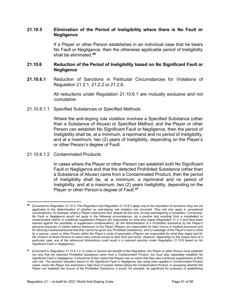### **21.10.5 Elimination of the Period of Ineligibility where there is No Fault or Negligence**

If a Player or other Person establishes in an individual case that he bears No Fault or Negligence, then the otherwise applicable period of Ineligibility shall be eliminated.**[46](#page-52-0)**

## **21.10.6 Reduction of the Period of Ineligibility based on No Significant Fault or Negligence**

**21.10.6.1** Reduction of Sanctions in Particular Circumstances for Violations of Regulation 21.2.1, 21.2.2 or 21.2.6.

> All reductions under Regulation 21.10.6.1 are mutually exclusive and not cumulative.

21.10.6.1.1 Specified Substances or Specified Methods

Where the anti-doping rule violation involves a Specified Substance (other than a Substance of Abuse) or Specified Method, and the Player or other Person can establish No Significant Fault or Negligence, then the period of Ineligibility shall be, at a minimum, a reprimand and no period of Ineligibility, and at a maximum, two (2) years of Ineligibility, depending on the Player's or other Person's degree of Fault.

21.10.6.1.2 Contaminated Products

In cases where the Player or other Person can establish both No Significant Fault or Negligence and that the detected Prohibited Substance (other than a Substance of Abuse) came from a Contaminated Product, then the period of Ineligibility shall be, at a minimum, a reprimand and no period of Ineligibility, and at a maximum, two (2) years Ineligibility, depending on the Player or other Person's degree of Fault.**[47](#page-52-1)**

<span id="page-52-0"></span>**<sup>46</sup>** *[Comment to Regulation 21.10.5: This Regulation and Regulation 21.10.6.2 apply only to the imposition of sanctions; they are not applicable to the determination of whether an anti-doping rule violation has occurred. They will only apply in exceptional circumstances, for example, where a Player could prove that, despite all due care, he was sabotaged by a competitor. Conversely, No Fault or Negligence would not apply in the following circumstances: (a) a positive test resulting from a mislabelled or contaminated vitamin or nutritional supplement (Players are responsible for what they ingest (Regulation 21.2.1) and have been warned against the possibility of supplement contamination); (b) the Administration of a Prohibited Substance by the Player's personal physician or trainer without disclosure to the Player (Players are responsible for their choice of medical personnel and for advising medical personnel that they cannot be given any Prohibited Substance); and (c) sabotage of the Player's food or drink by a spouse, coach or other Person within the Player's circle of associates (Players are responsible for what they ingest and for the conduct of those Persons to whom they entrust access to their food and drink). However, depending on the unique facts of a particular case, any of the referenced illustrations could result in a reduced sanction under Regulation 21.10.6 based on No Significant Fault or Negligence.]*

<span id="page-52-1"></span>**<sup>47</sup>** *[Comment to Regulation 21.10.6.1.2: In order to receive the benefit of this Regulation, the Player or other Person must establish not only that the detected Prohibited Substance came from a Contaminated Product, but must also separately establish No Significant Fault or Negligence. It should be further noted that Players are on notice that they take nutritional supplements at their own risk. The sanction reduction based on No Significant Fault or Negligence has rarely been applied in Contaminated Product*  cases unless the Player has exercised a high level of caution before taking the Contaminated Product. In assessing whether the *Player can establish the source of the Prohibited Substance, it would, for example, be significant for purposes of establishing*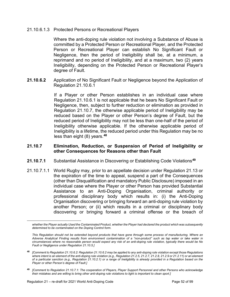#### 21.10.6.1.3 Protected Persons or Recreational Players

Where the anti-doping rule violation not involving a Substance of Abuse is committed by a Protected Person or Recreational Player, and the Protected Person or Recreational Player can establish No Significant Fault or Negligence, then the period of Ineligibility shall be, at a minimum, a reprimand and no period of Ineligibility, and at a maximum, two (2) years Ineligibility, depending on the Protected Person or Recreational Player's degree of Fault.

**21.10.6.2** Application of No Significant Fault or Negligence beyond the Application of Regulation 21.10.6.1

> If a Player or other Person establishes in an individual case where Regulation 21.10.6.1 is not applicable that he bears No Significant Fault or Negligence, then, subject to further reduction or elimination as provided in Regulation 21.10.7, the otherwise applicable period of Ineligibility may be reduced based on the Player or other Person's degree of Fault, but the reduced period of Ineligibility may not be less than one-half of the period of Ineligibility otherwise applicable. If the otherwise applicable period of Ineligibility is a lifetime, the reduced period under this Regulation may be no less than eight (8) years.**[48](#page-53-0)**

### **21.10.7 Elimination, Reduction, or Suspension of Period of Ineligibility or other Consequences for Reasons other than Fault**

- **21.10.7.1** Substantial Assistance in Discovering or Establishing Code Violations**[49](#page-53-1)**
- 21.10.7.1.1 World Rugby may, prior to an appellate decision under Regulation 21.13 or the expiration of the time to appeal, suspend a part of the Consequences (other than Disqualification and mandatory Public Disclosure) imposed in an individual case where the Player or other Person has provided Substantial Assistance to an Anti-Doping Organisation, criminal authority or professional disciplinary body which results in: (i) the Anti-Doping Organisation discovering or bringing forward an anti-doping rule violation by another Person; or (ii) which results in a criminal or disciplinary body discovering or bringing forward a criminal offense or the breach of

*whether the Player actually Used the Contaminated Product, whether the Player had declared the product which was subsequently determined to be contaminated on the Doping Control form.* 

*This Regulation should not be extended beyond products that have gone through some process of manufacturing. Where an Adverse Analytical Finding results from environment contamination of a "non-product" such as tap water or lake water in circumstances where no reasonable person would expect any risk of an anti-doping rule violation, typically there would be No Fault or Negligence under Regulation 21.10.5.]*

<span id="page-53-0"></span>**<sup>48</sup>** *[Comment to Regulation 21.10.6.2: Regulation 21.10.6.2 may be applied to any anti-doping rule violation except those Regulations where intent is an element of the anti-doping rule violation (e.g., Regulation 21.2.5, 21.2.7, 21.2.8, 21.2.9 or 21.2.11) or an element of a particular sanction (e.g., Regulation 21.10.2.1) or a range of Ineligibility is already provided in a Regulation based on the Player or other Person's degree of Fault.]* 

<span id="page-53-1"></span>**<sup>49</sup>** *[Comment to Regulation 21.10.7.1: The cooperation of Players, Player Support Personnel and other Persons who acknowledge their mistakes and are willing to bring other anti-doping rule violations to light is important to clean sport.]*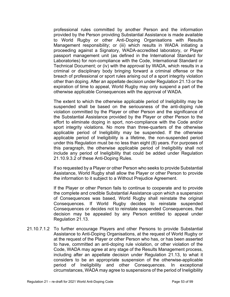professional rules committed by another Person and the information provided by the Person providing Substantial Assistance is made available to World Rugby or other Anti-Doping Organisations with Results Management responsibility; or (iii) which results in WADA initiating a proceeding against a Signatory, WADA-accredited laboratory, or Player passport management unit (as defined in the International Standard for Laboratories) for non-compliance with the Code, International Standard or Technical Document; or (iv) with the approval by WADA, which results in a criminal or disciplinary body bringing forward a criminal offense or the breach of professional or sport rules arising out of a sport integrity violation other than doping. After an appellate decision under Regulation 21.13 or the expiration of time to appeal, World Rugby may only suspend a part of the otherwise applicable Consequences with the approval of WADA.

The extent to which the otherwise applicable period of Ineligibility may be suspended shall be based on the seriousness of the anti-doping rule violation committed by the Player or other Person and the significance of the Substantial Assistance provided by the Player or other Person to the effort to eliminate doping in sport, non-compliance with the Code and/or sport integrity violations. No more than three-quarters of the otherwise applicable period of Ineligibility may be suspended. If the otherwise applicable period of Ineligibility is a lifetime, the non-suspended period under this Regulation must be no less than eight (8) years. For purposes of this paragraph, the otherwise applicable period of Ineligibility shall not include any period of Ineligibility that could be added under Regulation 21.10.9.3.2 of these Anti-Doping Rules.

If so requested by a Player or other Person who seeks to provide Substantial Assistance, World Rugby shall allow the Player or other Person to provide the information to it subject to a Without Prejudice Agreement.

If the Player or other Person fails to continue to cooperate and to provide the complete and credible Substantial Assistance upon which a suspension of Consequences was based, World Rugby shall reinstate the original Consequences. If World Rugby decides to reinstate suspended Consequences or decides not to reinstate suspended Consequences, that decision may be appealed by any Person entitled to appeal under Regulation 21.13.

21.10.7.1.2 To further encourage Players and other Persons to provide Substantial Assistance to Anti-Doping Organisations, at the request of World Rugby or at the request of the Player or other Person who has, or has been asserted to have, committed an anti-doping rule violation, or other violation of the Code, WADA may agree at any stage of the Results Management process, including after an appellate decision under Regulation 21.13, to what it considers to be an appropriate suspension of the otherwise-applicable period of Ineligibility and other Consequences. In exceptional circumstances, WADA may agree to suspensions of the period of Ineligibility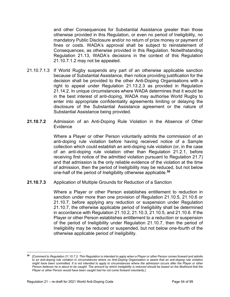and other Consequences for Substantial Assistance greater than those otherwise provided in this Regulation, or even no period of Ineligibility, no mandatory Public Disclosure and/or no return of prize money or payment of fines or costs. WADA's approval shall be subject to reinstatement of Consequences, as otherwise provided in this Regulation. Notwithstanding Regulation 21.13, WADA's decisions in the context of this Regulation 21.10.7.1.2 may not be appealed.

- 21.10.7.1.3 If World Rugby suspends any part of an otherwise applicable sanction because of Substantial Assistance, then notice providing justification for the decision shall be provided to the other Anti-Doping Organisations with a right to appeal under Regulation 21.13.2.3 as provided in Regulation 21.14.2. In unique circumstances where WADA determines that it would be in the best interest of anti-doping, WADA may authorise World Rugby to enter into appropriate confidentiality agreements limiting or delaying the disclosure of the Substantial Assistance agreement or the nature of Substantial Assistance being provided.
- **21.10.7.2** Admission of an Anti-Doping Rule Violation in the Absence of Other Evidence

Where a Player or other Person voluntarily admits the commission of an anti-doping rule violation before having received notice of a Sample collection which could establish an anti-doping rule violation (or, in the case of an anti-doping rule violation other than Regulation 21.2.1, before receiving first notice of the admitted violation pursuant to Regulation 21.7) and that admission is the only reliable evidence of the violation at the time of admission, then the period of Ineligibility may be reduced, but not below one-half of the period of Ineligibility otherwise applicable.**[50](#page-55-0)**

## **21.10.7.3** Application of Multiple Grounds for Reduction of a Sanction

Where a Player or other Person establishes entitlement to reduction in sanction under more than one provision of Regulation 21.10.5, 21.10.6 or 21.10.7, before applying any reduction or suspension under Regulation 21.10.7, the otherwise applicable period of Ineligibility shall be determined in accordance with Regulation 21.10.2, 21.10.3, 21.10.5, and 21.10.6. If the Player or other Person establishes entitlement to a reduction or suspension of the period of Ineligibility under Regulation 21.10.7, then the period of Ineligibility may be reduced or suspended, but not below one-fourth of the otherwise applicable period of Ineligibility.

<span id="page-55-0"></span>**<sup>50</sup>** *[Comment to Regulation 21.10.7.2: This Regulation is intended to apply when a Player or other Person comes forward and admits to an anti-doping rule violation in circumstances where no Anti-Doping Organisation is aware that an anti-doping rule violation might have been committed. It is not intended to apply to circumstances where the admission occurs after the Player or other*  Person believes he is about to be caught. The amount by which Ineligibility is reduced should be based on the likelihood that the *Player or other Person would have been caught had he not come forward voluntarily.]*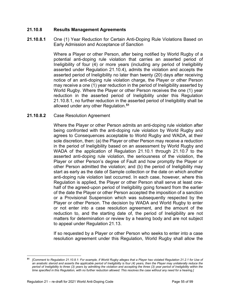## **21.10.8 Results Management Agreements**

**21.10.8.1** One (1) Year Reduction for Certain Anti-Doping Rule Violations Based on Early Admission and Acceptance of Sanction

> Where a Player or other Person, after being notified by World Rugby of a potential anti-doping rule violation that carries an asserted period of Ineligibility of four (4) or more years (including any period of Ineligibility asserted under Regulation 21.10.4), admits the violation and accepts the asserted period of Ineligibility no later than twenty (20) days after receiving notice of an anti-doping rule violation charge, the Player or other Person may receive a one (1) year reduction in the period of Ineligibility asserted by World Rugby. Where the Player or other Person receives the one (1) year reduction in the asserted period of Ineligibility under this Regulation 21.10.8.1, no further reduction in the asserted period of Ineligibility shall be allowed under any other Regulation. **[51](#page-56-0)**

#### **21.10.8.2** Case Resolution Agreement

Where the Player or other Person admits an anti-doping rule violation after being confronted with the anti-doping rule violation by World Rugby and agrees to Consequences acceptable to World Rugby and WADA, at their sole discretion, then: (a) the Player or other Person may receive a reduction in the period of Ineligibility based on an assessment by World Rugby and WADA of the application of Regulation 21.10.1 through 21.10.7 to the asserted anti-doping rule violation, the seriousness of the violation, the Player or other Person's degree of Fault and how promptly the Player or other Person admitted the violation; and (b) the period of Ineligibility may start as early as the date of Sample collection or the date on which another anti-doping rule violation last occurred. In each case, however, where this Regulation is applied, the Player or other Person shall serve at least onehalf of the agreed-upon period of Ineligibility going forward from the earlier of the date the Player or other Person accepted the imposition of a sanction or a Provisional Suspension which was subsequently respected by the Player or other Person. The decision by WADA and World Rugby to enter or not enter into a case resolution agreement, and the amount of the reduction to, and the starting date of, the period of Ineligibility are not matters for determination or review by a hearing body and are not subject to appeal under Regulation 21.13.

If so requested by a Player or other Person who seeks to enter into a case resolution agreement under this Regulation, World Rugby shall allow the

<span id="page-56-0"></span>**<sup>51</sup>** *[Comment to Regulation 21.10.8.1: For example, if World Rugby alleges that a Player has violated Regulation 21.2.1 for Use of*  an anabolic steroid and asserts the applicable period of Ineligibility is four (4) years, then the Player may unilaterally reduce the *period of Ineligibility to three (3) years by admitting the violation and accepting the three (3) year period of Ineligibility within the time specified in this Regulation, with no further reduction allowed. This resolves the case without any need for a hearing.]*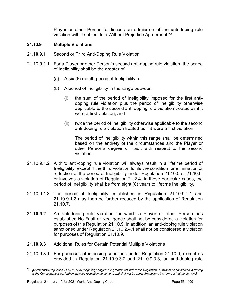Player or other Person to discuss an admission of the anti-doping rule violation with it subject to a Without Prejudice Agreement.<sup>52</sup>

## **21.10.9 Multiple Violations**

- **21.10.9.1** Second or Third Anti-Doping Rule Violation
- 21.10.9.1.1 For a Player or other Person's second anti-doping rule violation, the period of Ineligibility shall be the greater of:
	- (a) A six (6) month period of Ineligibility; or
	- (b) A period of Ineligibility in the range between:
		- (i) the sum of the period of Ineligibility imposed for the first antidoping rule violation plus the period of Ineligibility otherwise applicable to the second anti-doping rule violation treated as if it were a first violation, and
		- (ii) twice the period of Ineligibility otherwise applicable to the second anti-doping rule violation treated as if it were a first violation.

The period of Ineligibility within this range shall be determined based on the entirety of the circumstances and the Player or other Person's degree of Fault with respect to the second violation.

- 21.10.9.1.2 A third anti-doping rule violation will always result in a lifetime period of Ineligibility, except if the third violation fulfils the condition for elimination or reduction of the period of Ineligibility under Regulation 21.10.5 or 21.10.6, or involves a violation of Regulation 21.2.4. In these particular cases, the period of Ineligibility shall be from eight (8) years to lifetime Ineligibility.
- 21.10.9.1.3 The period of Ineligibility established in Regulation 21.10.9.1.1 and 21.10.9.1.2 may then be further reduced by the application of Regulation 21.10.7.
- **21.10.9.2** An anti-doping rule violation for which a Player or other Person has established No Fault or Negligence shall not be considered a violation for purposes of this Regulation 21.10.9. In addition, an anti-doping rule violation sanctioned under Regulation 21.10.2.4.1 shall not be considered a violation for purposes of Regulation 21.10.9.
- **21.10.9.3** Additional Rules for Certain Potential Multiple Violations
- 21.10.9.3.1 For purposes of imposing sanctions under Regulation 21.10.9, except as provided in Regulation 21.10.9.3.2 and 21.10.9.3.3, an anti-doping rule

<span id="page-57-0"></span><sup>52</sup> *[Comment to Regulation 21.10.8.2: Any mitigating or aggravating factors set forth in this Regulation 21.10 shall be considered in arriving at the Consequences set forth in the case resolution agreement, and shall not be applicable beyond the terms of that agreement.]*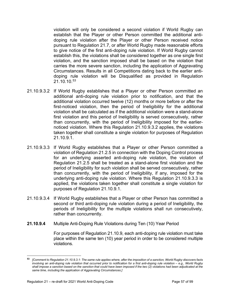violation will only be considered a second violation if World Rugby can establish that the Player or other Person committed the additional antidoping rule violation after the Player or other Person received notice pursuant to Regulation 21.7, or after World Rugby made reasonable efforts to give notice of the first anti-doping rule violation. If World Rugby cannot establish this, the violations shall be considered together as one single first violation, and the sanction imposed shall be based on the violation that carries the more severe sanction, including the application of Aggravating Circumstances. Results in all Competitions dating back to the earlier antidoping rule violation will be Disqualified as provided in Regulation 21.10.10[.53](#page-58-0)

- 21.10.9.3.2 If World Rugby establishes that a Player or other Person committed an additional anti-doping rule violation prior to notification, and that the additional violation occurred twelve (12) months or more before or after the first-noticed violation, then the period of Ineligibility for the additional violation shall be calculated as if the additional violation were a stand-alone first violation and this period of Ineligibility is served consecutively, rather than concurrently, with the period of Ineligibility imposed for the earliernoticed violation. Where this Regulation 21.10.9.3.2 applies, the violations taken together shall constitute a single violation for purposes of Regulation 21.10.9.1.
- 21.10.9.3.3 If World Rugby establishes that a Player or other Person committed a violation of Regulation 21.2.5 in connection with the Doping Control process for an underlying asserted anti-doping rule violation, the violation of Regulation 21.2.5 shall be treated as a stand-alone first violation and the period of Ineligibility for such violation shall be served consecutively, rather than concurrently, with the period of Ineligibility, if any, imposed for the underlying anti-doping rule violation. Where this Regulation 21.10.9.3.3 is applied, the violations taken together shall constitute a single violation for purposes of Regulation 21.10.9.1.
- 21.10.9.3.4 If World Rugby establishes that a Player or other Person has committed a second or third anti-doping rule violation during a period of Ineligibility, the periods of Ineligibility for the multiple violations shall run consecutively, rather than concurrently.
- **21.10.9.4** Multiple Anti-Doping Rule Violations during Ten (10) Year Period

For purposes of Regulation 21.10.9, each anti-doping rule violation must take place within the same ten (10) year period in order to be considered multiple violations.

<span id="page-58-0"></span>**<sup>53</sup>** *[Comment to Regulation 21.10.9.3.1: The same rule applies where, after the imposition of a sanction, World Rugby discovers facts involving an anti-doping rule violation that occurred prior to notification for a first anti-doping rule violation – e.g., World Rugby shall impose a sanction based on the sanction that could have been imposed if the two (2) violations had been adjudicated at the same time, including the application of Aggravating Circumstances.]*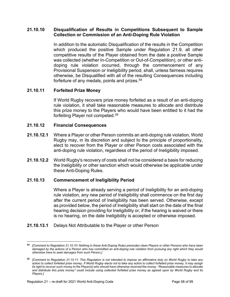### **21.10.10 Disqualification of Results in Competitions Subsequent to Sample Collection or Commission of an Anti-Doping Rule Violation**

In addition to the automatic Disqualification of the results in the Competition which produced the positive Sample under Regulation 21.9, all other competitive results of the Player obtained from the date a positive Sample was collected (whether In-Competition or Out-of-Competition), or other antidoping rule violation occurred, through the commencement of any Provisional Suspension or Ineligibility period, shall, unless fairness requires otherwise, be Disqualified with all of the resulting Consequences including forfeiture of any medals, points and prizes.<sup>[54](#page-59-0)</sup>

## **21.10.11 Forfeited Prize Money**

If World Rugby recovers prize money forfeited as a result of an anti-doping rule violation, it shall take reasonable measures to allocate and distribute this prize money to the Players who would have been entitled to it had the forfeiting Player not competed.[55](#page-59-1)

## **21.10.12 Financial Consequences**

- **21.10.12.1** Where a Player or other Person commits an anti-doping rule violation, World Rugby may, in its discretion and subject to the principle of proportionality, elect to recover from the Player or other Person costs associated with the anti-doping rule violation, regardless of the period of Ineligibility imposed.
- **21.10.12.2** World Rugby's recovery of costs shall not be considered a basis for reducing the Ineligibility or other sanction which would otherwise be applicable under these Anti-Doping Rules.

## **21.10.13 Commencement of Ineligibility Period**

Where a Player is already serving a period of Ineligibility for an anti-doping rule violation, any new period of Ineligibility shall commence on the first day after the current period of Ineligibility has been served. Otherwise, except as provided below, the period of Ineligibility shall start on the date of the final hearing decision providing for Ineligibility or, if the hearing is waived or there is no hearing, on the date Ineligibility is accepted or otherwise imposed.

**21.10.13.1** Delays Not Attributable to the Player or other Person

<span id="page-59-0"></span>**<sup>54</sup>** *[Comment to Regulation 21.10.10: Nothing in these Anti-Doping Rules precludes clean Players or other Persons who have been damaged by the actions of a Person who has committed an anti-doping rule violation from pursuing any right which they would otherwise have to seek damages from such Person.]*

<span id="page-59-1"></span>**<sup>55</sup>** *[Comment to Regulation 21.10.11: This Regulation is not intended to impose an affirmative duty on World Rugby to take any action to collect forfeited prize money. If World Rugby elects not to take any action to collect forfeited prize money, it may assign its right to recover such money to the Player(s) who should have otherwise received the money. "Reasonable measures to allocate and distribute this prize money" could include using collected forfeited prize money as agreed upon by World Rugby and its Players.]*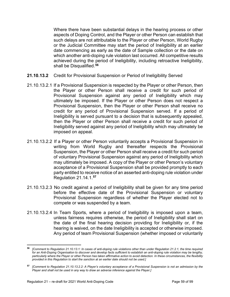Where there have been substantial delays in the hearing process or other aspects of Doping Control, and the Player or other Person can establish that such delays are not attributable to the Player or other Person, World Rugby or the Judicial Committee may start the period of Ineligibility at an earlier date commencing as early as the date of Sample collection or the date on which another anti-doping rule violation last occurred. All competitive results achieved during the period of Ineligibility, including retroactive Ineligibility, shall be Disqualified.**[56](#page-60-0)**

- **21.10.13.2** Credit for Provisional Suspension or Period of Ineligibility Served
- 21.10.13.2.1 If a Provisional Suspension is respected by the Player or other Person, then the Player or other Person shall receive a credit for such period of Provisional Suspension against any period of Ineligibility which may ultimately be imposed. If the Player or other Person does not respect a Provisional Suspension, then the Player or other Person shall receive no credit for any period of Provisional Suspension served. If a period of Ineligibility is served pursuant to a decision that is subsequently appealed, then the Player or other Person shall receive a credit for such period of Ineligibility served against any period of Ineligibility which may ultimately be imposed on appeal.
- 21.10.13.2.2 If a Player or other Person voluntarily accepts a Provisional Suspension in writing from World Rugby and thereafter respects the Provisional Suspension, the Player or other Person shall receive a credit for such period of voluntary Provisional Suspension against any period of Ineligibility which may ultimately be imposed. A copy of the Player or other Person's voluntary acceptance of a Provisional Suspension shall be provided promptly to each party entitled to receive notice of an asserted anti-doping rule violation under Regulation 21.14.1.**[57](#page-60-1)**
- 21.10.13.2.3 No credit against a period of Ineligibility shall be given for any time period before the effective date of the Provisional Suspension or voluntary Provisional Suspension regardless of whether the Player elected not to compete or was suspended by a team.
- 21.10.13.2.4 In Team Sports, where a period of Ineligibility is imposed upon a team, unless fairness requires otherwise, the period of Ineligibility shall start on the date of the final hearing decision providing for Ineligibility or, if the hearing is waived, on the date Ineligibility is accepted or otherwise imposed. Any period of team Provisional Suspension (whether imposed or voluntarily

<span id="page-60-0"></span>**<sup>56</sup>** *[Comment to Regulation 21.10.13.1: In cases of anti-doping rule violations other than under Regulation 21.2.1, the time required for an Anti-Doping Organisation to discover and develop facts sufficient to establish an anti-doping rule violation may be lengthy, particularly where the Player or other Person has taken affirmative action to avoid detection. In these circumstances, the flexibility provided in this Regulation to start the sanction at an earlier date should not be used.]*

<span id="page-60-1"></span>**<sup>57</sup>** *[Comment to Regulation 21.10.13.2.2: A Player's voluntary acceptance of a Provisional Suspension is not an admission by the Player and shall not be used in any way to draw an adverse inference against the Player.]*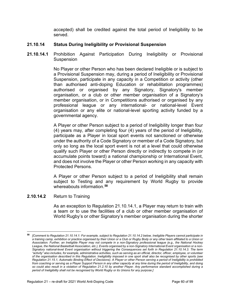accepted) shall be credited against the total period of Ineligibility to be served.

## **21.10.14 Status During Ineligibility or Provisional Suspension**

**21.10.14.1** Prohibition Against Participation During Ineligibility or Provisional Suspension

> No Player or other Person who has been declared Ineligible or is subject to a Provisional Suspension may, during a period of Ineligibility or Provisional Suspension, participate in any capacity in a Competition or activity (other than authorised anti-doping Education or rehabilitation programmes) authorised or organised by any Signatory, Signatory's member organisation, or a club or other member organisation of a Signatory's member organisation, or in Competitions authorised or organised by any professional league or any international- or national-level Event organisation or any elite or national-level sporting activity funded by a governmental agency.

> A Player or other Person subject to a period of Ineligibility longer than four (4) years may, after completing four (4) years of the period of Ineligibility, participate as a Player in local sport events not sanctioned or otherwise under the authority of a Code Signatory or member of a Code Signatory, but only so long as the local sport event is not at a level that could otherwise qualify such Player or other Person directly or indirectly to compete in (or accumulate points toward) a national championship or International Event, and does not involve the Player or other Person working in any capacity with Protected Persons.

> A Player or other Person subject to a period of Ineligibility shall remain subject to Testing and any requirement by World Rugby to provide whereabouts information.**[58](#page-61-0)**

## **2.10.14.2** Return to Training

As an exception to Regulation 21.10.14.1, a Player may return to train with a team or to use the facilities of a club or other member organisation of World Rugby's or other Signatory's member organisation during the shorter

<span id="page-61-0"></span>**<sup>58</sup>** *[Comment to Regulation 21.10.14.1: For example, subject to Regulation 21.10.14.2 below, Ineligible Players cannot participate in a training camp, exhibition or practice organised by their Union or a Club or Rugby Body or any other team affiliated to a Union or Association. Further, an Ineligible Player may not compete in a non-Signatory professional league (e.g., the National Hockey League, the National Basketball Association, etc.), Events organised by a non-Signatory International Event organisation or a non-Signatory national-level Event organisation without triggering the Consequences set forth in Regulation 21.10.14.3. The term "activity" also includes, for example, administrative activities, such as serving as an official, director, officer, employee, or volunteer of the organisation described in this Regulation. Ineligibility imposed in one sport shall also be recognised by other sports (see Regulation 21.15.1, Automatic Binding Effect of Decisions). A Player or other Person serving a period of Ineligibility is prohibited from coaching or serving as a Player Support Person in any other capacity at any time during the period of Ineligibility, and doing so could also result in a violation of Regulation 21.2.10 by another Player. Any performance standard accomplished during a period of Ineligibility shall not be recognised by World Rugby or its Unions for any purpose.]*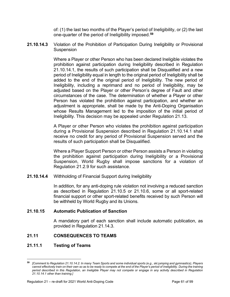of: (1) the last two months of the Player's period of Ineligibility, or (2) the last one-quarter of the period of Ineligibility imposed.**[59](#page-62-0)**

**21.10.14.3** Violation of the Prohibition of Participation During Ineligibility or Provisional **Suspension** 

> Where a Player or other Person who has been declared Ineligible violates the prohibition against participation during Ineligibility described in Regulation 21.10.14.1, the results of such participation shall be Disqualified and a new period of Ineligibility equal in length to the original period of Ineligibility shall be added to the end of the original period of Ineligibility. The new period of Ineligibility, including a reprimand and no period of Ineligibility, may be adjusted based on the Player or other Person's degree of Fault and other circumstances of the case. The determination of whether a Player or other Person has violated the prohibition against participation, and whether an adjustment is appropriate, shall be made by the Anti-Doping Organisation whose Results Management led to the imposition of the initial period of Ineligibility. This decision may be appealed under Regulation 21.13.

> A Player or other Person who violates the prohibition against participation during a Provisional Suspension described in Regulation 21.10.14.1 shall receive no credit for any period of Provisional Suspension served and the results of such participation shall be Disqualified.

> Where a Player Support Person or other Person assists a Person in violating the prohibition against participation during Ineligibility or a Provisional Suspension, World Rugby shall impose sanctions for a violation of Regulation 21.2.9 for such assistance.

**21.10.14.4** Withholding of Financial Support during Ineligibility

In addition, for any anti-doping rule violation not involving a reduced sanction as described in Regulation 21.10.5 or 21.10.6, some or all sport-related financial support or other sport-related benefits received by such Person will be withheld by World Rugby and its Unions.

## **21.10.15 Automatic Publication of Sanction**

A mandatory part of each sanction shall include automatic publication, as provided in Regulation 21.14.3.

## **21.11 CONSEQUENCES TO TEAMS**

## **21.11.1 Testing of Teams**

<span id="page-62-0"></span>**<sup>59</sup>** *[Comment to Regulation 21.10.14.2: In many Team Sports and some individual sports (e.g., ski jumping and gymnastics), Players cannot effectively train on their own so as to be ready to compete at the end of the Player's period of Ineligibility. During the training period described in this Regulation, an Ineligible Player may not compete or engage in any activity described in Regulation 21.10.14.1 other than training.]*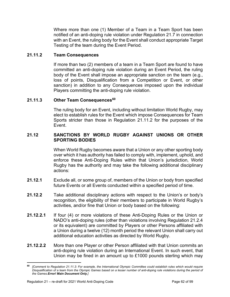Where more than one (1) Member of a Team in a Team Sport has been notified of an anti-doping rule violation under Regulation 21.7 in connection with an Event, the ruling body for the Event shall conduct appropriate Target Testing of the team during the Event Period.

## **21.11.2 Team Consequences**

If more than two (2) members of a team in a Team Sport are found to have committed an anti-doping rule violation during an Event Period, the ruling body of the Event shall impose an appropriate sanction on the team (e.g., loss of points, Disqualification from a Competition or Event, or other sanction) in addition to any Consequences imposed upon the individual Players committing the anti-doping rule violation.

## **21.11.3 Other Team Consequences[60](#page-63-0)**

The ruling body for an Event, including without limitation World Rugby, may elect to establish rules for the Event which impose Consequences for Team Sports stricter than those in Regulation 21.11.2 for the purposes of the Event.

## **21.12 SANCTIONS BY WORLD RUGBY AGAINST UNIONS OR OTHER SPORTING BODIES**

When World Rugby becomes aware that a Union or any other sporting body over which it has authority has failed to comply with, implement, uphold, and enforce these Anti-Doping Rules within that Union's jurisdiction, World Rugby has the authority and may take the following additional disciplinary actions:

- **21.12.1** Exclude all, or some group of, members of the Union or body from specified future Events or all Events conducted within a specified period of time.
- **21.12.2** Take additional disciplinary actions with respect to the Union's or body's recognition, the eligibility of their members to participate in World Rugby's activities, and/or fine that Union or body based on the following:
- **21.12.2.1** If four (4) or more violations of these Anti-Doping Rules or the Union or NADO's anti-doping rules (other than violations involving Regulation 21.2.4 or its equivalent) are committed by Players or other Persons affiliated with a Union during a twelve (12) month period the relevant Union shall carry out additional education activities as directed by World Rugby.
- **21.12.2.2** More than one Player or other Person affiliated with that Union commits an anti-doping rule violation during an International Event. In such event, that Union may be fined in an amount up to £1000 pounds sterling which may

<span id="page-63-0"></span>**<sup>60</sup>** *[Comment to Regulation 21.11.3: For example, the International Olympic Committee could establish rules which would require Disqualification of a team from the Olympic Games based on a lesser number of anti-doping rule violations during the period of the Games.Error! Main Document Only.]*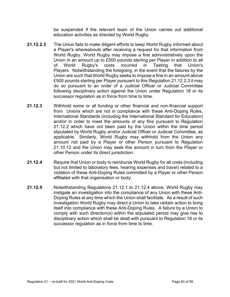be suspended if the relevant team of the Union carries out additional education activities as directed by World Rugby.

- **21.12.2.3** The Union fails to make diligent efforts to keep World Rugby informed about a Player's whereabouts after receiving a request for that information from World Rugby. World Rugby may impose a fine administratively upon the Union in an amount up to £500 pounds sterling per Player in addition to all of World Rugby's costs incurred in Testing that Union's Players. Notwithstanding the foregoing, in the event that the failures by the Union are such that World Rugby seeks to impose a fine in an amount above £500 pounds sterling per Player pursuant to this Regulation 21.12.2.3 it may do so pursuant to an order of a Judicial Officer or Judicial Committee following disciplinary action against the Union under Regulation 18 or its successor regulation as in force from time to time.
- **21.12.3** Withhold some or all funding or other financial and non-financial support from Unions which are not in compliance with these Anti-Doping Rules, International Standards (including the International Standard for Education) and/or in order to meet the amounts of any fine pursuant to Regulation 21.12.2 which have not been paid by the Union within the time period stipulated by World Rugby and/or Judicial Officer or Judicial Committee, as applicable. Similarly, World Rugby may withhold from the Union any amount not paid by a Player or other Person pursuant to Regulation 21.10.12 and the Union may seek this amount in turn from the Player or other Person under its direct jurisdiction.
- **21.12.4** Require that Union or body to reimburse World Rugby for all costs (including but not limited to laboratory fees, hearing expenses and travel) related to a violation of these Anti-Doping Rules committed by a Player or other Person affiliated with that organisation or body.
- **21.12.5** Notwithstanding Regulations 21.12.1 to 21.12.4 above, World Rugby may instigate an investigation into the compliance of any Union with these Anti-Doping Rules at any time which the Union shall facilitate. As a result of such investigation World Rugby may direct a Union to take certain action to bring itself into compliance with these Anti-Doping Rules. A failure by a Union to comply with such direction(s) within the stipulated period may give rise to disciplinary action which shall be dealt with pursuant to Regulation 18 or its successor regulation as in force from time to time.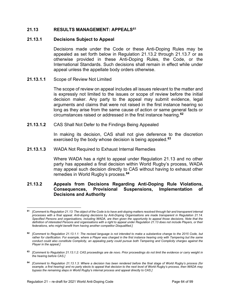## **21.13 RESULTS MANAGEMENT: APPEALS[61](#page-65-0)**

## **21.13.1 Decisions Subject to Appeal**

Decisions made under the Code or these Anti-Doping Rules may be appealed as set forth below in Regulation 21.13.2 through 21.13.7 or as otherwise provided in these Anti-Doping Rules, the Code, or the International Standards. Such decisions shall remain in effect while under appeal unless the appellate body orders otherwise.

#### **21.13.1.1** Scope of Review Not Limited

The scope of review on appeal includes all issues relevant to the matter and is expressly not limited to the issues or scope of review before the initial decision maker. Any party to the appeal may submit evidence, legal arguments and claims that were not raised in the first instance hearing so long as they arise from the same cause of action or same general facts or circumstances raised or addressed in the first instance hearing.**[62](#page-65-1)**

**21.13.1.2** CAS Shall Not Defer to the Findings Being Appealed

In making its decision, CAS shall not give deference to the discretion exercised by the body whose decision is being appealed.**[63](#page-65-2)**

**21.13.1.3** WADA Not Required to Exhaust Internal Remedies

Where WADA has a right to appeal under Regulation 21.13 and no other party has appealed a final decision within World Rugby's process, WADA may appeal such decision directly to CAS without having to exhaust other remedies in World Rugby's process.**[64](#page-65-3)**

## **21.13.2 Appeals from Decisions Regarding Anti-Doping Rule Violations, Consequences, Provisional Suspensions, Implementation of Decisions and Authority**

<span id="page-65-0"></span>**<sup>61</sup>** *[Comment to Regulation 21.13: The object of the Code is to have anti-doping matters resolved through fair and transparent internal processes with a final appeal. Anti-doping decisions by Anti-Doping Organisations are made transparent in Regulation 21.14. Specified Persons and organisations, including WADA, are then given the opportunity to appeal those decisions. Note that the definition of interested Persons and organisations with a right to appeal under Regulation 21.13 does not include Players, or their federations, who might benefit from having another competitor Disqualified.]*

<span id="page-65-1"></span>**<sup>62</sup>** *[Comment to Regulation 21.13.1.1: The revised language is not intended to make a substantive change to the 2015 Code, but*  rather for clarification. For example, where a Player was charged in the first instance hearing only with Tampering but the same *conduct could also constitute Complicity, an appealing party could pursue both Tampering and Complicity charges against the Player in the appeal.]*

<span id="page-65-2"></span>**<sup>63</sup>** *[Comment to Regulation 21.13.1.2: CAS proceedings are de novo. Prior proceedings do not limit the evidence or carry weight in the hearing before CAS.]*

<span id="page-65-3"></span>**<sup>64</sup>** *[Comment to Regulation 21.13.1.3: Where a decision has been rendered before the final stage of World Rugby's process (for example, a first hearing) and no party elects to appeal that decision to the next level of World Rugby's process, then WADA may bypass the remaining steps in World Rugby's internal process and appeal directly to CAS.]*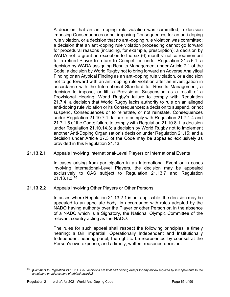A decision that an anti-doping rule violation was committed, a decision imposing Consequences or not imposing Consequences for an anti-doping rule violation, or a decision that no anti-doping rule violation was committed; a decision that an anti-doping rule violation proceeding cannot go forward for procedural reasons (including, for example, prescription); a decision by WADA not to grant an exception to the six (6) months' notice requirement for a retired Player to return to Competition under Regulation 21.5.6.1; a decision by WADA assigning Results Management under Article 7.1 of the Code; a decision by World Rugby not to bring forward an Adverse Analytical Finding or an Atypical Finding as an anti-doping rule violation, or a decision not to go forward with an anti-doping rule violation after an investigation in accordance with the International Standard for Results Management; a decision to impose, or lift, a Provisional Suspension as a result of a Provisional Hearing; World Rugby's failure to comply with Regulation 21.7.4; a decision that World Rugby lacks authority to rule on an alleged anti-doping rule violation or its Consequences; a decision to suspend, or not suspend, Consequences or to reinstate, or not reinstate, Consequences under Regulation 21.10.7.1; failure to comply with Regulation 21.7.1.4 and 21.7.1.5 of the Code; failure to comply with Regulation 21.10.8.1; a decision under Regulation 21.10.14.3; a decision by World Rugby not to implement another Anti-Doping Organisation's decision under Regulation 21.15; and a decision under Article 27.3 of the Code may be appealed exclusively as provided in this Regulation 21.13.

## **21.13.2.1** Appeals Involving International-Level Players or International Events

In cases arising from participation in an International Event or in cases involving International-Level Players, the decision may be appealed exclusively to CAS subject to Regulation 21.13.7 and Regulation 21.13.1.3. **[65](#page-66-0)**

## **21.13.2.2** Appeals Involving Other Players or Other Persons

In cases where Regulation 21.13.2.1 is not applicable, the decision may be appealed to an appellate body, in accordance with rules adopted by the NADO having authority over the Player or other Person or, in the absence of a NADO which is a Signatory, the National Olympic Committee of the relevant country acting as the NADO.

The rules for such appeal shall respect the following principles: a timely hearing; a fair, impartial, Operationally Independent and Institutionally Independent hearing panel; the right to be represented by counsel at the Person's own expense; and a timely, written, reasoned decision.

<span id="page-66-0"></span>**<sup>65</sup>** *[Comment to Regulation 21.13.2.1: CAS decisions are final and binding except for any review required by law applicable to the annulment or enforcement of arbitral awards.]*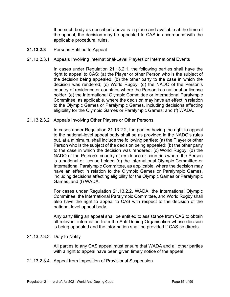If no such body as described above is in place and available at the time of the appeal, the decision may be appealed to CAS in accordance with the applicable procedural rules.

- **21.13.2.3** Persons Entitled to Appeal
- 21.13.2.3.1 Appeals Involving International-Level Players or International Events

In cases under Regulation 21.13.2.1, the following parties shall have the right to appeal to CAS: (a) the Player or other Person who is the subject of the decision being appealed; (b) the other party to the case in which the decision was rendered; (c) World Rugby; (d) the NADO of the Person's country of residence or countries where the Person is a national or license holder; (e) the International Olympic Committee or International Paralympic Committee, as applicable, where the decision may have an effect in relation to the Olympic Games or Paralympic Games, including decisions affecting eligibility for the Olympic Games or Paralympic Games; and (f) WADA.

21.13.2.3.2 Appeals Involving Other Players or Other Persons

In cases under Regulation 21.13.2.2, the parties having the right to appeal to the national-level appeal body shall be as provided in the NADO's rules but, at a minimum, shall include the following parties: (a) the Player or other Person who is the subject of the decision being appealed; (b) the other party to the case in which the decision was rendered; (c) World Rugby; (d) the NADO of the Person's country of residence or countries where the Person is a national or license holder; (e) the International Olympic Committee or International Paralympic Committee, as applicable, where the decision may have an effect in relation to the Olympic Games or Paralympic Games, including decisions affecting eligibility for the Olympic Games or Paralympic Games; and (f) WADA.

For cases under Regulation 21.13.2.2, WADA, the International Olympic Committee, the International Paralympic Committee, and World Rugby shall also have the right to appeal to CAS with respect to the decision of the national-level appeal body.

Any party filing an appeal shall be entitled to assistance from CAS to obtain all relevant information from the Anti-Doping Organisation whose decision is being appealed and the information shall be provided if CAS so directs.

21.13.2.3.3 Duty to Notify

All parties to any CAS appeal must ensure that WADA and all other parties with a right to appeal have been given timely notice of the appeal.

21.13.2.3.4 Appeal from Imposition of Provisional Suspension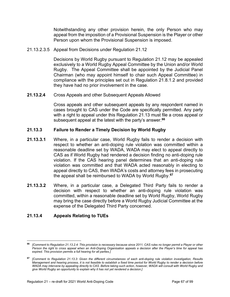Notwithstanding any other provision herein, the only Person who may appeal from the imposition of a Provisional Suspension is the Player or other Person upon whom the Provisional Suspension is imposed.

21.13.2.3.5 Appeal from Decisions under Regulation 21.12

Decisions by World Rugby pursuant to Regulation 21.12 may be appealed exclusively to a World Rugby Appeal Committee by the Union and/or World Rugby. The Appeal Committee shall be appointed by the Judicial Panel Chairman (who may appoint himself to chair such Appeal Committee) in compliance with the principles set out in Regulation 21.8.1.2 and provided they have had no prior involvement in the case.

**21.13.2.4** Cross Appeals and other Subsequent Appeals Allowed

Cross appeals and other subsequent appeals by any respondent named in cases brought to CAS under the Code are specifically permitted. Any party with a right to appeal under this Regulation 21.13 must file a cross appeal or subsequent appeal at the latest with the party's answer.**[66](#page-68-0)**

#### **21.13.3 Failure to Render a Timely Decision by World Rugby**

- **21.13.3.1** Where, in a particular case, World Rugby fails to render a decision with respect to whether an anti-doping rule violation was committed within a reasonable deadline set by WADA, WADA may elect to appeal directly to CAS as if World Rugby had rendered a decision finding no anti-doping rule violation. If the CAS hearing panel determines that an anti-doping rule violation was committed and that WADA acted reasonably in electing to appeal directly to CAS, then WADA's costs and attorney fees in prosecuting the appeal shall be reimbursed to WADA by World Rugby. **[67](#page-68-1)**
- **21.13.3.2** Where, in a particular case, a Delegated Third Party fails to render a decision with respect to whether an anti-doping rule violation was committed, within a reasonable deadline set by World Rugby, World Rugby may bring the case directly before a World Rugby Judicial Committee at the expense of the Delegated Third Party concerned.

## **21.13.4 Appeals Relating to TUEs**

<span id="page-68-0"></span>**<sup>66</sup>** *[Comment to Regulation 21.13.2.4: This provision is necessary because since 2011, CAS rules no longer permit a Player or other Person the right to cross appeal when an Anti-Doping Organisation appeals a decision after the Player's time for appeal has expired. This provision permits a full hearing for all parties.]*

<span id="page-68-1"></span>**<sup>67</sup>** *[Comment to Regulation 21.13.3: Given the different circumstances of each anti-doping rule violation investigation, Results Management and hearing process, it is not feasible to establish a fixed time period for World Rugby to render a decision before WADA may intervene by appealing directly to CAS. Before taking such action, however, WADA will consult with World Rugby and give World Rugby an opportunity to explain why it has not yet rendered a decision.]*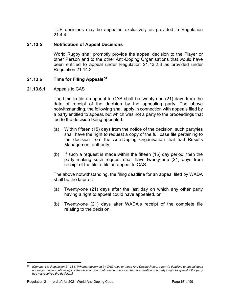TUE decisions may be appealed exclusively as provided in Regulation 21.4.4.

## **21.13.5 Notification of Appeal Decisions**

World Rugby shall promptly provide the appeal decision to the Player or other Person and to the other Anti-Doping Organisations that would have been entitled to appeal under Regulation 21.13.2.3 as provided under Regulation 21.14.2.

## **21.13.6 Time for Filing Appeals[68](#page-69-0)**

## **21.13.6.1** Appeals to CAS

The time to file an appeal to CAS shall be twenty-one (21) days from the date of receipt of the decision by the appealing party. The above notwithstanding, the following shall apply in connection with appeals filed by a party entitled to appeal, but which was not a party to the proceedings that led to the decision being appealed:

- (a) Within fifteen (15) days from the notice of the decision, such party/ies shall have the right to request a copy of the full case file pertaining to the decision from the Anti-Doping Organisation that had Results Management authority;
- (b) If such a request is made within the fifteen (15) day period, then the party making such request shall have twenty-one (21) days from receipt of the file to file an appeal to CAS.

The above notwithstanding, the filing deadline for an appeal filed by WADA shall be the later of:

- (a) Twenty-one (21) days after the last day on which any other party having a right to appeal could have appealed, or
- (b) Twenty-one (21) days after WADA's receipt of the complete file relating to the decision.

<span id="page-69-0"></span>**<sup>68</sup>** *[Comment to Regulation 21.13.6: Whether governed by CAS rules or these Anti-Doping Rules, a party's deadline to appeal does not begin running until receipt of the decision. For that reason, there can be no expiration of a party's right to appeal if the party has not received the decision.]*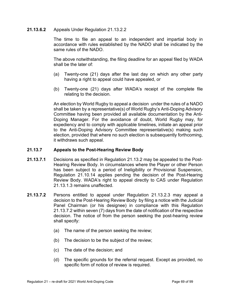#### **21.13.6.2** Appeals Under Regulation 21.13.2.2

The time to file an appeal to an independent and impartial body in accordance with rules established by the NADO shall be indicated by the same rules of the NADO.

The above notwithstanding, the filing deadline for an appeal filed by WADA shall be the later of:

- (a) Twenty-one (21) days after the last day on which any other party having a right to appeal could have appealed, or
- (b) Twenty-one (21) days after WADA's receipt of the complete file relating to the decision.

An election by World Rugby to appeal a decision under the rules of a NADO shall be taken by a representative(s) of World Rugby's Anti-Doping Advisory Committee having been provided all available documentation by the Anti-Doping Manager. For the avoidance of doubt, World Rugby may, for expediency and to comply with applicable timelines, initiate an appeal prior to the Anti-Doping Advisory Committee representative(s) making such election, provided that where no such election is subsequently forthcoming, it withdraws such appeal.

### **21.13.7 Appeals to the Post-Hearing Review Body**

- **21.13.7.1** Decisions as specified in Regulation 21.13.2 may be appealed to the Post-Hearing Review Body. In circumstances where the Player or other Person has been subject to a period of Ineligibility or Provisional Suspension, Regulation 21.10.14 applies pending the decision of the Post-Hearing Review Body. WADA's right to appeal directly to CAS under Regulation 21.13.1.3 remains unaffected.
- **21.13.7.2** Persons entitled to appeal under Regulation 21.13.2.3 may appeal a decision to the Post-Hearing Review Body by filing a notice with the Judicial Panel Chairman (or his designee) in compliance with this Regulation 21.13.7.2 within seven (7) days from the date of notification of the respective decision. The notice of from the person seeking the post-hearing review shall specify:
	- (a) The name of the person seeking the review;
	- (b) The decision to be the subject of the review;
	- (c) The date of the decision; and
	- (d) The specific grounds for the referral request. Except as provided, no specific form of notice of review is required.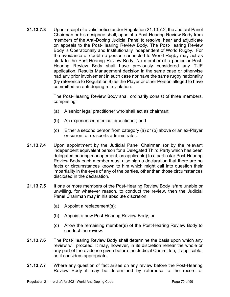**21.13.7.3** Upon receipt of a valid notice under Regulation 21.13.7.2, the Judicial Panel Chairman or his designee shall, appoint a Post-Hearing Review Body from members of the Anti-Doping Judicial Panel to resolve, hear and adjudicate on appeals to the Post-Hearing Review Body. The Post-Hearing Review Body is Operationally and Institutionally Independent of World Rugby. For the avoidance of doubt no person connected to World Rugby may act as clerk to the Post-Hearing Review Body. No member of a particular Post-Hearing Review Body shall have previously considered any TUE application, Results Management decision in the same case or otherwise had any prior involvement in such case nor have the same rugby nationality (by reference to Regulation 8) as the Player or other Person alleged to have committed an anti-doping rule violation.

> The Post-Hearing Review Body shall ordinarily consist of three members, comprising:

- (a) A senior legal practitioner who shall act as chairman;
- (b) An experienced medical practitioner; and
- (c) Either a second person from category (a) or (b) above or an ex-Player or current or ex-sports administrator.
- **21.13.7.4** Upon appointment by the Judicial Panel Chairman (or by the relevant independent equivalent person for a Delegated Third Party which has been delegated hearing management, as applicable) to a particular Post-Hearing Review Body each member must also sign a declaration that there are no facts or circumstances known to him which might call into question their impartiality in the eyes of any of the parties, other than those circumstances disclosed in the declaration.
- **21.13.7.5** If one or more members of the Post-Hearing Review Body is/are unable or unwilling, for whatever reason, to conduct the review, then the Judicial Panel Chairman may in his absolute discretion:
	- (a) Appoint a replacement(s);
	- (b) Appoint a new Post-Hearing Review Body; or
	- (c) Allow the remaining member(s) of the Post-Hearing Review Body to conduct the review.
- **21.13.7.6** The Post-Hearing Review Body shall determine the basis upon which any review will proceed. It may, however, in its discretion rehear the whole or any part of the evidence given before the Judicial Committee, if applicable, as it considers appropriate.
- **21.13.7.7** Where any question of fact arises on any review before the Post-Hearing Review Body it may be determined by reference to the record of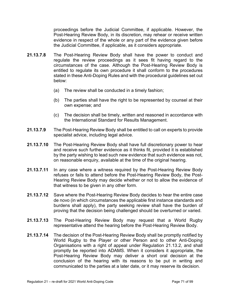proceedings before the Judicial Committee, if applicable. However, the Post-Hearing Review Body, in its discretion, may rehear or receive written evidence in respect of the whole or any part of the evidence given before the Judicial Committee, if applicable, as it considers appropriate.

- **21.13.7.8** The Post-Hearing Review Body shall have the power to conduct and regulate the review proceedings as it sees fit having regard to the circumstances of the case. Although the Post-Hearing Review Body is entitled to regulate its own procedure it shall conform to the procedures stated in these Anti-Doping Rules and with the procedural guidelines set out below:
	- (a) The review shall be conducted in a timely fashion;
	- (b) The parties shall have the right to be represented by counsel at their own expense; and
	- (c) The decision shall be timely, written and reasoned in accordance with the International Standard for Results Management.
- **21.13.7.9** The Post-Hearing Review Body shall be entitled to call on experts to provide specialist advice, including legal advice.
- **21.13.7.10** The Post-Hearing Review Body shall have full discretionary power to hear and receive such further evidence as it thinks fit, provided it is established by the party wishing to lead such new evidence that such evidence was not, on reasonable enquiry, available at the time of the original hearing.
- **21.13.7.11** In any case where a witness required by the Post-Hearing Review Body refuses or fails to attend before the Post-Hearing Review Body, the Post-Hearing Review Body may decide whether or not to allow the evidence of that witness to be given in any other form.
- **21.13.7.12** Save where the Post-Hearing Review Body decides to hear the entire case de novo (in which circumstances the applicable first instance standards and burdens shall apply), the party seeking review shall have the burden of proving that the decision being challenged should be overturned or varied.
- **21.13.7.13** The Post-Hearing Review Body may request that a World Rugby representative attend the hearing before the Post-Hearing Review Body.
- **21.13.7.14** The decision of the Post-Hearing Review Body shall be promptly notified by World Rugby to the Player or other Person and to other Anti-Doping Organisations with a right of appeal under Regulation 21.13.2, and shall promptly be reported into ADAMS. When it considers it appropriate, the Post-Hearing Review Body may deliver a short oral decision at the conclusion of the hearing with its reasons to be put in writing and communicated to the parties at a later date, or it may reserve its decision.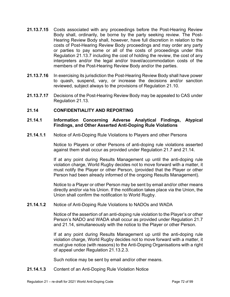- **21.13.7.15** Costs associated with any proceedings before the Post-Hearing Review Body shall, ordinarily, be borne by the party seeking review. The Post-Hearing Review Body shall, however, have full discretion in relation to the costs of Post-Hearing Review Body proceedings and may order any party or parties to pay some or all of the costs of proceedings under this Regulation 21.13.7 including the cost of holding the review, the cost of any interpreters and/or the legal and/or travel/accommodation costs of the members of the Post-Hearing Review Body and/or the parties.
- **21.13.7.16** In exercising its jurisdiction the Post-Hearing Review Body shall have power to quash, suspend, vary, or increase the decisions and/or sanction reviewed, subject always to the provisions of Regulation 21.10.
- **21.13.7.17** Decisions of the Post-Hearing Review Body may be appealed to CAS under Regulation 21.13.

# **21.14 CONFIDENTIALITY AND REPORTING**

# **21.14.1 Information Concerning Adverse Analytical Findings, Atypical Findings, and Other Asserted Anti-Doping Rule Violations**

**21.14.1.1** Notice of Anti-Doping Rule Violations to Players and other Persons

Notice to Players or other Persons of anti-doping rule violations asserted against them shall occur as provided under Regulation 21.7 and 21.14.

If at any point during Results Management up until the anti-doping rule violation charge, World Rugby decides not to move forward with a matter, it must notify the Player or other Person, (provided that the Player or other Person had been already informed of the ongoing Results Management).

Notice to a Player or other Person may be sent by email and/or other means directly and/or via his Union. If the notification takes place via the Union, the Union shall confirm the notification to World Rugby.

**21.14.1.2** Notice of Anti-Doping Rule Violations to NADOs and WADA

Notice of the assertion of an anti-doping rule violation to the Player's or other Person's NADO and WADA shall occur as provided under Regulation 21.7 and 21.14, simultaneously with the notice to the Player or other Person.

If at any point during Results Management up until the anti-doping rule violation charge, World Rugby decides not to move forward with a matter, it must give notice (with reasons) to the Anti-Doping Organisations with a right of appeal under Regulation 21.13.2.3.

Such notice may be sent by email and/or other means.

**21.14.1.3** Content of an Anti-Doping Rule Violation Notice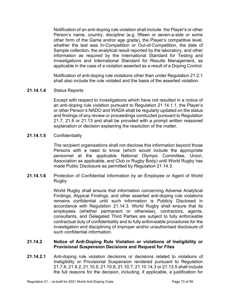Notification of an anti-doping rule violation shall include: the Player's or other Person's name, country, discipline (e.g. fifteen or seven-a-side or some other form of the Game and/or age grade), the Player's competitive level, whether the test was In-Competition or Out-of-Competition, the date of Sample collection, the analytical result reported by the laboratory, and other information as required by the International Standard for Testing and Investigations and International Standard for Results Management, as applicable in the case of a violation asserted as a result of a Doping Control.

Notification of anti-doping rule violations other than under Regulation 21.2.1 shall also include the rule violated and the basis of the asserted violation.

# **21.14.1.4** Status Reports

Except with respect to investigations which have not resulted in a notice of an anti-doping rule violation pursuant to Regulation 21.14.1.1, the Player's or other Person's NADO and WADA shall be regularly updated on the status and findings of any review or proceedings conducted pursuant to Regulation 21.7, 21.8 or 21.13 and shall be provided with a prompt written reasoned explanation or decision explaining the resolution of the matter.

# **21.14.1.5** Confidentiality

The recipient organisations shall not disclose this information beyond those Persons with a need to know (which would include the appropriate personnel at the applicable National Olympic Committee, Union, Association as applicable, and Club or Rugby Body) until World Rugby has made Public Disclosure as permitted by Regulation 21.14.3.

**21.14.1.6** Protection of Confidential Information by an Employee or Agent of World Rugby

> World Rugby shall ensure that information concerning Adverse Analytical Findings, Atypical Findings, and other asserted anti-doping rule violations remains confidential until such information is Publicly Disclosed in accordance with Regulation 21.14.3. World Rugby shall ensure that its employees (whether permanent or otherwise), contractors, agents, consultants, and Delegated Third Parties are subject to fully enforceable contractual duty of confidentiality and to fully enforceable procedures for the investigation and disciplining of improper and/or unauthorised disclosure of such confidential information.

## **21.14.2 Notice of Anti-Doping Rule Violation or violations of Ineligibility or Provisional Suspension Decisions and Request for Files**

**21.14.2.1** Anti-doping rule violation decisions or decisions related to violations of Ineligibility or Provisional Suspension rendered pursuant to Regulation 21.7.6, 21.8.2, 21.10.5, 21.10.6, 21.10.7, 21.10.14.3 or 21.13.5 shall include the full reasons for the decision, including, if applicable, a justification for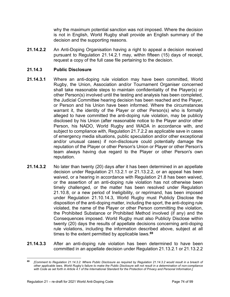why the maximum potential sanction was not imposed. Where the decision is not in English, World Rugby shall provide an English summary of the decision and the supporting reasons.

**21.14.2.2** An Anti-Doping Organisation having a right to appeal a decision received pursuant to Regulation 21.14.2.1 may, within fifteen (15) days of receipt, request a copy of the full case file pertaining to the decision.

# **21.14.3 Public Disclosure**

- **21.14.3.1** Where an anti-doping rule violation may have been committed, World Rugby, the Union, Association and/or Tournament Organiser concerned shall take reasonable steps to maintain confidentiality of the Player(s) or other Person(s) involved until the testing and analysis has been completed, the Judicial Committee hearing decision has been reached and the Player, or Person and his Union have been informed. Where the circumstances warrant it, the identity of the Player or other Person(s) who is formally alleged to have committed the anti-doping rule violation, may be publicly disclosed by his Union (after reasonable notice to the Player and/or other Person, his NADO, World Rugby and WADA in accordance with, and subject to compliance with, Regulation 21.7.2.2 as applicable save in cases of emergency media situations, public speculation and/or other exceptional and/or unusual cases) if non-disclosure could potentially damage the reputation of the Player or other Person's Union or Player or other Person's team always having due regard to the Player or other Person's own reputation.
- **21.14.3.2** No later than twenty (20) days after it has been determined in an appellate decision under Regulation 21.13.2.1 or 21.13.2.2, or an appeal has been waived, or a hearing in accordance with Regulation 21.8 has been waived, or the assertion of an anti-doping rule violation has not otherwise been timely challenged, or the matter has been resolved under Regulation 21.10.8, or a new period of Ineligibility, or reprimand, has been imposed under Regulation 21.10.14.3, World Rugby must Publicly Disclose the disposition of the anti-doping matter, including the sport, the anti-doping rule violated, the name of the Player or other Person committing the violation, the Prohibited Substance or Prohibited Method involved (if any) and the Consequences imposed. World Rugby must also Publicly Disclose within twenty (20) days the results of appellate decisions concerning anti-doping rule violations, including the information described above, subject at all times to the extent permitted by applicable laws. **[69](#page-75-0)**
- **21.14.3.3** After an anti-doping rule violation has been determined to have been committed in an appellate decision under Regulation 21.13.2.1 or 21.13.2.2

<span id="page-75-0"></span>**<sup>69</sup>** *[Comment to Regulation 21.14.3.2: Where Public Disclosure as required by Regulation 21.14.3.2 would result in a breach of other applicable laws, World Rugby's failure to make the Public Disclosure will not result in a determination of non-compliance with Code as set forth in Article 4.1 of the International Standard for the Protection of Privacy and Personal Information.]*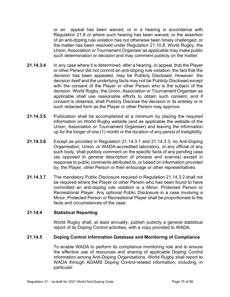or an appeal has been waived, or in a hearing in accordance with Regulation 21.8 or where such hearing has been waived, or the assertion of an anti-doping rule violation has not otherwise been timely challenged, or the matter has been resolved under Regulation 21.10.8, World Rugby, the Union, Association or Tournament Organiser as applicable may make public such determination or decision and may comment publicly on the matter.

- **21.14.3.4** In any case where it is determined, after a hearing, or appeal, that the Player or other Person did not commit an anti-doping rule violation, the fact that the decision has been appealed, may be Publicly Disclosed. However, the decision itself and the underlying facts may not be Publicly Disclosed except with the consent of the Player or other Person who is the subject of the decision. World Rugby, the Union, Association or Tournament Organiser as applicable shall use reasonable efforts to obtain such consent, and if consent is obtained, shall Publicly Disclose the decision in its entirety or in such redacted form as the Player or other Person may approve.
- **21.14.3.5** Publication shall be accomplished at a minimum by placing the required information on World Rugby website (and as applicable the website of the Union, Association or Tournament Organiser) and leaving the information up for the longer of one (1) month or the duration of any period of Ineligibility.
- **21.14.3.6** Except as provided in Regulation 21.14.3.1 and 21.14.3.3, no Anti-Doping Organisation, Union, or WADA-accredited laboratory, or any official of any such body, shall publicly comment on the specific facts of any pending case (as opposed to general description of process and science) except in response to public comments attributed to, or based on information provided by, the Player, other Person or their entourage or other representatives.
- **21.14.3.7** The mandatory Public Disclosure required in Regulation 21.14.3.2 shall not be required where the Player or other Person who has been found to have committed an anti-doping rule violation is a Minor, Protected Person or Recreational Player. Any optional Public Disclosure in a case involving a Minor, Protected Person or Recreational Player shall be proportionate to the facts and circumstances of the case.

# **21.14.4 Statistical Reporting**

World Rugby shall, at least annually, publish publicly a general statistical report of its Doping Control activities, with a copy provided to WADA.

# **21.14.5 Doping Control Information Database and Monitoring of Compliance**

To enable WADA to perform its compliance monitoring role and to ensure the effective use of resources and sharing of applicable Doping Control information among Anti-Doping Organisations, World Rugby shall report to WADA through ADAMS Doping Control-related information, including, in particular: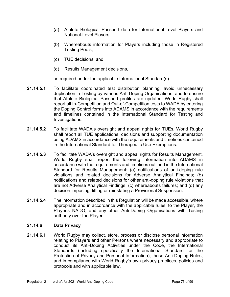- (a) Athlete Biological Passport data for International-Level Players and National-Level Players;
- (b) Whereabouts information for Players including those in Registered Testing Pools;
- (c) TUE decisions; and
- (d) Results Management decisions,

as required under the applicable International Standard(s).

- **21.14.5.1** To facilitate coordinated test distribution planning, avoid unnecessary duplication in Testing by various Anti-Doping Organisations, and to ensure that Athlete Biological Passport profiles are updated, World Rugby shall report all In-Competition and Out-of-Competition tests to WADA by entering the Doping Control forms into ADAMS in accordance with the requirements and timelines contained in the International Standard for Testing and Investigations.
- **21.14.5.2** To facilitate WADA's oversight and appeal rights for TUEs, World Rugby shall report all TUE applications, decisions and supporting documentation using ADAMS in accordance with the requirements and timelines contained in the International Standard for Therapeutic Use Exemptions.
- **21.14.5.3** To facilitate WADA's oversight and appeal rights for Results Management, World Rugby shall report the following information into ADAMS in accordance with the requirements and timelines outlined in the International Standard for Results Management: (a) notifications of anti-doping rule violations and related decisions for Adverse Analytical Findings; (b) notifications and related decisions for other anti-doping rule violations that are not Adverse Analytical Findings; (c) whereabouts failures; and (d) any decision imposing, lifting or reinstating a Provisional Suspension.
- **21.14.5.4** The information described in this Regulation will be made accessible, where appropriate and in accordance with the applicable rules, to the Player, the Player's NADO, and any other Anti-Doping Organisations with Testing authority over the Player.

#### **21.14.6 Data Privacy**

**21.14.6.1** World Rugby may collect, store, process or disclose personal information relating to Players and other Persons where necessary and appropriate to conduct its Anti-Doping Activities under the Code, the International Standards (including specifically the International Standard for the Protection of Privacy and Personal Information), these Anti-Doping Rules, and in compliance with World Rugby's own privacy practices, policies and protocols and with applicable law.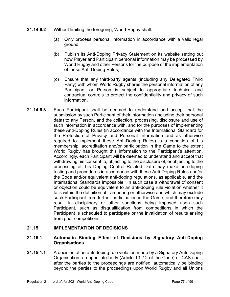- **21.14.6.2** Without limiting the foregoing, World Rugby shall:
	- (a) Only process personal information in accordance with a valid legal ground;
	- (b) Publish its Anti-Doping Privacy Statement on its website setting out how Player and Participant personal information may be processed by World Rugby and other Persons for the purpose of the implementation of these Anti-Doping Rules;
	- (c) Ensure that any third-party agents (including any Delegated Third Party) with whom World Rugby shares the personal information of any Participant or Person is subject to appropriate technical and contractual controls to protect the confidentiality and privacy of such information.
- **21.14.6.3** Each Participant shall be deemed to understand and accept that the submission by such Participant of their information (including their personal data) to any Person, and the collection, processing, disclosure and use of such information in accordance with, and for the purposes of implementing these Anti-Doping Rules (in accordance with the International Standard for the Protection of Privacy and Personal Information and as otherwise required to implement these Anti-Doping Rules) is a condition of his membership, accreditation and/or participation in the Game to the extent World Rugby has brought this information to the Participant's attention. Accordingly, each Participant will be deemed to understand and accept that withdrawing his consent to, objecting to the disclosure of, or objecting to the processing of, his Doping Control Related Data may make anti-doping testing and procedures in accordance with these Anti-Doping Rules and/or the Code and/or equivalent anti-doping regulations, as applicable, and the International Standards impossible. In such case a withdrawal of consent or objection could be equivalent to an anti-doping rule violation whether it falls within the definition of Tampering or otherwise and which may exclude such Participant from further participation in the Game, and therefore may result in disciplinary or other sanctions being imposed upon such Participant, such as disqualification from competitions in which the Participant is scheduled to participate or the invalidation of results arising from prior competitions.

# **21.15 IMPLEMENTATION OF DECISIONS**

# **21.15.1 Automatic Binding Effect of Decisions by Signatory Anti-Doping Organisations**

**21.15.1.1** A decision of an anti-doping rule violation made by a Signatory Anti-Doping Organisation, an appellate body (Article 13.2.2 of the Code) or CAS shall, after the parties to the proceedings are notified, automatically be binding beyond the parties to the proceedings upon World Rugby and all Unions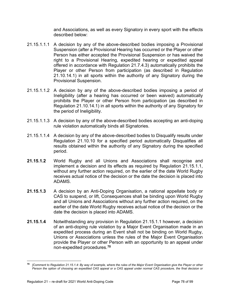and Associations, as well as every Signatory in every sport with the effects described below:

- 21.15.1.1.1 A decision by any of the above-described bodies imposing a Provisional Suspension (after a Provisional Hearing has occurred or the Player or other Person has either accepted the Provisional Suspension or has waived the right to a Provisional Hearing, expedited hearing or expedited appeal offered in accordance with Regulation 21.7.4.3) automatically prohibits the Player or other Person from participation (as described in Regulation 21.10.14.1) in all sports within the authority of any Signatory during the Provisional Suspension.
- 21.15.1.1.2 A decision by any of the above-described bodies imposing a period of Ineligibility (after a hearing has occurred or been waived) automatically prohibits the Player or other Person from participation (as described in Regulation 21.10.14.1) in all sports within the authority of any Signatory for the period of Ineligibility.
- 21.15.1.1.3 A decision by any of the above-described bodies accepting an anti-doping rule violation automatically binds all Signatories.
- 21.15.1.1.4 A decision by any of the above-described bodies to Disqualify results under Regulation 21.10.10 for a specified period automatically Disqualifies all results obtained within the authority of any Signatory during the specified period.
- **21.15.1.2** World Rugby and all Unions and Associations shall recognise and implement a decision and its effects as required by Regulation 21.15.1.1, without any further action required, on the earlier of the date World Rugby receives actual notice of the decision or the date the decision is placed into ADAMS.
- **21.15.1.3** A decision by an Anti-Doping Organisation, a national appellate body or CAS to suspend, or lift, Consequences shall be binding upon World Rugby and all Unions and Associations without any further action required, on the earlier of the date World Rugby receives actual notice of the decision or the date the decision is placed into ADAMS.
- **21.15.1.4** Notwithstanding any provision in Regulation 21.15.1.1 however, a decision of an anti-doping rule violation by a Major Event Organisation made in an expedited process during an Event shall not be binding on World Rugby, Unions or Associations unless the rules of the Major Event Organisation provide the Player or other Person with an opportunity to an appeal under non-expedited procedures. **[70](#page-79-0)**

<span id="page-79-0"></span>**<sup>70</sup>** *[Comment to Regulation 21.15.1.4: By way of example, where the rules of the Major Event Organisation give the Player or other Person the option of choosing an expedited CAS appeal or a CAS appeal under normal CAS procedure, the final decision or*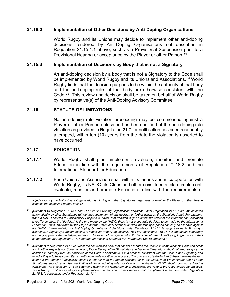## **21.15.2 Implementation of Other Decisions by Anti-Doping Organisations**

World Rugby and its Unions may decide to implement other anti-doping decisions rendered by Anti-Doping Organisations not described in Regulation 21.15.1.1 above, such as a Provisional Suspension prior to a Provisional Hearing or acceptance by the Player or other Person. **[71](#page-80-0)**

#### **21.15.3 Implementation of Decisions by Body that is not a Signatory**

An anti-doping decision by a body that is not a Signatory to the Code shall be implemented by World Rugby and its Unions and Associations, if World Rugby finds that the decision purports to be within the authority of that body and the anti-doping rules of that body are otherwise consistent with the Code.**[72](#page-80-1)** This review and decision shall be taken on behalf of World Rugby by representative(s) of the Anti-Doping Advisory Committee.

#### **21.16 STATUTE OF LIMITATIONS**

No anti-doping rule violation proceeding may be commenced against a Player or other Person unless he has been notified of the anti-doping rule violation as provided in Regulation 21.7, or notification has been reasonably attempted, within ten (10) years from the date the violation is asserted to have occurred.

## **21.17 EDUCATION**

- **21.17.1** World Rugby shall plan, implement, evaluate, monitor, and promote Education in line with the requirements of Regulation 21.18.2 and the International Standard for Education.
- **21.17.2** Each Union and Association shall within its means and in co-operation with World Rugby, its NADO, its Clubs and other constituents, plan, implement, evaluate, monitor and promote Education in line with the requirements of

*adjudication by the Major Event Organisation is binding on other Signatories regardless of whether the Player or other Person chooses the expedited appeal option.]*

<span id="page-80-0"></span>**<sup>71</sup>** *[Comment to Regulation 21.15.1 and 21.15.2: Anti-Doping Organisation decisions under Regulation 21.15.1 are implemented automatically by other Signatories without the requirement of any decision or further action on the Signatories' part. For example, when a NADO decides to Provisionally Suspend a Player, that decision is given automatic effect at the International Federation level. To be clear, the "decision" is the one made by the NADO, there is not a separate decision to be made by the International Federation. Thus, any claim by the Player that the Provisional Suspension was improperly imposed can only be asserted against the NADO. Implementation of Anti-Doping Organisations' decisions under Regulation 21.15.2 is subject to each Signatory's discretion. A Signatory's implementation of a decision under Regulation 21.15.1 or Regulation 21.15.2 is not appealable separately from any appeal of the underlying decision. The extent of recognition of TUE decisions of other Anti-Doping Organisations shall be determined by Regulation 21.4.4 and the International Standard for Therapeutic Use Exemptions.]* 

<span id="page-80-1"></span>**<sup>72</sup>** *[Comment to Regulation 21.15.3: Where the decision of a body that has not accepted the Code is in some respects Code compliant and in other respects not Code compliant, World Rugby, other Signatories and National Federations should attempt to apply the decision in harmony with the principles of the Code. For example, if in a process consistent with the Code a non-Signatory has found a Player to have committed an anti-doping rule violation on account of the presence of a Prohibited Substance in the Player's body but the period of Ineligibility applied is shorter than the period provided for in the Code, then World Rugby and all other Signatories should recognise the finding of an anti-doping rule violation and the Player's NADO should conduct a hearing consistent with Regulation 21.8 to determine whether the longer period of Ineligibility provided in the Code should be imposed. World Rugby or other Signatory's implementation of a decision, or their decision not to implement a decision under Regulation 21.15.3, is appealable under Regulation 21.13.]*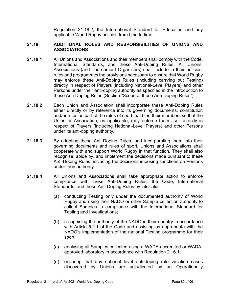Regulation 21.18.2, the International Standard for Education and any applicable World Rugby policies from time to time.

# **21.18 ADDITIONAL ROLES AND RESPONSIBILITIES OF UNIONS AND ASSOCIATIONS**

- **21.18.1** All Unions and Associations and their members shall comply with the Code, International Standards, and these Anti-Doping Rules. All Unions, Associations (and Tournament Organisers) shall include in their policies, rules and programmes the provisions necessary to ensure that World Rugby may enforce these Anti-Doping Rules (including carrying out Testing) directly in respect of Players (including National-Level Players) and other Persons under their anti-doping authority as specified in the Introduction to these Anti-Doping Rules (Section "Scope of these Anti-Doping Rules").
- **21.18.2** Each Union and Association shall incorporate these Anti-Doping Rules either directly or by reference into its governing documents, constitution and/or rules as part of the rules of sport that bind their members so that the Union or Association, as applicable, may enforce them itself directly in respect of Players (including National-Level Players) and other Persons under its anti-doping authority.
- **21.18.3** By adopting these Anti-Doping Rules, and incorporating them into their governing documents and rules of sport, Unions and Associations shall cooperate with and support World Rugby in that function. They shall also recognise, abide by, and implement the decisions made pursuant to these Anti-Doping Rules, including the decisions imposing sanctions on Persons under their authority.
- **21.18.4** All Unions and Associations shall take appropriate action to enforce compliance with these Anti-Doping Rules, the Code, International Standards, and these Anti-Doping Rules by inter alia:
	- (a) conducting Testing only under the documented authority of World Rugby and using their NADO or other Sample collection authority to collect Samples in compliance with the International Standard for Testing and Investigations;
	- (b) recognising the authority of the NADO in their country in accordance with Article 5.2.1 of the Code and assisting as appropriate with the NADO's implementation of the national Testing programme for their sport;
	- (c) analysing all Samples collected using a WADA-accredited or WADAapproved laboratory in accordance with Regulation 21.6.1;
	- (d) ensuring that any national level anti-doping rule violation cases discovered by Unions are adjudicated by an Operationally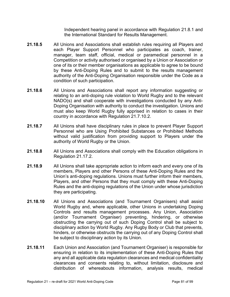Independent hearing panel in accordance with Regulation 21.8.1 and the International Standard for Results Management.

- **21.18.5** All Unions and Associations shall establish rules requiring all Players and each Player Support Personnel who participates as coach, trainer, manager, team staff, official, medical or paramedical personnel in a Competition or activity authorised or organised by a Union or Association or one of its or their member organisations as applicable to agree to be bound by these Anti-Doping Rules and to submit to the results management authority of the Anti-Doping Organisation responsible under the Code as a condition of such participation.
- **21.18.6** All Unions and Associations shall report any information suggesting or relating to an anti-doping rule violation to World Rugby and to the relevant NADO(s) and shall cooperate with investigations conducted by any Anti-Doping Organisation with authority to conduct the investigation. Unions and must also keep World Rugby fully apprised in relation to cases in their country in accordance with Regulation 21.7.10.2.
- **21.18.7** All Unions shall have disciplinary rules in place to prevent Player Support Personnel who are Using Prohibited Substances or Prohibited Methods without valid justification from providing support to Players under the authority of World Rugby or the Union.
- **21.18.8** All Unions and Associations shall comply with the Education obligations in Regulation 21.17.2.
- **21.18.9** All Unions shall take appropriate action to inform each and every one of its members, Players and other Persons of these Anti-Doping Rules and the Union's anti-doping regulations. Unions must further inform their members, Players, and other Persons that they must comply with these Anti-Doping Rules and the anti-doping regulations of the Union under whose jurisdiction they are participating.
- **21.18.10** All Unions and Associations (and Tournament Organisers) shall assist World Rugby and, where applicable, other Unions in undertaking Doping Controls and results management processes. Any Union, Association (and/or Tournament Organiser) preventing, hindering, or otherwise obstructing the carrying out of such Doping Control shall be subject to disciplinary action by World Rugby. Any Rugby Body or Club that prevents, hinders, or otherwise obstructs the carrying out of any Doping Control shall be subject to disciplinary action by its Union.
- **21.18.11** Each Union and Association (and Tournament Organiser) is responsible for ensuring in relation to its implementation of these Anti-Doping Rules that any and all applicable data regulation clearances and medical confidentiality clearances and consents relating to, without limitation, disclosure and distribution of whereabouts information, analysis results, medical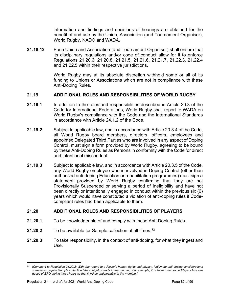information and findings and decisions of hearings are obtained for the benefit of and use by the Union, Association (and Tournament Organiser), World Rugby, NADO and WADA.

**21.18.12** Each Union and Association (and Tournament Organiser) shall ensure that its disciplinary regulations and/or code of conduct allow for it to enforce Regulations 21.20.6, 21.20.8, 21.21.5, 21.21.6, 21.21.7, 21.22.3, 21.22.4 and 21.22.5 within their respective jurisdictions.

> World Rugby may at its absolute discretion withhold some or all of its funding to Unions or Associations which are not in compliance with these Anti-Doping Rules.

# **21.19 ADDITIONAL ROLES AND RESPONSIBILITIES OF WORLD RUGBY**

- **21.19.1** In addition to the roles and responsibilities described in Article 20.3 of the Code for International Federations, World Rugby shall report to WADA on World Rugby's compliance with the Code and the International Standards in accordance with Article 24.1.2 of the Code.
- **21.19.2** Subject to applicable law, and in accordance with Article 20.3.4 of the Code, all World Rugby board members, directors, officers, employees and appointed Delegated Third Parties who are involved in any aspect of Doping Control, must sign a form provided by World Rugby, agreeing to be bound by these Anti-Doping Rules as Persons in conformity with the Code for direct and intentional misconduct.
- **21.19.3** Subject to applicable law, and in accordance with Article 20.3.5 of the Code, any World Rugby employee who is involved in Doping Control (other than authorised anti-doping Education or rehabilitation programmes) must sign a statement provided by World Rugby confirming that they are not Provisionally Suspended or serving a period of Ineligibility and have not been directly or intentionally engaged in conduct within the previous six (6) years which would have constituted a violation of anti-doping rules if Codecompliant rules had been applicable to them.

# **21.20 ADDITIONAL ROLES AND RESPONSIBILITIES OF PLAYERS**

- **21.20.1** To be knowledgeable of and comply with these Anti-Doping Rules.
- **21.20.2** To be available for Sample collection at all times.**[73](#page-83-0)**
- **21.20.3** To take responsibility, in the context of anti-doping, for what they ingest and Use.

<span id="page-83-0"></span>**<sup>73</sup>** *[Comment to Regulation 21.20.2: With due regard to a Player's human rights and privacy, legitimate anti-doping considerations sometimes require Sample collection late at night or early in the morning. For example, it is known that some Players Use low doses of EPO during these hours so that it will be undetectable in the morning.]*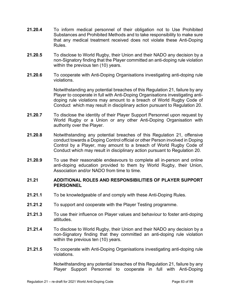- **21.20.4** To inform medical personnel of their obligation not to Use Prohibited Substances and Prohibited Methods and to take responsibility to make sure that any medical treatment received does not violate these Anti-Doping Rules.
- **21.20.5** To disclose to World Rugby, their Union and their NADO any decision by a non-Signatory finding that the Player committed an anti-doping rule violation within the previous ten (10) years.
- **21.20.6** To cooperate with Anti-Doping Organisations investigating anti-doping rule violations.

Notwithstanding any potential breaches of this Regulation 21, failure by any Player to cooperate in full with Anti-Doping Organisations investigating antidoping rule violations may amount to a breach of World Rugby Code of Conduct which may result in disciplinary action pursuant to Regulation 20.

- **21.20.7** To disclose the identity of their Player Support Personnel upon request by World Rugby or a Union or any other Anti-Doping Organisation with authority over the Player.
- **21.20.8** Notwithstanding any potential breaches of this Regulation 21, offensive conduct towards a Doping Control official or other Person involved in Doping Control by a Player, may amount to a breach of World Rugby Code of Conduct which may result in disciplinary action pursuant to Regulation 20.
- **21.20.9** To use their reasonable endeavours to complete all in-person and online anti-doping education provided to them by World Rugby, their Union, Association and/or NADO from time to time.

# **21.21 ADDITIONAL ROLES AND RESPONSIBILITIES OF PLAYER SUPPORT PERSONNEL**

- **21.21.1** To be knowledgeable of and comply with these Anti-Doping Rules.
- **21.21.2** To support and cooperate with the Player Testing programme.
- **21.21.3** To use their influence on Player values and behaviour to foster anti-doping attitudes.
- **21.21.4** To disclose to World Rugby, their Union and their NADO any decision by a non-Signatory finding that they committed an anti-doping rule violation within the previous ten (10) years.
- **21.21.5** To cooperate with Anti-Doping Organisations investigating anti-doping rule violations.

Notwithstanding any potential breaches of this Regulation 21, failure by any Player Support Personnel to cooperate in full with Anti-Doping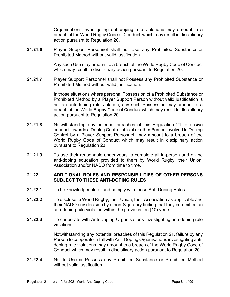Organisations investigating anti-doping rule violations may amount to a breach of the World Rugby Code of Conduct which may result in disciplinary action pursuant to Regulation 20.

**21.21.6** Player Support Personnel shall not Use any Prohibited Substance or Prohibited Method without valid justification.

> Any such Use may amount to a breach of the World Rugby Code of Conduct which may result in disciplinary action pursuant to Regulation 20.

**21.21.7** Player Support Personnel shall not Possess any Prohibited Substance or Prohibited Method without valid justification.

> In those situations where personal Possession of a Prohibited Substance or Prohibited Method by a Player Support Person without valid justification is not an anti-doping rule violation, any such Possession may amount to a breach of the World Rugby Code of Conduct which may result in disciplinary action pursuant to Regulation 20.

- **21.21.8** Notwithstanding any potential breaches of this Regulation 21, offensive conduct towards a Doping Control official or other Person involved in Doping Control by a Player Support Personnel, may amount to a breach of the World Rugby Code of Conduct which may result in disciplinary action pursuant to Regulation 20.
- **21.21.9** To use their reasonable endeavours to complete all in-person and online anti-doping education provided to them by World Rugby, their Union, Association and/or NADO from time to time.

#### **21.22 ADDITIONAL ROLES AND RESPONSIBILITIES OF OTHER PERSONS SUBJECT TO THESE ANTI-DOPING RULES**

- **21.22.1** To be knowledgeable of and comply with these Anti-Doping Rules.
- **21.22.2** To disclose to World Rugby, their Union, their Association as applicable and their NADO any decision by a non-Signatory finding that they committed an anti-doping rule violation within the previous ten (10) years.
- **21.22.3** To cooperate with Anti-Doping Organisations investigating anti-doping rule violations.

Notwithstanding any potential breaches of this Regulation 21, failure by any Person to cooperate in full with Anti-Doping Organisations investigating antidoping rule violations may amount to a breach of the World Rugby Code of Conduct which may result in disciplinary action pursuant to Regulation 20.

**21.22.4** Not to Use or Possess any Prohibited Substance or Prohibited Method without valid justification.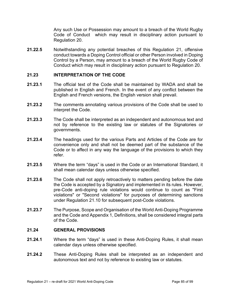Any such Use or Possession may amount to a breach of the World Rugby Code of Conduct which may result in disciplinary action pursuant to Regulation 20.

**21.22.5** Notwithstanding any potential breaches of this Regulation 21, offensive conduct towards a Doping Control official or other Person involved in Doping Control by a Person, may amount to a breach of the World Rugby Code of Conduct which may result in disciplinary action pursuant to Regulation 20.

## **21.23 INTERPRETATION OF THE CODE**

- **21.23.1** The official text of the Code shall be maintained by WADA and shall be published in English and French. In the event of any conflict between the English and French versions, the English version shall prevail.
- **21.23.2** The comments annotating various provisions of the Code shall be used to interpret the Code.
- **21.23.3** The Code shall be interpreted as an independent and autonomous text and not by reference to the existing law or statutes of the Signatories or governments.
- **21.23.4** The headings used for the various Parts and Articles of the Code are for convenience only and shall not be deemed part of the substance of the Code or to affect in any way the language of the provisions to which they refer.
- **21.23.5** Where the term "days" is used in the Code or an International Standard, it shall mean calendar days unless otherwise specified.
- **21.23.6** The Code shall not apply retroactively to matters pending before the date the Code is accepted by a Signatory and implemented in its rules. However, pre-Code anti-doping rule violations would continue to count as "First violations" or "Second violations" for purposes of determining sanctions under Regulation 21.10 for subsequent post-Code violations.
- **21.23.7** The Purpose, Scope and Organisation of the World Anti-Doping Programme and the Code and Appendix 1, Definitions, shall be considered integral parts of the Code.

# **21.24 GENERAL PROVISIONS**

- **21.24.1** Where the term "days" is used in these Anti-Doping Rules, it shall mean calendar days unless otherwise specified.
- **21.24.2** These Anti-Doping Rules shall be interpreted as an independent and autonomous text and not by reference to existing law or statutes.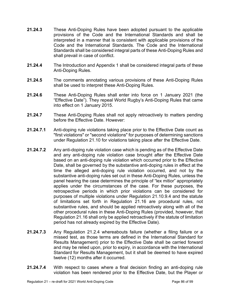- **21.24.3** These Anti-Doping Rules have been adopted pursuant to the applicable provisions of the Code and the International Standards and shall be interpreted in a manner that is consistent with applicable provisions of the Code and the International Standards. The Code and the International Standards shall be considered integral parts of these Anti-Doping Rules and shall prevail in case of conflict.
- **21.24.4** The Introduction and Appendix 1 shall be considered integral parts of these Anti-Doping Rules.
- **21.24.5** The comments annotating various provisions of these Anti-Doping Rules shall be used to interpret these Anti-Doping Rules.
- **21.24.6** These Anti-Doping Rules shall enter into force on 1 January 2021 (the "Effective Date"). They repeal World Rugby's Anti-Doping Rules that came into effect on 1 January 2015.
- **21.24.7** These Anti-Doping Rules shall not apply retroactively to matters pending before the Effective Date. However:
- **21.24.7.1** Anti-doping rule violations taking place prior to the Effective Date count as "first violations" or "second violations" for purposes of determining sanctions under Regulation 21.10 for violations taking place after the Effective Date.
- **21.24.7.2** Any anti-doping rule violation case which is pending as of the Effective Date and any anti-doping rule violation case brought after the Effective Date based on an anti-doping rule violation which occurred prior to the Effective Date, shall be governed by the substantive anti-doping rules in effect at the time the alleged anti-doping rule violation occurred, and not by the substantive anti-doping rules set out in these Anti-Doping Rules, unless the panel hearing the case determines the principle of "lex mitior" appropriately applies under the circumstances of the case. For these purposes, the retrospective periods in which prior violations can be considered for purposes of multiple violations under Regulation 21.10.9.4 and the statute of limitations set forth in Regulation 21.16 are procedural rules, not substantive rules, and should be applied retroactively along with all of the other procedural rules in these Anti-Doping Rules (provided, however, that Regulation 21.16 shall only be applied retroactively if the statute of limitation period has not already expired by the Effective Date).
- **21.24.7.3** Any Regulation 21.2.4 whereabouts failure (whether a filing failure or a missed test, as those terms are defined in the International Standard for Results Management) prior to the Effective Date shall be carried forward and may be relied upon, prior to expiry, in accordance with the International Standard for Results Management, but it shall be deemed to have expired twelve (12) months after it occurred.
- **21.24.7.4** With respect to cases where a final decision finding an anti-doping rule violation has been rendered prior to the Effective Date, but the Player or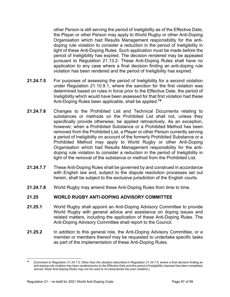other Person is still serving the period of Ineligibility as of the Effective Date, the Player or other Person may apply to World Rugby or other Anti-Doping Organisation which had Results Management responsibility for the antidoping rule violation to consider a reduction in the period of Ineligibility in light of these Anti-Doping Rules. Such application must be made before the period of Ineligibility has expired. The decision rendered may be appealed pursuant to Regulation 21.13.2. These Anti-Doping Rules shall have no application to any case where a final decision finding an anti-doping rule violation has been rendered and the period of Ineligibility has expired.

- **21.24.7.5** For purposes of assessing the period of Ineligibility for a second violation under Regulation 21.10.9.1, where the sanction for the first violation was determined based on rules in force prior to the Effective Date, the period of Ineligibility which would have been assessed for that first violation had these Anti-Doping Rules been applicable, shall be applied. **[74](#page-88-0)**
- **21.24.7.6** Changes to the Prohibited List and Technical Documents relating to substances or methods on the Prohibited List shall not, unless they specifically provide otherwise, be applied retroactively. As an exception, however, when a Prohibited Substance or a Prohibited Method has been removed from the Prohibited List, a Player or other Person currently serving a period of Ineligibility on account of the formerly Prohibited Substance or a Prohibited Method may apply to World Rugby or other Anti-Doping Organisation which had Results Management responsibility for the antidoping rule violation to consider a reduction in the period of Ineligibility in light of the removal of the substance or method from the Prohibited List.
- **21.24.7.7** These Anti-Doping Rules shall be governed by and construed in accordance with English law and, subject to the dispute resolution processes set out herein, shall be subject to the exclusive jurisdiction of the English courts.
- **21.24.7.8** World Rugby may amend these Anti-Doping Rules from time to time.

# **21.25 WORLD RUGBY ANTI-DOPING ADVISORY COMMITTEE**

- **21.25.1** World Rugby shall appoint an Anti-Doping Advisory Committee to provide World Rugby with general advice and assistance on doping issues and related matters, including the application of these Anti-Doping Rules. The Anti-Doping Advisory Committee shall report to the Council.
- **21.25.2** In addition to this general role, the Anti-Doping Advisory Committee, or a member or members thereof may be requested to undertake specific tasks as part of the implementation of these Anti-Doping Rules.

<span id="page-88-0"></span>**<sup>74</sup>** *[Comment to Regulation 21.24.7.5: Other than the situation described in Regulation 21.24.7.5, where a final decision finding an anti-doping rule violation has been rendered prior to the Effective Date and the period of Ineligibility imposed has been completely served, these Anti-Doping Rules may not be used to re-characterise the prior violation.]*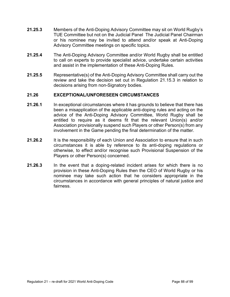- **21.25.3** Members of the Anti-Doping Advisory Committee may sit on World Rugby's TUE Committee but not on the Judicial Panel The Judicial Panel Chairman or his nominee may be invited to attend and/or speak at Anti-Doping Advisory Committee meetings on specific topics.
- **21.25.4** The Anti-Doping Advisory Committee and/or World Rugby shall be entitled to call on experts to provide specialist advice, undertake certain activities and assist in the implementation of these Anti-Doping Rules.
- **21.25.5** Representative(s) of the Anti-Doping Advisory Committee shall carry out the review and take the decision set out in Regulation 21.15.3 in relation to decisions arising from non-Signatory bodies.

# **21.26 EXCEPTIONAL/UNFORESEEN CIRCUMSTANCES**

- **21.26.1** In exceptional circumstances where it has grounds to believe that there has been a misapplication of the applicable anti-doping rules and acting on the advice of the Anti-Doping Advisory Committee, World Rugby shall be entitled to require as it deems fit that the relevant Union(s) and/or Association provisionally suspend such Players or other Person(s) from any involvement in the Game pending the final determination of the matter.
- **21.26.2** It is the responsibility of each Union and Association to ensure that in such circumstances it is able by reference to its anti-doping regulations or otherwise, to effect and/or recognise such Provisional Suspension of the Players or other Person(s) concerned.
- **21.26.3** In the event that a doping-related incident arises for which there is no provision in these Anti-Doping Rules then the CEO of World Rugby or his nominee may take such action that he considers appropriate in the circumstances in accordance with general principles of natural justice and fairness.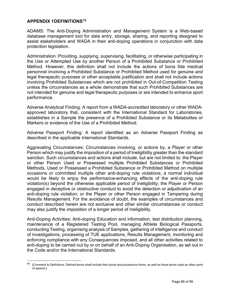# **APPENDIX 1DEFINITIONS[75](#page-90-0)**

ADAMS: The Anti-Doping Administration and Management System is a Web-based database management tool for data entry, storage, sharing, and reporting designed to assist stakeholders and WADA in their anti-doping operations in conjunction with data protection legislation.

Administration: Providing, supplying, supervising, facilitating, or otherwise participating in the Use or Attempted Use by another Person of a Prohibited Substance or Prohibited Method. However, this definition shall not include the actions of bona fide medical personnel involving a Prohibited Substance or Prohibited Method used for genuine and legal therapeutic purposes or other acceptable justification and shall not include actions involving Prohibited Substances which are not prohibited in Out-of-Competition Testing unless the circumstances as a whole demonstrate that such Prohibited Substances are not intended for genuine and legal therapeutic purposes or are intended to enhance sport performance.

Adverse Analytical Finding: A report from a WADA-accredited laboratory or other WADAapproved laboratory that, consistent with the International Standard for Laboratories, establishes in a Sample the presence of a Prohibited Substance or its Metabolites or Markers or evidence of the Use of a Prohibited Method.

Adverse Passport Finding: A report identified as an Adverse Passport Finding as described in the applicable International Standards.

Aggravating Circumstances: Circumstances involving, or actions by, a Player or other Person which may justify the imposition of a period of Ineligibility greater than the standard sanction. Such circumstances and actions shall include, but are not limited to: the Player or other Person Used or Possessed multiple Prohibited Substances or Prohibited Methods, Used or Possessed a Prohibited Substance or Prohibited Method on multiple occasions or committed multiple other anti-doping rule violations; a normal individual would be likely to enjoy the performance-enhancing effects of the anti-doping rule violation(s) beyond the otherwise applicable period of Ineligibility; the Player or Person engaged in deceptive or obstructive conduct to avoid the detection or adjudication of an anti-doping rule violation; or the Player or other Person engaged in Tampering during Results Management. For the avoidance of doubt, the examples of circumstances and conduct described herein are not exclusive and other similar circumstances or conduct may also justify the imposition of a longer period of Ineligibility.

Anti-Doping Activities: Anti-doping Education and information, test distribution planning, maintenance of a Registered Testing Pool, managing Athlete Biological Passports, conducting Testing, organising analysis of Samples, gathering of intelligence and conduct of investigations, processing of TUE applications, Results Management, monitoring and enforcing compliance with any Consequences imposed, and all other activities related to anti-doping to be carried out by or on behalf of an Anti-Doping Organisation, as set out in the Code and/or the International Standards.

<span id="page-90-0"></span>**<sup>75</sup>** *[Comment to Definitions: Defined terms shall include their plural and possessive forms, as well as those terms used as other parts of speech.]*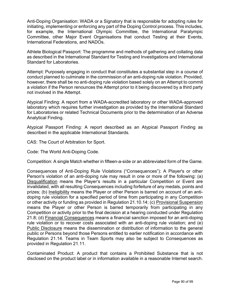Anti-Doping Organisation: WADA or a Signatory that is responsible for adopting rules for initiating, implementing or enforcing any part of the Doping Control process. This includes, for example, the International Olympic Committee, the International Paralympic Committee, other Major Event Organisations that conduct Testing at their Events, International Federations, and NADOs.

Athlete Biological Passport: The programme and methods of gathering and collating data as described in the International Standard for Testing and Investigations and International Standard for Laboratories.

Attempt: Purposely engaging in conduct that constitutes a substantial step in a course of conduct planned to culminate in the commission of an anti-doping rule violation. Provided, however, there shall be no anti-doping rule violation based solely on an Attempt to commit a violation if the Person renounces the Attempt prior to it being discovered by a third party not involved in the Attempt.

Atypical Finding: A report from a WADA-accredited laboratory or other WADA-approved laboratory which requires further investigation as provided by the International Standard for Laboratories or related Technical Documents prior to the determination of an Adverse Analytical Finding.

Atypical Passport Finding: A report described as an Atypical Passport Finding as described in the applicable International Standards.

CAS: The Court of Arbitration for Sport.

Code: The World Anti-Doping Code.

Competition: A single Match whether in fifteen-a-side or an abbreviated form of the Game.

Consequences of Anti-Doping Rule Violations ("Consequences"): A Player's or other Person's violation of an anti-doping rule may result in one or more of the following: (a) Disqualification means the Player's results in a particular Competition or Event are invalidated, with all resulting Consequences including forfeiture of any medals, points and prizes; (b) Ineligibility means the Player or other Person is barred on account of an antidoping rule violation for a specified period of time from participating in any Competition or other activity or funding as provided in Regulation 21.10.14; (c) Provisional Suspension means the Player or other Person is barred temporarily from participating in any Competition or activity prior to the final decision at a hearing conducted under Regulation 21.8; (d) Financial Consequences means a financial sanction imposed for an anti-doping rule violation or to recover costs associated with an anti-doping rule violation; and (e) Public Disclosure means the dissemination or distribution of information to the general public or Persons beyond those Persons entitled to earlier notification in accordance with Regulation 21.14. Teams in Team Sports may also be subject to Consequences as provided in Regulation 21.11.

Contaminated Product: A product that contains a Prohibited Substance that is not disclosed on the product label or in information available in a reasonable Internet search.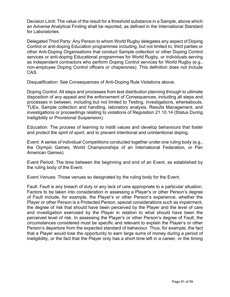Decision Limit: The value of the result for a threshold substance in a Sample, above which an Adverse Analytical Finding shall be reported, as defined in the International Standard for Laboratories.

Delegated Third Party: Any Person to whom World Rugby delegates any aspect of Doping Control or anti-doping Education programmes including, but not limited to, third parties or other Anti-Doping Organisations that conduct Sample collection or other Doping Control services or anti-doping Educational programmes for World Rugby, or individuals serving as independent contractors who perform Doping Control services for World Rugby (e.g., non-employee Doping Control officers or chaperones). This definition does not include CAS.

Disqualification: See Consequences of Anti-Doping Rule Violations above.

Doping Control: All steps and processes from test distribution planning through to ultimate disposition of any appeal and the enforcement of Consequences, including all steps and processes in between, including but not limited to Testing, investigations, whereabouts, TUEs, Sample collection and handling, laboratory analysis, Results Management, and investigations or proceedings relating to violations of Regulation 21.10.14 (Status During Ineligibility or Provisional Suspension).

Education: The process of learning to instill values and develop behaviours that foster and protect the spirit of sport, and to prevent intentional and unintentional doping.

Event: A series of individual Competitions conducted together under one ruling body (e.g., the Olympic Games, World Championships of an International Federation, or Pan American Games).

Event Period: The time between the beginning and end of an Event, as established by the ruling body of the Event.

Event Venues: Those venues so designated by the ruling body for the Event.

Fault: Fault is any breach of duty or any lack of care appropriate to a particular situation. Factors to be taken into consideration in assessing a Player's or other Person's degree of Fault include, for example, the Player's or other Person's experience, whether the Player or other Person is a Protected Person, special considerations such as impairment, the degree of risk that should have been perceived by the Player and the level of care and investigation exercised by the Player in relation to what should have been the perceived level of risk. In assessing the Player's or other Person's degree of Fault, the circumstances considered must be specific and relevant to explain the Player's or other Person's departure from the expected standard of behaviour. Thus, for example, the fact that a Player would lose the opportunity to earn large sums of money during a period of Ineligibility, or the fact that the Player only has a short time left in a career, or the timing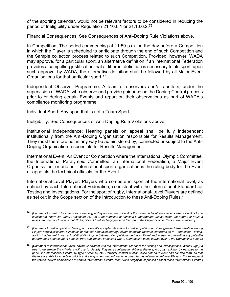of the sporting calendar, would not be relevant factors to be considered in reducing the period of Ineligibility under Regulation 21.10.6.1 or 21.10.6.2.**[76](#page-93-0)**

Financial Consequences: See Consequences of Anti-Doping Rule Violations above.

In-Competition: The period commencing at 11:59 p.m. on the day before a Competition in which the Player is scheduled to participate through the end of such Competition and the Sample collection process related to such Competition. Provided, however, WADA may approve, for a particular sport, an alternative definition if an International Federation provides a compelling justification that a different definition is necessary for its sport; upon such approval by WADA, the alternative definition shall be followed by all Major Event Organisations for that particular sport.**[77](#page-93-1)**

Independent Observer Programme: A team of observers and/or auditors, under the supervision of WADA, who observe and provide guidance on the Doping Control process prior to or during certain Events and report on their observations as part of WADA's compliance monitoring programme.

Individual Sport: Any sport that is not a Team Sport.

Ineligibility: See Consequences of Anti-Doping Rule Violations above.

Institutional Independence: Hearing panels on appeal shall be fully independent institutionally from the Anti-Doping Organisation responsible for Results Management. They must therefore not in any way be administered by, connected or subject to the Anti-Doping Organisation responsible for Results Management.

International Event: An Event or Competition where the International Olympic Committee, the International Paralympic Committee, an International Federation, a Major Event Organisation, or another international sport organisation is the ruling body for the Event or appoints the technical officials for the Event.

International-Level Player: Players who compete in sport at the international level, as defined by each International Federation, consistent with the International Standard for Testing and Investigations. For the sport of rugby, International-Level Players are defined as set out in the Scope section of the Introduction to these Anti-Doping Rules.**[78](#page-93-2)**

<span id="page-93-0"></span>**<sup>76</sup>** *[Comment to Fault: The criteria for assessing a Player's degree of Fault is the same under all Regulations where Fault is to be considered. However, under Regulation 21.10.6.2, no reduction of sanction is appropriate unless, when the degree of Fault is assessed, the conclusion is that No Significant Fault or Negligence on the part of the Player or other Person was involved.]*

<span id="page-93-1"></span>**<sup>77</sup>** *[Comment to In-Competition: Having a universally accepted definition for In-Competition provides greater harmonization among Players across all sports, eliminates or reduces confusion among Players about the relevant timeframe for In-Competition Testing, avoids inadvertent Adverse Analytical Findings in between Competitions during an Event and assists in preventing any potential performance enhancement benefits from substances prohibited Out-of-Competition being carried over to the Competition period.]*

<span id="page-93-2"></span>**<sup>78</sup>** *[Comment to International-Level Player: Consistent with the International Standard for Testing and Investigations, World Rugby is free to determine the criteria it will use to classify Players as International-Level Players, e.g., by ranking, by participation in particular International Events, by type of license, etc. However, it must publish those criteria in clear and concise form, so that Players are able to ascertain quickly and easily when they will become classified as International-Level Players. For example, if the criteria include participation in certain International Events, then World Rugby must publish a list of those International Events.]*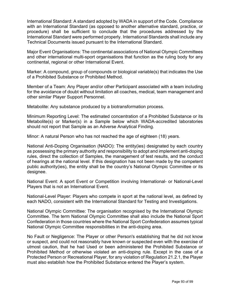International Standard: A standard adopted by WADA in support of the Code. Compliance with an International Standard (as opposed to another alternative standard, practice, or procedure) shall be sufficient to conclude that the procedures addressed by the International Standard were performed properly. International Standards shall include any Technical Documents issued pursuant to the International Standard.

Major Event Organisations: The continental associations of National Olympic Committees and other international multi-sport organisations that function as the ruling body for any continental, regional or other International Event.

Marker: A compound, group of compounds or biological variable(s) that indicates the Use of a Prohibited Substance or Prohibited Method.

Member of a Team: Any Player and/or other Participant associated with a team including for the avoidance of doubt without limitation all coaches, medical, team management and other similar Player Support Personnel.

Metabolite: Any substance produced by a biotransformation process.

Minimum Reporting Level: The estimated concentration of a Prohibited Substance or its Metabolite(s) or Marker(s) in a Sample below which WADA-accredited laboratories should not report that Sample as an Adverse Analytical Finding.

Minor: A natural Person who has not reached the age of eighteen (18) years.

National Anti-Doping Organisation (NADO): The entity(ies) designated by each country as possessing the primary authority and responsibility to adopt and implement anti-doping rules, direct the collection of Samples, the management of test results, and the conduct of hearings at the national level. If this designation has not been made by the competent public authority(ies), the entity shall be the country's National Olympic Committee or its designee.

National Event: A sport Event or Competition involving International- or National-Level Players that is not an International Event.

National-Level Player: Players who compete in sport at the national level, as defined by each NADO, consistent with the International Standard for Testing and Investigations.

National Olympic Committee: The organisation recognised by the International Olympic Committee. The term National Olympic Committee shall also include the National Sport Confederation in those countries where the National Sport Confederation assumes typical National Olympic Committee responsibilities in the anti-doping area.

No Fault or Negligence: The Player or other Person's establishing that he did not know or suspect, and could not reasonably have known or suspected even with the exercise of utmost caution, that he had Used or been administered the Prohibited Substance or Prohibited Method or otherwise violated an anti-doping rule. Except in the case of a Protected Person or Recreational Player, for any violation of Regulation 21.2.1, the Player must also establish how the Prohibited Substance entered the Player's system.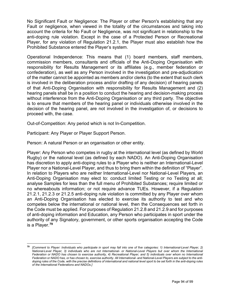No Significant Fault or Negligence: The Player or other Person's establishing that any Fault or negligence, when viewed in the totality of the circumstances and taking into account the criteria for No Fault or Negligence, was not significant in relationship to the anti-doping rule violation. Except in the case of a Protected Person or Recreational Player, for any violation of Regulation 21.2.1, the Player must also establish how the Prohibited Substance entered the Player's system.

Operational Independence: This means that (1) board members, staff members, commission members, consultants and officials of the Anti-Doping Organisation with responsibility for Results Management or its affiliates (e.g., member federation or confederation), as well as any Person involved in the investigation and pre-adjudication of the matter cannot be appointed as members and/or clerks (to the extent that such clerk is involved in the deliberation process and/or drafting of any decision) of hearing panels of that Anti-Doping Organisation with responsibility for Results Management and (2) hearing panels shall be in a position to conduct the hearing and decision-making process without interference from the Anti-Doping Organisation or any third party. The objective is to ensure that members of the hearing panel or individuals otherwise involved in the decision of the hearing panel, are not involved in the investigation of, or decisions to proceed with, the case.

Out-of-Competition: Any period which is not In-Competition.

Participant: Any Player or Player Support Person.

Person: A natural Person or an organisation or other entity.

Player: Any Person who competes in rugby at the international level (as defined by World Rugby) or the national level (as defined by each NADO). An Anti-Doping Organisation has discretion to apply anti-doping rules to a Player who is neither an International-Level Player nor a National-Level Player, and thus to bring them within the definition of "Player". In relation to Players who are neither International-Level nor National-Level Players, an Anti-Doping Organisation may elect to: conduct limited Testing or no Testing at all; analyse Samples for less than the full menu of Prohibited Substances; require limited or no whereabouts information; or not require advance TUEs. However, if a Regulation 21.2.1, 21.2.3 or 21.2.5 anti-doping rule violation is committed by any Player over whom an Anti-Doping Organisation has elected to exercise its authority to test and who competes below the international or national level, then the Consequences set forth in the Code must be applied. For purposes of Regulation 21.2.8 and 21.2.9 and for purposes of anti-doping information and Education, any Person who participates in sport under the authority of any Signatory, government, or other sports organisation accepting the Code is a Player.**[79](#page-95-0)**

<span id="page-95-0"></span>**<sup>79</sup>** *[Comment to Player: Individuals who participate in sport may fall into one of five categories: 1) International-Level Player, 2) National-Level Player, 3) individuals who are not International- or National-Level Players but over whom the International Federation or NADO has chosen to exercise authority, 4) Recreational Player, and 5) individuals over whom no International Federation or NADO has, or has chosen to, exercise authority. All International- and National-Level Players are subject to the antidoping rules of the Code, with the precise definitions of international and national level sport to be set forth in the anti-doping rules of the International Federations and NADOs.]*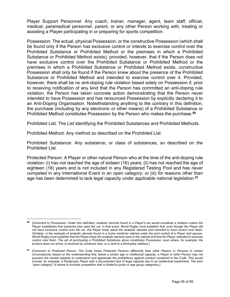Player Support Personnel: Any coach, trainer, manager, agent, team staff, official, medical, paramedical personnel, parent, or any other Person working with, treating or assisting a Player participating in or preparing for sports competition.

Possession: The actual, physical Possession, or the constructive Possession (which shall be found only if the Person has exclusive control or intends to exercise control over the Prohibited Substance or Prohibited Method or the premises in which a Prohibited Substance or Prohibited Method exists); provided, however, that if the Person does not have exclusive control over the Prohibited Substance or Prohibited Method or the premises in which a Prohibited Substance or Prohibited Method exists, constructive Possession shall only be found if the Person knew about the presence of the Prohibited Substance or Prohibited Method and intended to exercise control over it. Provided, however, there shall be no anti-doping rule violation based solely on Possession if, prior to receiving notification of any kind that the Person has committed an anti-doping rule violation, the Person has taken concrete action demonstrating that the Person never intended to have Possession and has renounced Possession by explicitly declaring it to an Anti-Doping Organisation. Notwithstanding anything to the contrary in this definition, the purchase (including by any electronic or other means) of a Prohibited Substance or Prohibited Method constitutes Possession by the Person who makes the purchase.**[80](#page-96-0)**

Prohibited List: The List identifying the Prohibited Substances and Prohibited Methods.

Prohibited Method: Any method so described on the Prohibited List.

Prohibited Substance: Any substance, or class of substances, so described on the Prohibited List.

Protected Person: A Player or other natural Person who at the time of the anti-doping rule violation: (i) has not reached the age of sixteen (16) years; (ii) has not reached the age of eighteen (18) years and is not included in any Registered Testing Pool and has never competed in any International Event in an open category; or (iii) for reasons other than age has been determined to lack legal capacity under applicable national legislation.**[81](#page-96-1)** 

<span id="page-96-0"></span>**<sup>80</sup>** *[Comment to Possession: Under this definition, anabolic steroids found in a Player's car would constitute a violation unless the Player establishes that someone else used the car; in that event, World Rugby must establish that, even though the Player did not have exclusive control over the car, the Player knew about the anabolic steroids and intended to have control over them. Similarly, in the example of anabolic steroids found in a home medicine cabinet under the joint control of a Player and spouse, World Rugby must establish that the Player knew the anabolic steroids were in the cabinet and that the Player intended to exercise control over them. The act of purchasing a Prohibited Substance alone constitutes Possession, even where, for example, the product does not arrive, is received by someone else, or is sent to a third-party address.]*

<span id="page-96-1"></span>**<sup>81</sup>** *[Comment to Protected Person: The Code treats Protected Persons differently than other Players or Persons in certain circumstances based on the understanding that, below a certain age or intellectual capacity, a Player or other Person may not possess the mental capacity to understand and appreciate the prohibitions against conduct contained in the Code. This would*  include, for example, a Paralympic Player with a documented lack of legal capacity due to an intellectual impairment. The term *"open category" is meant to exclude competition that is limited to junior or age group categories.]*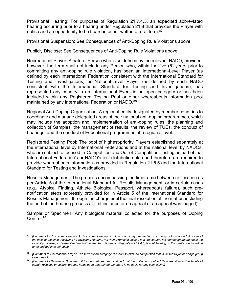Provisional Hearing: For purposes of Regulation 21.7.4.3, an expedited abbreviated hearing occurring prior to a hearing under Regulation 21.8 that provides the Player with notice and an opportunity to be heard in either written or oral form.**[82](#page-97-0)**

Provisional Suspension: See Consequences of Anti-Doping Rule Violations above.

Publicly Disclose: See Consequences of Anti-Doping Rule Violations above.

Recreational Player: A natural Person who is so defined by the relevant NADO; provided, however, the term shall not include any Person who, within the five (5) years prior to committing any anti-doping rule violation, has been an International-Level Player (as defined by each International Federation consistent with the International Standard for Testing and Investigations) or National-Level Player (as defined by each NADO consistent with the International Standard for Testing and Investigations), has represented any country in an International Event in an open category or has been included within any Registered Testing Pool or other whereabouts information pool maintained by any International Federation or NADO. **[83](#page-97-1)**

Regional Anti-Doping Organisation: A regional entity designated by member countries to coordinate and manage delegated areas of their national anti-doping programmes, which may include the adoption and implementation of anti-doping rules, the planning and collection of Samples, the management of results, the review of TUEs, the conduct of hearings, and the conduct of Educational programmes at a regional level.

Registered Testing Pool: The pool of highest-priority Players established separately at the international level by International Federations and at the national level by NADOs, who are subject to focused In-Competition and Out-of-Competition Testing as part of that International Federation's or NADO's test distribution plan and therefore are required to provide whereabouts information as provided in Regulation 21.5.5 and the International Standard for Testing and Investigations.

Results Management: The process encompassing the timeframe between notification as per Article 5 of the International Standard for Results Management, or in certain cases (e.g., Atypical Finding, Athlete Biological Passport, whereabouts failure), such prenotification steps expressly provided for in Article 5 of the International Standard for Results Management, through the charge until the final resolution of the matter, including the end of the hearing process at first instance or on appeal (if an appeal was lodged).

Sample or Specimen: Any biological material collected for the purposes of Doping Control.**[84](#page-97-2)**

<span id="page-97-0"></span>**<sup>82</sup>** *[Comment to Provisional Hearing: A Provisional Hearing is only a preliminary proceeding which may not involve a full review of the facts of the case. Following a Provisional Hearing, the Player remains entitled to a subsequent full hearing on the merits of the case. By contrast, an "expedited hearing", as that term is used in Regulation 21.7.4.3, is a full hearing on the merits conducted on an expedited time schedule.]*

<span id="page-97-1"></span>**<sup>83</sup>** *[Comment to Recreational Player: The term "open category" is meant to exclude competition that is limited to junior or age group categories.]* 

<span id="page-97-2"></span>**<sup>84</sup>** *[Comment to Sample or Specimen: It has sometimes been claimed that the collection of blood Samples violates the tenets of certain religious or cultural groups. It has been determined that there is no basis for any such claim.]*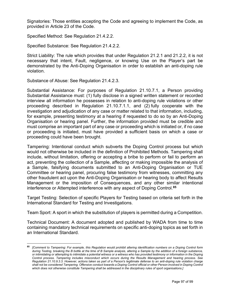Signatories: Those entities accepting the Code and agreeing to implement the Code, as provided in Article 23 of the Code.

Specified Method: See Regulation 21.4.2.2.

Specified Substance: See Regulation 21.4.2.2.

Strict Liability: The rule which provides that under Regulation 21.2.1 and 21.2.2, it is not necessary that intent, Fault, negligence, or knowing Use on the Player's part be demonstrated by the Anti-Doping Organisation in order to establish an anti-doping rule violation.

Substance of Abuse: See Regulation 21.4.2.3.

Substantial Assistance: For purposes of Regulation 21.10.7.1, a Person providing Substantial Assistance must: (1) fully disclose in a signed written statement or recorded interview all information he possesses in relation to anti-doping rule violations or other proceeding described in Regulation 21.10.7.1.1, and (2) fully cooperate with the investigation and adjudication of any case or matter related to that information, including, for example, presenting testimony at a hearing if requested to do so by an Anti-Doping Organisation or hearing panel. Further, the information provided must be credible and must comprise an important part of any case or proceeding which is initiated or, if no case or proceeding is initiated, must have provided a sufficient basis on which a case or proceeding could have been brought.

Tampering: Intentional conduct which subverts the Doping Control process but which would not otherwise be included in the definition of Prohibited Methods. Tampering shall include, without limitation, offering or accepting a bribe to perform or fail to perform an act, preventing the collection of a Sample, affecting or making impossible the analysis of a Sample, falsifying documents submitted to an Anti-Doping Organisation or TUE Committee or hearing panel, procuring false testimony from witnesses, committing any other fraudulent act upon the Anti-Doping Organisation or hearing body to affect Results Management or the imposition of Consequences, and any other similar intentional interference or Attempted interference with any aspect of Doping Control.**[85](#page-98-0)** 

Target Testing: Selection of specific Players for Testing based on criteria set forth in the International Standard for Testing and Investigations.

Team Sport: A sport in which the substitution of players is permitted during a Competition.

Technical Document: A document adopted and published by WADA from time to time containing mandatory technical requirements on specific anti-doping topics as set forth in an International Standard.

<span id="page-98-0"></span>**<sup>85</sup>** *[Comment to Tampering: For example, this Regulation would prohibit altering identification numbers on a Doping Control form during Testing, breaking the B bottle at the time of B Sample analysis, altering a Sample by the addition of a foreign substance, or intimidating or attempting to intimidate a potential witness or a witness who has provided testimony or information in the Doping Control process. Tampering includes misconduct which occurs during the Results Management and hearing process. See Regulation 21.10.9.3.3. However, actions taken as part of a Person's legitimate defense to an anti-doping rule violation charge shall not be considered Tampering. Offensive conduct towards a Doping Control official or other Person involved in Doping Control which does not otherwise constitute Tampering shall be addressed in the disciplinary rules of sport organisations.]*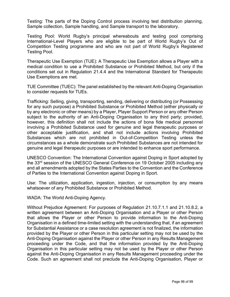Testing: The parts of the Doping Control process involving test distribution planning, Sample collection, Sample handling, and Sample transport to the laboratory.

Testing Pool: World Rugby's principal whereabouts and testing pool comprising International-Level Players who are eligible to be part of World Rugby's Out of Competition Testing programme and who are not part of World Rugby's Registered Testing Pool.

Therapeutic Use Exemption (TUE): A Therapeutic Use Exemption allows a Player with a medical condition to use a Prohibited Substance or Prohibited Method, but only if the conditions set out in Regulation 21.4.4 and the International Standard for Therapeutic Use Exemptions are met.

TUE Committee (TUEC): The panel established by the relevant Anti-Doping Organisation to consider requests for TUEs.

Trafficking: Selling, giving, transporting, sending, delivering or distributing (or Possessing for any such purpose) a Prohibited Substance or Prohibited Method (either physically or by any electronic or other means) by a Player, Player Support Person or any other Person subject to the authority of an Anti-Doping Organisation to any third party; provided, however, this definition shall not include the actions of bona fide medical personnel involving a Prohibited Substance used for genuine and legal therapeutic purposes or other acceptable justification, and shall not include actions involving Prohibited Substances which are not prohibited in Out-of-Competition Testing unless the circumstances as a whole demonstrate such Prohibited Substances are not intended for genuine and legal therapeutic purposes or are intended to enhance sport performance.

UNESCO Convention: The International Convention against Doping in Sport adopted by the 33rd session of the UNESCO General Conference on 19 October 2005 including any and all amendments adopted by the States Parties to the Convention and the Conference of Parties to the International Convention against Doping in Sport.

Use: The utilization, application, ingestion, injection, or consumption by any means whatsoever of any Prohibited Substance or Prohibited Method.

WADA: The World Anti-Doping Agency.

Without Prejudice Agreement: For purposes of Regulation 21.10.7.1.1 and 21.10.8.2, a written agreement between an Anti-Doping Organisation and a Player or other Person that allows the Player or other Person to provide information to the Anti-Doping Organisation in a defined time-limited setting with the understanding that, if an agreement for Substantial Assistance or a case resolution agreement is not finalized, the information provided by the Player or other Person in this particular setting may not be used by the Anti-Doping Organisation against the Player or other Person in any Results Management proceeding under the Code, and that the information provided by the Anti-Doping Organisation in this particular setting may not be used by the Player or other Person against the Anti-Doping Organisation in any Results Management proceeding under the Code. Such an agreement shall not preclude the Anti-Doping Organisation, Player or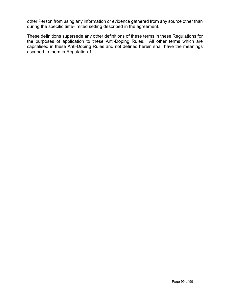other Person from using any information or evidence gathered from any source other than during the specific time-limited setting described in the agreement.

These definitions supersede any other definitions of these terms in these Regulations for the purposes of application to these Anti-Doping Rules. All other terms which are capitalised in these Anti-Doping Rules and not defined herein shall have the meanings ascribed to them in Regulation 1.